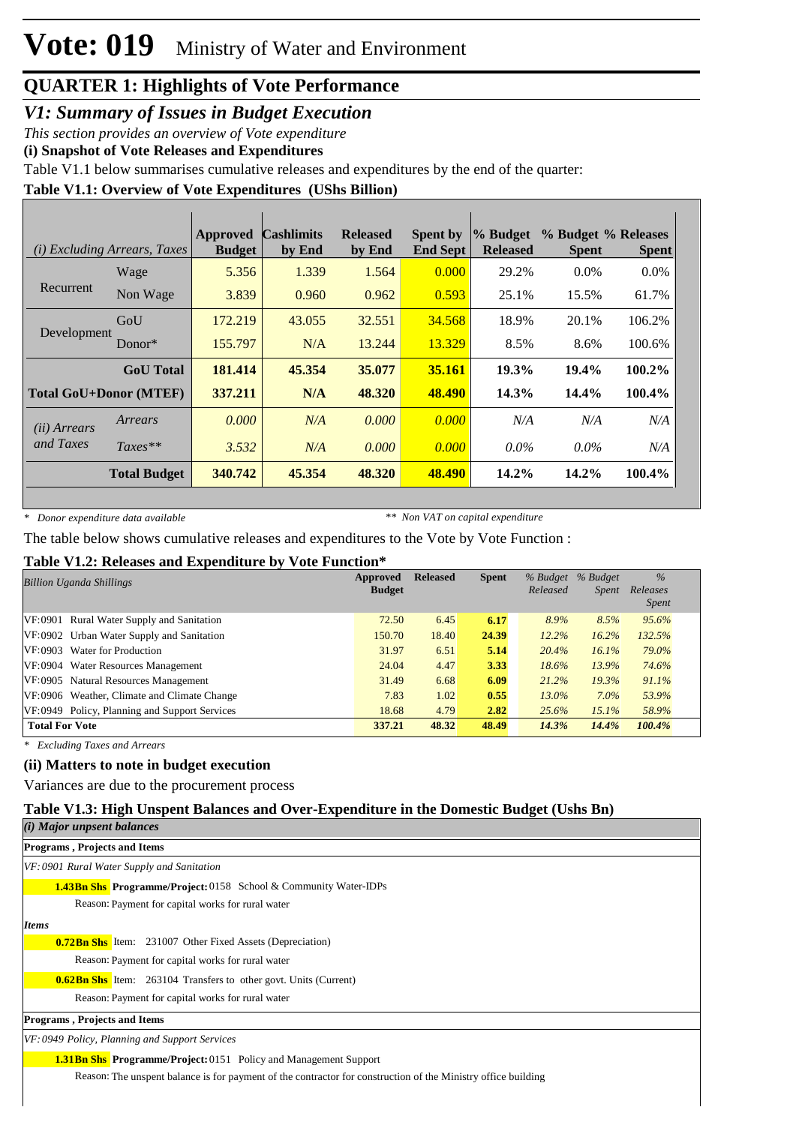*V1: Summary of Issues in Budget Execution*

*This section provides an overview of Vote expenditure* 

**(i) Snapshot of Vote Releases and Expenditures**

Table V1.1 below summarises cumulative releases and expenditures by the end of the quarter:

#### **Table V1.1: Overview of Vote Expenditures (UShs Billion)**

|              | ( <i>i</i> ) Excluding Arrears, Taxes | Approved<br><b>Budget</b> | <b>Cashlimits</b><br>by End | <b>Released</b><br>by End | <b>Spent by</b><br><b>End Sept</b> | % Budget<br><b>Released</b> | % Budget % Releases<br><b>Spent</b> | <b>Spent</b> |
|--------------|---------------------------------------|---------------------------|-----------------------------|---------------------------|------------------------------------|-----------------------------|-------------------------------------|--------------|
|              | Wage                                  | 5.356                     | 1.339                       | 1.564                     | 0.000                              | 29.2%                       | $0.0\%$                             | $0.0\%$      |
| Recurrent    | Non Wage                              | 3.839                     | 0.960                       | 0.962                     | 0.593                              | 25.1%                       | 15.5%                               | 61.7%        |
|              | GoU                                   | 172.219                   | 43.055                      | 32.551                    | 34.568                             | 18.9%                       | 20.1%                               | 106.2%       |
| Development  | Donor $*$                             | 155.797                   | N/A                         | 13.244                    | 13.329                             | 8.5%                        | 8.6%                                | 100.6%       |
|              | <b>GoU</b> Total                      | 181.414                   | 45.354                      | 35.077                    | 35.161                             | 19.3%                       | 19.4%                               | 100.2%       |
|              | <b>Total GoU+Donor (MTEF)</b>         | 337.211                   | N/A                         | 48.320                    | 48.490                             | 14.3%                       | 14.4%                               | 100.4%       |
| (ii) Arrears | Arrears                               | 0.000                     | N/A                         | 0.000                     | 0.000                              | N/A                         | N/A                                 | N/A          |
| and Taxes    | $Taxes**$                             | 3.532                     | N/A                         | 0.000                     | 0.000                              | $0.0\%$                     | $0.0\%$                             | N/A          |
|              | <b>Total Budget</b>                   | 340.742                   | 45.354                      | 48.320                    | 48.490                             | 14.2%                       | $14.2\%$                            | 100.4%       |

*\* Donor expenditure data available*

*\*\* Non VAT on capital expenditure*

The table below shows cumulative releases and expenditures to the Vote by Vote Function :

#### **Table V1.2: Releases and Expenditure by Vote Function\***

| Approved<br><b>Billion Uganda Shillings</b>   |        | <b>Released</b> | <b>Spent</b> | Released | % Budget % Budget<br><i>Spent</i> | $\frac{0}{6}$<br>Releases<br>Spent |
|-----------------------------------------------|--------|-----------------|--------------|----------|-----------------------------------|------------------------------------|
| VF:0901 Rural Water Supply and Sanitation     | 72.50  | 6.45            | 6.17         | 8.9%     | 8.5%                              | 95.6%                              |
| VF:0902 Urban Water Supply and Sanitation     | 150.70 | 18.40           | 24.39        | 12.2%    | 16.2%                             | 132.5%                             |
| VF:0903 Water for Production                  | 31.97  | 6.51            | 5.14         | 20.4%    | 16.1%                             | 79.0%                              |
| VF:0904 Water Resources Management            | 24.04  | 4.47            | 3.33         | $18.6\%$ | 13.9%                             | 74.6%                              |
| VF:0905 Natural Resources Management          | 31.49  | 6.68            | 6.09         | 21.2%    | 19.3%                             | 91.1%                              |
| VF:0906 Weather, Climate and Climate Change   | 7.83   | 1.02            | 0.55         | $13.0\%$ | $7.0\%$                           | 53.9%                              |
| VF:0949 Policy, Planning and Support Services | 18.68  | 4.79            | 2.82         | 25.6%    | $15.1\%$                          | 58.9%                              |
| <b>Total For Vote</b>                         | 337.21 | 48.32           | 48.49        | 14.3%    | 14.4%                             | 100.4%                             |

*\* Excluding Taxes and Arrears*

#### **(ii) Matters to note in budget execution**

Variances are due to the procurement process

#### **Table V1.3: High Unspent Balances and Over-Expenditure in the Domestic Budget (Ushs Bn)**

| (i) Major unpsent balances                                                                                    |
|---------------------------------------------------------------------------------------------------------------|
| <b>Programs, Projects and Items</b>                                                                           |
| VF: 0901 Rural Water Supply and Sanitation                                                                    |
| <b>1.43Bn Shs Programme/Project:</b> 0158 School & Community Water-IDPs                                       |
| Reason: Payment for capital works for rural water                                                             |
| Items                                                                                                         |
| <b>0.72Bn Shs</b> Item: 231007 Other Fixed Assets (Depreciation)                                              |
| Reason: Payment for capital works for rural water                                                             |
| <b>0.62Bn Shs</b> Item: 263104 Transfers to other govt. Units (Current)                                       |
| Reason: Payment for capital works for rural water                                                             |
| <b>Programs, Projects and Items</b>                                                                           |
| VF: 0949 Policy, Planning and Support Services                                                                |
| <b>1.31 Bn Shs Programme/Project: 0151 Policy and Management Support</b>                                      |
| Reason: The unspent balance is for payment of the contractor for construction of the Ministry office building |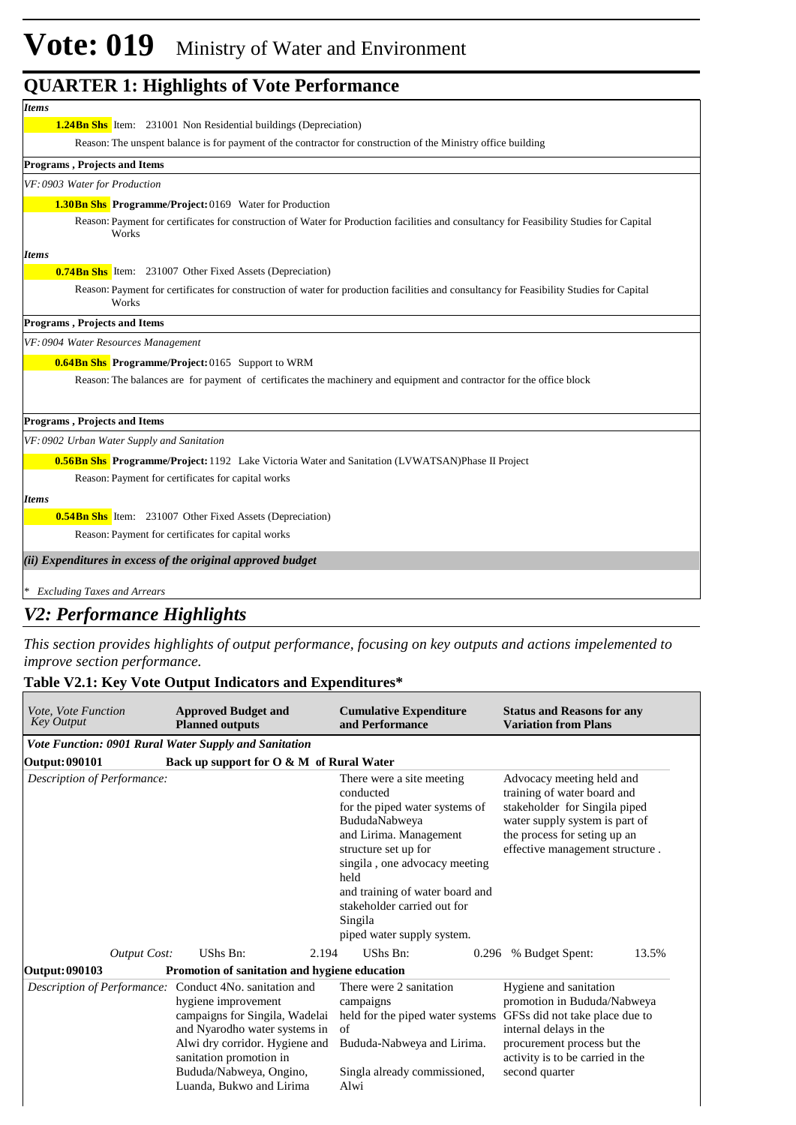# **Vote: 019** Ministry of Water and Environment

#### **QUARTER 1: Highlights of Vote Performance**

| <b>Items</b>                                                                                                                                      |
|---------------------------------------------------------------------------------------------------------------------------------------------------|
| <b>1.24Bn Shs</b> Item: 231001 Non Residential buildings (Depreciation)                                                                           |
| Reason: The unspent balance is for payment of the contractor for construction of the Ministry office building                                     |
| <b>Programs, Projects and Items</b>                                                                                                               |
| VF: 0903 Water for Production                                                                                                                     |
| <b>1.30Bn Shs</b> Programme/Project: 0169 Water for Production                                                                                    |
| Reason: Payment for certificates for construction of Water for Production facilities and consultancy for Feasibility Studies for Capital<br>Works |
| <b>Items</b>                                                                                                                                      |
| <b>0.74Bn Shs</b> Item: 231007 Other Fixed Assets (Depreciation)                                                                                  |
| Reason: Payment for certificates for construction of water for production facilities and consultancy for Feasibility Studies for Capital<br>Works |
| <b>Programs, Projects and Items</b>                                                                                                               |
| VF: 0904 Water Resources Management                                                                                                               |
| <b>0.64Bn Shs</b> Programme/Project: 0165 Support to WRM                                                                                          |
| Reason: The balances are for payment of certificates the machinery and equipment and contractor for the office block                              |
|                                                                                                                                                   |
| <b>Programs, Projects and Items</b>                                                                                                               |
| VF: 0902 Urban Water Supply and Sanitation                                                                                                        |
| <b>0.56Bn Shs Programme/Project:</b> 1192 Lake Victoria Water and Sanitation (LVWATSAN)Phase II Project                                           |
| Reason: Payment for certificates for capital works                                                                                                |
| <b>Items</b>                                                                                                                                      |
| <b>0.54Bn Shs</b> Item: 231007 Other Fixed Assets (Depreciation)                                                                                  |
| Reason: Payment for certificates for capital works                                                                                                |
| (ii) Expenditures in excess of the original approved budget                                                                                       |
| * Excluding Taxes and Arrears                                                                                                                     |

#### *V2: Performance Highlights*

*This section provides highlights of output performance, focusing on key outputs and actions impelemented to improve section performance.*

#### **Table V2.1: Key Vote Output Indicators and Expenditures\***

| <i>Vote, Vote Function</i><br><b>Key Output</b> |                     | <b>Approved Budget and</b><br><b>Planned outputs</b>                                                                                                                                                                                      | <b>Cumulative Expenditure</b><br>and Performance                                                                                                                                                                                                                                                | <b>Status and Reasons for any</b><br><b>Variation from Plans</b>                                                                                                                                       |
|-------------------------------------------------|---------------------|-------------------------------------------------------------------------------------------------------------------------------------------------------------------------------------------------------------------------------------------|-------------------------------------------------------------------------------------------------------------------------------------------------------------------------------------------------------------------------------------------------------------------------------------------------|--------------------------------------------------------------------------------------------------------------------------------------------------------------------------------------------------------|
|                                                 |                     | Vote Function: 0901 Rural Water Supply and Sanitation                                                                                                                                                                                     |                                                                                                                                                                                                                                                                                                 |                                                                                                                                                                                                        |
| Output: 090101                                  |                     | Back up support for O & M of Rural Water                                                                                                                                                                                                  |                                                                                                                                                                                                                                                                                                 |                                                                                                                                                                                                        |
| Description of Performance:                     |                     |                                                                                                                                                                                                                                           | There were a site meeting<br>conducted<br>for the piped water systems of<br>BududaNabweya<br>and Lirima. Management<br>structure set up for<br>singila, one advocacy meeting<br>held<br>and training of water board and<br>stakeholder carried out for<br>Singila<br>piped water supply system. | Advocacy meeting held and<br>training of water board and<br>stakeholder for Singila piped<br>water supply system is part of<br>the process for seting up an<br>effective management structure.         |
|                                                 | <b>Output Cost:</b> | UShs Bn:<br>2.194                                                                                                                                                                                                                         | UShs Bn:<br>0.296                                                                                                                                                                                                                                                                               | % Budget Spent:<br>13.5%                                                                                                                                                                               |
| Output: 090103                                  |                     | Promotion of sanitation and hygiene education                                                                                                                                                                                             |                                                                                                                                                                                                                                                                                                 |                                                                                                                                                                                                        |
| Description of Performance:                     |                     | Conduct 4No. sanitation and<br>hygiene improvement<br>campaigns for Singila, Wadelai<br>and Nyarodho water systems in<br>Alwi dry corridor. Hygiene and<br>sanitation promotion in<br>Bududa/Nabweya, Ongino,<br>Luanda, Bukwo and Lirima | There were 2 sanitation<br>campaigns<br>held for the piped water systems<br>of<br>Bududa-Nabweya and Lirima.<br>Singla already commissioned,<br>Alwi                                                                                                                                            | Hygiene and sanitation<br>promotion in Bududa/Nabweya<br>GFSs did not take place due to<br>internal delays in the<br>procurement process but the<br>activity is to be carried in the<br>second quarter |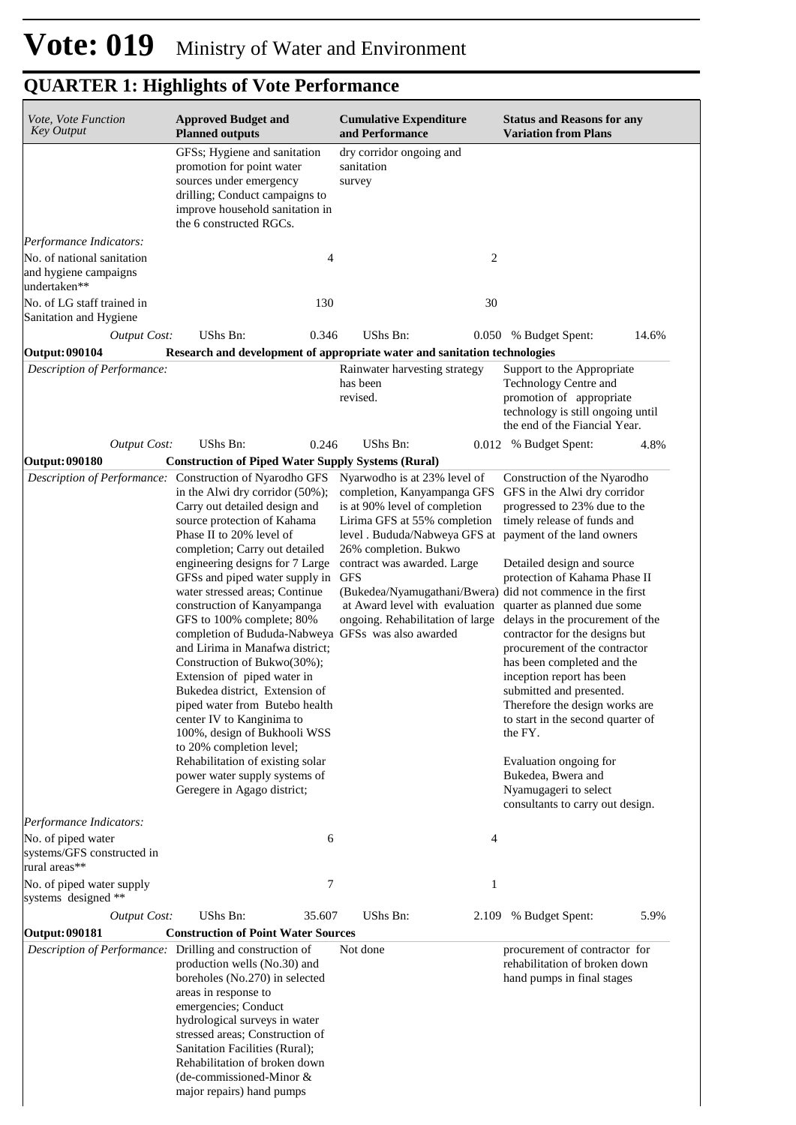| Vote, Vote Function<br><b>Key Output</b>                                                                                                         | <b>Approved Budget and</b><br><b>Planned outputs</b>                                                                                                                                                                                                                                                                                                                                                                                                                                                                                                                                                                                                                                                                                                                                                                                                                                  | <b>Cumulative Expenditure</b><br>and Performance                                                                                                                                                                                                                                                                                                                                                   | <b>Status and Reasons for any</b><br><b>Variation from Plans</b>                                                                                                                                                                                                                                                                                                                                                                                                                                                                                                                                                       |
|--------------------------------------------------------------------------------------------------------------------------------------------------|---------------------------------------------------------------------------------------------------------------------------------------------------------------------------------------------------------------------------------------------------------------------------------------------------------------------------------------------------------------------------------------------------------------------------------------------------------------------------------------------------------------------------------------------------------------------------------------------------------------------------------------------------------------------------------------------------------------------------------------------------------------------------------------------------------------------------------------------------------------------------------------|----------------------------------------------------------------------------------------------------------------------------------------------------------------------------------------------------------------------------------------------------------------------------------------------------------------------------------------------------------------------------------------------------|------------------------------------------------------------------------------------------------------------------------------------------------------------------------------------------------------------------------------------------------------------------------------------------------------------------------------------------------------------------------------------------------------------------------------------------------------------------------------------------------------------------------------------------------------------------------------------------------------------------------|
|                                                                                                                                                  | GFSs; Hygiene and sanitation<br>promotion for point water<br>sources under emergency<br>drilling; Conduct campaigns to<br>improve household sanitation in<br>the 6 constructed RGCs.                                                                                                                                                                                                                                                                                                                                                                                                                                                                                                                                                                                                                                                                                                  | dry corridor ongoing and<br>sanitation<br>survey                                                                                                                                                                                                                                                                                                                                                   |                                                                                                                                                                                                                                                                                                                                                                                                                                                                                                                                                                                                                        |
| Performance Indicators:<br>No. of national sanitation<br>and hygiene campaigns<br>undertaken**                                                   | 4                                                                                                                                                                                                                                                                                                                                                                                                                                                                                                                                                                                                                                                                                                                                                                                                                                                                                     | 2                                                                                                                                                                                                                                                                                                                                                                                                  |                                                                                                                                                                                                                                                                                                                                                                                                                                                                                                                                                                                                                        |
| No. of LG staff trained in<br>Sanitation and Hygiene                                                                                             | 130                                                                                                                                                                                                                                                                                                                                                                                                                                                                                                                                                                                                                                                                                                                                                                                                                                                                                   | 30                                                                                                                                                                                                                                                                                                                                                                                                 |                                                                                                                                                                                                                                                                                                                                                                                                                                                                                                                                                                                                                        |
| <b>Output Cost:</b><br><b>Output: 090104</b>                                                                                                     | UShs Bn:<br>0.346<br>Research and development of appropriate water and sanitation technologies                                                                                                                                                                                                                                                                                                                                                                                                                                                                                                                                                                                                                                                                                                                                                                                        | <b>UShs Bn:</b>                                                                                                                                                                                                                                                                                                                                                                                    | 0.050 % Budget Spent:<br>14.6%                                                                                                                                                                                                                                                                                                                                                                                                                                                                                                                                                                                         |
| Description of Performance:                                                                                                                      |                                                                                                                                                                                                                                                                                                                                                                                                                                                                                                                                                                                                                                                                                                                                                                                                                                                                                       | Rainwater harvesting strategy<br>has been<br>revised.                                                                                                                                                                                                                                                                                                                                              | Support to the Appropriate<br>Technology Centre and<br>promotion of appropriate<br>technology is still ongoing until<br>the end of the Fiancial Year.                                                                                                                                                                                                                                                                                                                                                                                                                                                                  |
| <b>Output Cost:</b>                                                                                                                              | UShs Bn:<br>0.246                                                                                                                                                                                                                                                                                                                                                                                                                                                                                                                                                                                                                                                                                                                                                                                                                                                                     | <b>UShs Bn:</b>                                                                                                                                                                                                                                                                                                                                                                                    | 0.012 % Budget Spent:<br>4.8%                                                                                                                                                                                                                                                                                                                                                                                                                                                                                                                                                                                          |
| Output: 090180                                                                                                                                   | <b>Construction of Piped Water Supply Systems (Rural)</b><br>Description of Performance: Construction of Nyarodho GFS<br>in the Alwi dry corridor $(50\%)$ ;<br>Carry out detailed design and<br>source protection of Kahama<br>Phase II to 20% level of<br>completion; Carry out detailed<br>engineering designs for 7 Large<br>GFSs and piped water supply in<br>water stressed areas; Continue<br>construction of Kanyampanga<br>GFS to 100% complete; 80%<br>completion of Bududa-Nabweya GFSs was also awarded<br>and Lirima in Manafwa district;<br>Construction of Bukwo(30%);<br>Extension of piped water in<br>Bukedea district, Extension of<br>piped water from Butebo health<br>center IV to Kanginima to<br>100%, design of Bukhooli WSS<br>to 20% completion level;<br>Rehabilitation of existing solar<br>power water supply systems of<br>Geregere in Agago district; | Nyarwodho is at 23% level of<br>completion, Kanyampanga GFS<br>is at 90% level of completion<br>Lirima GFS at 55% completion<br>level . Bududa/Nabweya GFS at payment of the land owners<br>26% completion. Bukwo<br>contract was awarded. Large<br><b>GFS</b><br>(Bukedea/Nyamugathani/Bwera) did not commence in the first<br>at Award level with evaluation<br>ongoing. Rehabilitation of large | Construction of the Nyarodho<br>GFS in the Alwi dry corridor<br>progressed to 23% due to the<br>timely release of funds and<br>Detailed design and source<br>protection of Kahama Phase II<br>quarter as planned due some<br>delays in the procurement of the<br>contractor for the designs but<br>procurement of the contractor<br>has been completed and the<br>inception report has been<br>submitted and presented.<br>Therefore the design works are<br>to start in the second quarter of<br>the FY.<br>Evaluation ongoing for<br>Bukedea, Bwera and<br>Nyamugageri to select<br>consultants to carry out design. |
| Performance Indicators:<br>No. of piped water<br>systems/GFS constructed in<br>rural areas**<br>No. of piped water supply<br>systems designed ** | 6<br>7                                                                                                                                                                                                                                                                                                                                                                                                                                                                                                                                                                                                                                                                                                                                                                                                                                                                                | 4<br>1                                                                                                                                                                                                                                                                                                                                                                                             |                                                                                                                                                                                                                                                                                                                                                                                                                                                                                                                                                                                                                        |
| <b>Output Cost:</b>                                                                                                                              | UShs Bn:<br>35.607                                                                                                                                                                                                                                                                                                                                                                                                                                                                                                                                                                                                                                                                                                                                                                                                                                                                    | <b>UShs Bn:</b>                                                                                                                                                                                                                                                                                                                                                                                    | 5.9%<br>2.109 % Budget Spent:                                                                                                                                                                                                                                                                                                                                                                                                                                                                                                                                                                                          |
| Output: 090181                                                                                                                                   | <b>Construction of Point Water Sources</b>                                                                                                                                                                                                                                                                                                                                                                                                                                                                                                                                                                                                                                                                                                                                                                                                                                            |                                                                                                                                                                                                                                                                                                                                                                                                    |                                                                                                                                                                                                                                                                                                                                                                                                                                                                                                                                                                                                                        |
| Description of Performance: Drilling and construction of                                                                                         | production wells (No.30) and<br>boreholes (No.270) in selected<br>areas in response to<br>emergencies; Conduct<br>hydrological surveys in water<br>stressed areas; Construction of<br>Sanitation Facilities (Rural);<br>Rehabilitation of broken down<br>(de-commissioned-Minor &<br>major repairs) hand pumps                                                                                                                                                                                                                                                                                                                                                                                                                                                                                                                                                                        | Not done                                                                                                                                                                                                                                                                                                                                                                                           | procurement of contractor for<br>rehabilitation of broken down<br>hand pumps in final stages                                                                                                                                                                                                                                                                                                                                                                                                                                                                                                                           |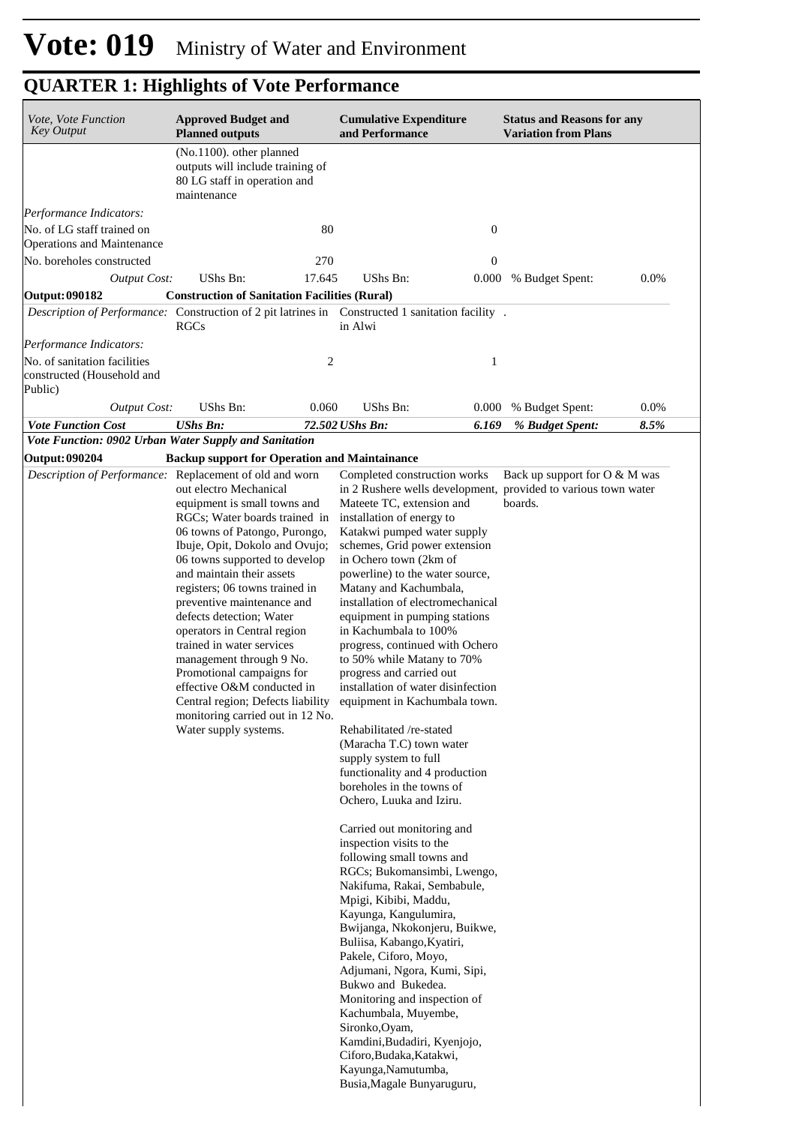| Vote, Vote Function<br><b>Key Output</b>                                                          | <b>Approved Budget and</b><br><b>Planned outputs</b>                                                                                                                                                                                                                                                                                                                                                                                                                                                                                                                      |        | <b>Cumulative Expenditure</b><br>and Performance                                                                                                                                                                                                                                                                                                                                                                                                                                                                                                                                                                                                                                                                                                                                                                                                                                                                                                                                                                                                                                                                                                                                                                                                                              |       | <b>Status and Reasons for any</b><br><b>Variation from Plans</b> |      |
|---------------------------------------------------------------------------------------------------|---------------------------------------------------------------------------------------------------------------------------------------------------------------------------------------------------------------------------------------------------------------------------------------------------------------------------------------------------------------------------------------------------------------------------------------------------------------------------------------------------------------------------------------------------------------------------|--------|-------------------------------------------------------------------------------------------------------------------------------------------------------------------------------------------------------------------------------------------------------------------------------------------------------------------------------------------------------------------------------------------------------------------------------------------------------------------------------------------------------------------------------------------------------------------------------------------------------------------------------------------------------------------------------------------------------------------------------------------------------------------------------------------------------------------------------------------------------------------------------------------------------------------------------------------------------------------------------------------------------------------------------------------------------------------------------------------------------------------------------------------------------------------------------------------------------------------------------------------------------------------------------|-------|------------------------------------------------------------------|------|
|                                                                                                   | (No.1100). other planned<br>outputs will include training of<br>80 LG staff in operation and<br>maintenance                                                                                                                                                                                                                                                                                                                                                                                                                                                               |        |                                                                                                                                                                                                                                                                                                                                                                                                                                                                                                                                                                                                                                                                                                                                                                                                                                                                                                                                                                                                                                                                                                                                                                                                                                                                               |       |                                                                  |      |
| Performance Indicators:                                                                           |                                                                                                                                                                                                                                                                                                                                                                                                                                                                                                                                                                           |        |                                                                                                                                                                                                                                                                                                                                                                                                                                                                                                                                                                                                                                                                                                                                                                                                                                                                                                                                                                                                                                                                                                                                                                                                                                                                               |       |                                                                  |      |
| No. of LG staff trained on<br>Operations and Maintenance                                          |                                                                                                                                                                                                                                                                                                                                                                                                                                                                                                                                                                           | 80     |                                                                                                                                                                                                                                                                                                                                                                                                                                                                                                                                                                                                                                                                                                                                                                                                                                                                                                                                                                                                                                                                                                                                                                                                                                                                               | 0     |                                                                  |      |
| No. boreholes constructed                                                                         |                                                                                                                                                                                                                                                                                                                                                                                                                                                                                                                                                                           | 270    |                                                                                                                                                                                                                                                                                                                                                                                                                                                                                                                                                                                                                                                                                                                                                                                                                                                                                                                                                                                                                                                                                                                                                                                                                                                                               | 0     |                                                                  |      |
| <b>Output Cost:</b>                                                                               | UShs Bn:                                                                                                                                                                                                                                                                                                                                                                                                                                                                                                                                                                  | 17.645 | UShs Bn:                                                                                                                                                                                                                                                                                                                                                                                                                                                                                                                                                                                                                                                                                                                                                                                                                                                                                                                                                                                                                                                                                                                                                                                                                                                                      | 0.000 | % Budget Spent:                                                  | 0.0% |
| Output: 090182                                                                                    | <b>Construction of Sanitation Facilities (Rural)</b>                                                                                                                                                                                                                                                                                                                                                                                                                                                                                                                      |        |                                                                                                                                                                                                                                                                                                                                                                                                                                                                                                                                                                                                                                                                                                                                                                                                                                                                                                                                                                                                                                                                                                                                                                                                                                                                               |       |                                                                  |      |
| Description of Performance: Construction of 2 pit latrines in Constructed 1 sanitation facility . | RGCs                                                                                                                                                                                                                                                                                                                                                                                                                                                                                                                                                                      |        | in Alwi                                                                                                                                                                                                                                                                                                                                                                                                                                                                                                                                                                                                                                                                                                                                                                                                                                                                                                                                                                                                                                                                                                                                                                                                                                                                       |       |                                                                  |      |
| Performance Indicators:                                                                           |                                                                                                                                                                                                                                                                                                                                                                                                                                                                                                                                                                           |        |                                                                                                                                                                                                                                                                                                                                                                                                                                                                                                                                                                                                                                                                                                                                                                                                                                                                                                                                                                                                                                                                                                                                                                                                                                                                               |       |                                                                  |      |
| No. of sanitation facilities<br>constructed (Household and<br>Public)                             |                                                                                                                                                                                                                                                                                                                                                                                                                                                                                                                                                                           | 2      |                                                                                                                                                                                                                                                                                                                                                                                                                                                                                                                                                                                                                                                                                                                                                                                                                                                                                                                                                                                                                                                                                                                                                                                                                                                                               | 1     |                                                                  |      |
| <b>Output Cost:</b>                                                                               | UShs Bn:                                                                                                                                                                                                                                                                                                                                                                                                                                                                                                                                                                  | 0.060  | UShs Bn:                                                                                                                                                                                                                                                                                                                                                                                                                                                                                                                                                                                                                                                                                                                                                                                                                                                                                                                                                                                                                                                                                                                                                                                                                                                                      | 0.000 | % Budget Spent:                                                  | 0.0% |
| <b>Vote Function Cost</b>                                                                         | <b>UShs Bn:</b>                                                                                                                                                                                                                                                                                                                                                                                                                                                                                                                                                           |        | 72.502 UShs Bn:                                                                                                                                                                                                                                                                                                                                                                                                                                                                                                                                                                                                                                                                                                                                                                                                                                                                                                                                                                                                                                                                                                                                                                                                                                                               | 6.169 | % Budget Spent:                                                  | 8.5% |
| Vote Function: 0902 Urban Water Supply and Sanitation                                             |                                                                                                                                                                                                                                                                                                                                                                                                                                                                                                                                                                           |        |                                                                                                                                                                                                                                                                                                                                                                                                                                                                                                                                                                                                                                                                                                                                                                                                                                                                                                                                                                                                                                                                                                                                                                                                                                                                               |       |                                                                  |      |
| <b>Output: 090204</b><br>Description of Performance: Replacement of old and worn                  | <b>Backup support for Operation and Maintainance</b>                                                                                                                                                                                                                                                                                                                                                                                                                                                                                                                      |        | Completed construction works                                                                                                                                                                                                                                                                                                                                                                                                                                                                                                                                                                                                                                                                                                                                                                                                                                                                                                                                                                                                                                                                                                                                                                                                                                                  |       | Back up support for O & M was                                    |      |
|                                                                                                   | out electro Mechanical<br>equipment is small towns and<br>RGCs; Water boards trained in<br>06 towns of Patongo, Purongo,<br>Ibuje, Opit, Dokolo and Ovujo;<br>06 towns supported to develop<br>and maintain their assets<br>registers; 06 towns trained in<br>preventive maintenance and<br>defects detection; Water<br>operators in Central region<br>trained in water services<br>management through 9 No.<br>Promotional campaigns for<br>effective O&M conducted in<br>Central region; Defects liability<br>monitoring carried out in 12 No.<br>Water supply systems. |        | in 2 Rushere wells development, provided to various town water<br>Mateete TC, extension and<br>installation of energy to<br>Katakwi pumped water supply<br>schemes, Grid power extension<br>in Ochero town (2km of<br>powerline) to the water source,<br>Matany and Kachumbala,<br>installation of electromechanical<br>equipment in pumping stations<br>in Kachumbala to 100%<br>progress, continued with Ochero<br>to 50% while Matany to 70%<br>progress and carried out<br>installation of water disinfection<br>equipment in Kachumbala town<br>Rehabilitated /re-stated<br>(Maracha T.C) town water<br>supply system to full<br>functionality and 4 production<br>boreholes in the towns of<br>Ochero, Luuka and Iziru.<br>Carried out monitoring and<br>inspection visits to the<br>following small towns and<br>RGCs; Bukomansimbi, Lwengo,<br>Nakifuma, Rakai, Sembabule,<br>Mpigi, Kibibi, Maddu,<br>Kayunga, Kangulumira,<br>Bwijanga, Nkokonjeru, Buikwe,<br>Buliisa, Kabango, Kyatiri,<br>Pakele, Ciforo, Moyo,<br>Adjumani, Ngora, Kumi, Sipi,<br>Bukwo and Bukedea.<br>Monitoring and inspection of<br>Kachumbala, Muyembe,<br>Sironko, Oyam,<br>Kamdini, Budadiri, Kyenjojo,<br>Ciforo, Budaka, Katakwi,<br>Kayunga, Namutumba,<br>Busia, Magale Bunyaruguru, |       | boards.                                                          |      |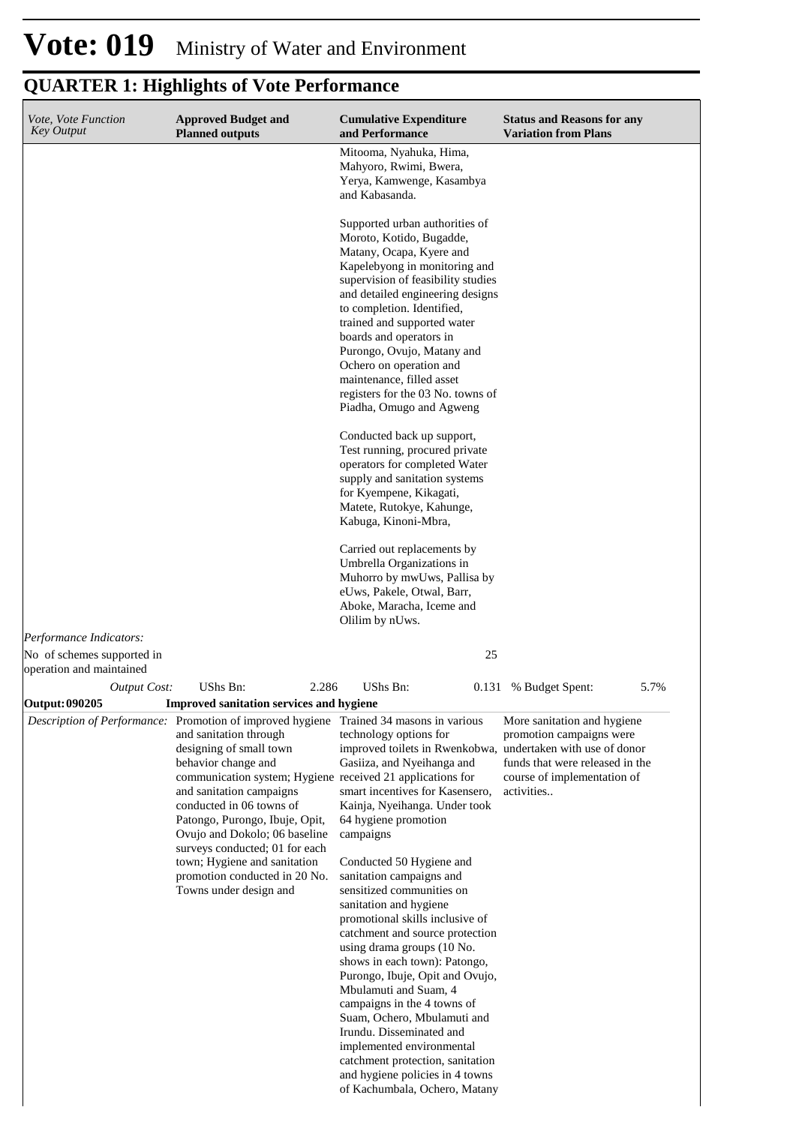| Vote, Vote Function<br><b>Key Output</b>              | <b>Approved Budget and</b><br><b>Planned outputs</b>                                                                                                                                                                                                                                                                                                                                                 | <b>Cumulative Expenditure</b><br>and Performance                                                                                                                                                                                                                                                                                                                                                                                                 | <b>Status and Reasons for any</b><br><b>Variation from Plans</b>                                                                                                        |
|-------------------------------------------------------|------------------------------------------------------------------------------------------------------------------------------------------------------------------------------------------------------------------------------------------------------------------------------------------------------------------------------------------------------------------------------------------------------|--------------------------------------------------------------------------------------------------------------------------------------------------------------------------------------------------------------------------------------------------------------------------------------------------------------------------------------------------------------------------------------------------------------------------------------------------|-------------------------------------------------------------------------------------------------------------------------------------------------------------------------|
|                                                       |                                                                                                                                                                                                                                                                                                                                                                                                      | Mitooma, Nyahuka, Hima,<br>Mahyoro, Rwimi, Bwera,<br>Yerya, Kamwenge, Kasambya<br>and Kabasanda.                                                                                                                                                                                                                                                                                                                                                 |                                                                                                                                                                         |
|                                                       |                                                                                                                                                                                                                                                                                                                                                                                                      | Supported urban authorities of<br>Moroto, Kotido, Bugadde,<br>Matany, Ocapa, Kyere and<br>Kapelebyong in monitoring and<br>supervision of feasibility studies<br>and detailed engineering designs<br>to completion. Identified,<br>trained and supported water<br>boards and operators in<br>Purongo, Ovujo, Matany and<br>Ochero on operation and<br>maintenance, filled asset<br>registers for the 03 No. towns of<br>Piadha, Omugo and Agweng |                                                                                                                                                                         |
|                                                       |                                                                                                                                                                                                                                                                                                                                                                                                      | Conducted back up support,<br>Test running, procured private<br>operators for completed Water<br>supply and sanitation systems<br>for Kyempene, Kikagati,<br>Matete, Rutokye, Kahunge,<br>Kabuga, Kinoni-Mbra,                                                                                                                                                                                                                                   |                                                                                                                                                                         |
|                                                       |                                                                                                                                                                                                                                                                                                                                                                                                      | Carried out replacements by<br>Umbrella Organizations in<br>Muhorro by mwUws, Pallisa by<br>eUws, Pakele, Otwal, Barr,<br>Aboke, Maracha, Iceme and<br>Olilim by nUws.                                                                                                                                                                                                                                                                           |                                                                                                                                                                         |
| Performance Indicators:<br>No of schemes supported in |                                                                                                                                                                                                                                                                                                                                                                                                      | 25                                                                                                                                                                                                                                                                                                                                                                                                                                               |                                                                                                                                                                         |
| operation and maintained<br><b>Output Cost:</b>       | UShs Bn:<br>2.286                                                                                                                                                                                                                                                                                                                                                                                    | <b>UShs Bn:</b>                                                                                                                                                                                                                                                                                                                                                                                                                                  | 0.131 % Budget Spent:<br>5.7%                                                                                                                                           |
| <b>Output: 090205</b>                                 | Improved sanitation services and hygiene                                                                                                                                                                                                                                                                                                                                                             |                                                                                                                                                                                                                                                                                                                                                                                                                                                  |                                                                                                                                                                         |
|                                                       | <i>Description of Performance:</i> Promotion of improved hygiene Trained 34 masons in various<br>and sanitation through<br>designing of small town<br>behavior change and<br>communication system; Hygiene received 21 applications for<br>and sanitation campaigns<br>conducted in 06 towns of<br>Patongo, Purongo, Ibuje, Opit,<br>Ovujo and Dokolo; 06 baseline<br>surveys conducted; 01 for each | technology options for<br>improved toilets in Rwenkobwa,<br>Gasiiza, and Nyeihanga and<br>smart incentives for Kasensero,<br>Kainja, Nyeihanga. Under took<br>64 hygiene promotion<br>campaigns                                                                                                                                                                                                                                                  | More sanitation and hygiene<br>promotion campaigns were<br>undertaken with use of donor<br>funds that were released in the<br>course of implementation of<br>activities |
|                                                       | town; Hygiene and sanitation<br>promotion conducted in 20 No.<br>Towns under design and                                                                                                                                                                                                                                                                                                              | Conducted 50 Hygiene and<br>sanitation campaigns and<br>sensitized communities on<br>sanitation and hygiene<br>promotional skills inclusive of<br>catchment and source protection<br>using drama groups (10 No.<br>shows in each town): Patongo,<br>Purongo, Ibuje, Opit and Ovujo,<br>Mbulamuti and Suam, 4<br>campaigns in the 4 towns of<br>Suam, Ochero, Mbulamuti and<br>Irundu. Disseminated and<br>implemented environmental              |                                                                                                                                                                         |
|                                                       |                                                                                                                                                                                                                                                                                                                                                                                                      | catchment protection, sanitation<br>and hygiene policies in 4 towns<br>of Kachumbala, Ochero, Matany                                                                                                                                                                                                                                                                                                                                             |                                                                                                                                                                         |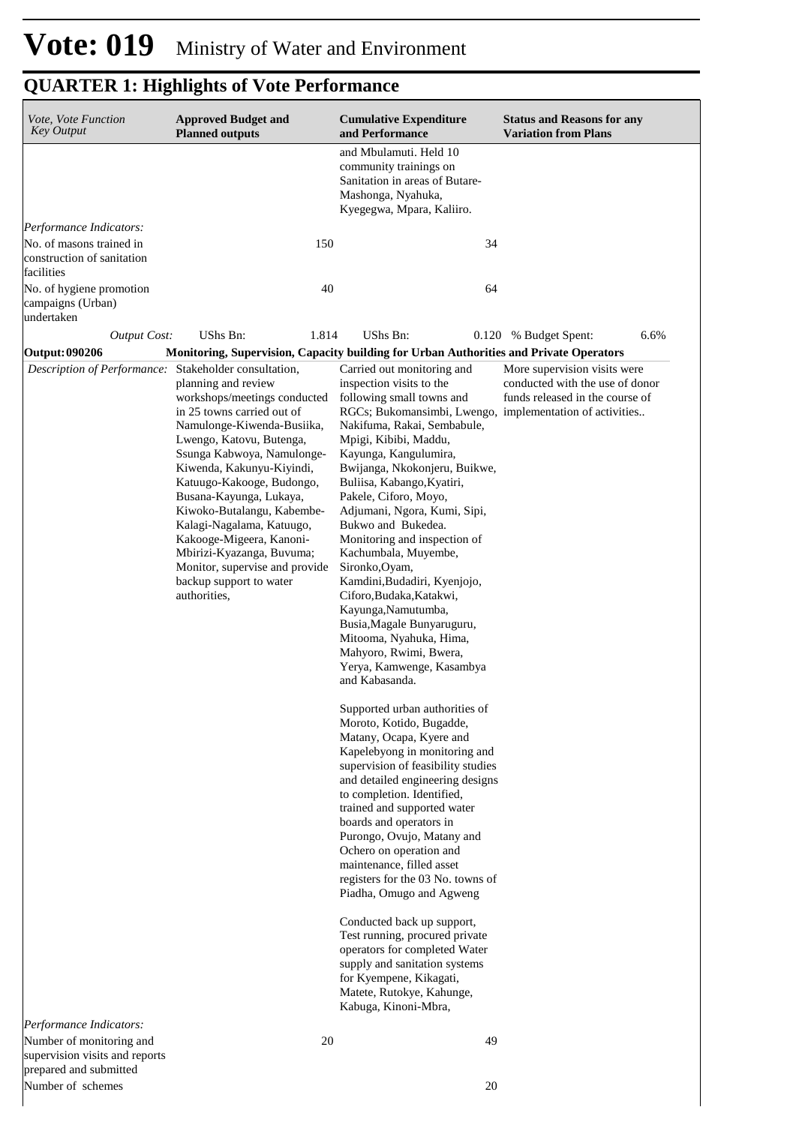| Vote, Vote Function<br><b>Key Output</b>                    | <b>Approved Budget and</b><br><b>Planned outputs</b>                                                                                                                                                                                                                                                                                                                                                                                                                                         |       | <b>Cumulative Expenditure</b><br>and Performance                                                                                                                                                                                                                                                                                                                                                                                                                                                                                                                                                                                                                                                                                                                                                                                                                                                                                                                                                                                                                                                                                                                                                                                                                                                                                                    | <b>Status and Reasons for any</b><br><b>Variation from Plans</b>                                   |
|-------------------------------------------------------------|----------------------------------------------------------------------------------------------------------------------------------------------------------------------------------------------------------------------------------------------------------------------------------------------------------------------------------------------------------------------------------------------------------------------------------------------------------------------------------------------|-------|-----------------------------------------------------------------------------------------------------------------------------------------------------------------------------------------------------------------------------------------------------------------------------------------------------------------------------------------------------------------------------------------------------------------------------------------------------------------------------------------------------------------------------------------------------------------------------------------------------------------------------------------------------------------------------------------------------------------------------------------------------------------------------------------------------------------------------------------------------------------------------------------------------------------------------------------------------------------------------------------------------------------------------------------------------------------------------------------------------------------------------------------------------------------------------------------------------------------------------------------------------------------------------------------------------------------------------------------------------|----------------------------------------------------------------------------------------------------|
|                                                             |                                                                                                                                                                                                                                                                                                                                                                                                                                                                                              |       | and Mbulamuti. Held 10<br>community trainings on<br>Sanitation in areas of Butare-<br>Mashonga, Nyahuka,<br>Kyegegwa, Mpara, Kaliiro.                                                                                                                                                                                                                                                                                                                                                                                                                                                                                                                                                                                                                                                                                                                                                                                                                                                                                                                                                                                                                                                                                                                                                                                                               |                                                                                                    |
| Performance Indicators:                                     |                                                                                                                                                                                                                                                                                                                                                                                                                                                                                              |       |                                                                                                                                                                                                                                                                                                                                                                                                                                                                                                                                                                                                                                                                                                                                                                                                                                                                                                                                                                                                                                                                                                                                                                                                                                                                                                                                                     |                                                                                                    |
| No. of masons trained in<br>construction of sanitation      |                                                                                                                                                                                                                                                                                                                                                                                                                                                                                              | 150   | 34                                                                                                                                                                                                                                                                                                                                                                                                                                                                                                                                                                                                                                                                                                                                                                                                                                                                                                                                                                                                                                                                                                                                                                                                                                                                                                                                                  |                                                                                                    |
| facilities                                                  |                                                                                                                                                                                                                                                                                                                                                                                                                                                                                              |       |                                                                                                                                                                                                                                                                                                                                                                                                                                                                                                                                                                                                                                                                                                                                                                                                                                                                                                                                                                                                                                                                                                                                                                                                                                                                                                                                                     |                                                                                                    |
| No. of hygiene promotion<br>campaigns (Urban)<br>undertaken |                                                                                                                                                                                                                                                                                                                                                                                                                                                                                              | 40    | 64                                                                                                                                                                                                                                                                                                                                                                                                                                                                                                                                                                                                                                                                                                                                                                                                                                                                                                                                                                                                                                                                                                                                                                                                                                                                                                                                                  |                                                                                                    |
| <b>Output Cost:</b>                                         | UShs Bn:                                                                                                                                                                                                                                                                                                                                                                                                                                                                                     | 1.814 | UShs Bn:                                                                                                                                                                                                                                                                                                                                                                                                                                                                                                                                                                                                                                                                                                                                                                                                                                                                                                                                                                                                                                                                                                                                                                                                                                                                                                                                            | 0.120 % Budget Spent:<br>6.6%                                                                      |
| <b>Output: 090206</b>                                       |                                                                                                                                                                                                                                                                                                                                                                                                                                                                                              |       | Monitoring, Supervision, Capacity building for Urban Authorities and Private Operators                                                                                                                                                                                                                                                                                                                                                                                                                                                                                                                                                                                                                                                                                                                                                                                                                                                                                                                                                                                                                                                                                                                                                                                                                                                              |                                                                                                    |
| Description of Performance:                                 | Stakeholder consultation,<br>planning and review<br>workshops/meetings conducted<br>in 25 towns carried out of<br>Namulonge-Kiwenda-Busiika,<br>Lwengo, Katovu, Butenga,<br>Ssunga Kabwoya, Namulonge-<br>Kiwenda, Kakunyu-Kiyindi,<br>Katuugo-Kakooge, Budongo,<br>Busana-Kayunga, Lukaya,<br>Kiwoko-Butalangu, Kabembe-<br>Kalagi-Nagalama, Katuugo,<br>Kakooge-Migeera, Kanoni-<br>Mbirizi-Kyazanga, Buvuma;<br>Monitor, supervise and provide<br>backup support to water<br>authorities, |       | Carried out monitoring and<br>inspection visits to the<br>following small towns and<br>RGCs; Bukomansimbi, Lwengo, implementation of activities<br>Nakifuma, Rakai, Sembabule,<br>Mpigi, Kibibi, Maddu,<br>Kayunga, Kangulumira,<br>Bwijanga, Nkokonjeru, Buikwe,<br>Buliisa, Kabango, Kyatiri,<br>Pakele, Ciforo, Moyo,<br>Adjumani, Ngora, Kumi, Sipi,<br>Bukwo and Bukedea.<br>Monitoring and inspection of<br>Kachumbala, Muyembe,<br>Sironko, Oyam,<br>Kamdini, Budadiri, Kyenjojo,<br>Ciforo, Budaka, Katakwi,<br>Kayunga, Namutumba,<br>Busia, Magale Bunyaruguru,<br>Mitooma, Nyahuka, Hima,<br>Mahyoro, Rwimi, Bwera,<br>Yerya, Kamwenge, Kasambya<br>and Kabasanda.<br>Supported urban authorities of<br>Moroto, Kotido, Bugadde,<br>Matany, Ocapa, Kyere and<br>Kapelebyong in monitoring and<br>supervision of feasibility studies<br>and detailed engineering designs<br>to completion. Identified,<br>trained and supported water<br>boards and operators in<br>Purongo, Ovujo, Matany and<br>Ochero on operation and<br>maintenance, filled asset<br>registers for the 03 No. towns of<br>Piadha, Omugo and Agweng<br>Conducted back up support,<br>Test running, procured private<br>operators for completed Water<br>supply and sanitation systems<br>for Kyempene, Kikagati,<br>Matete, Rutokye, Kahunge,<br>Kabuga, Kinoni-Mbra, | More supervision visits were<br>conducted with the use of donor<br>funds released in the course of |
|                                                             |                                                                                                                                                                                                                                                                                                                                                                                                                                                                                              |       |                                                                                                                                                                                                                                                                                                                                                                                                                                                                                                                                                                                                                                                                                                                                                                                                                                                                                                                                                                                                                                                                                                                                                                                                                                                                                                                                                     |                                                                                                    |
| Performance Indicators:<br>Number of monitoring and         |                                                                                                                                                                                                                                                                                                                                                                                                                                                                                              | 20    | 49                                                                                                                                                                                                                                                                                                                                                                                                                                                                                                                                                                                                                                                                                                                                                                                                                                                                                                                                                                                                                                                                                                                                                                                                                                                                                                                                                  |                                                                                                    |
| supervision visits and reports<br>prepared and submitted    |                                                                                                                                                                                                                                                                                                                                                                                                                                                                                              |       |                                                                                                                                                                                                                                                                                                                                                                                                                                                                                                                                                                                                                                                                                                                                                                                                                                                                                                                                                                                                                                                                                                                                                                                                                                                                                                                                                     |                                                                                                    |
| Number of schemes                                           |                                                                                                                                                                                                                                                                                                                                                                                                                                                                                              |       | 20                                                                                                                                                                                                                                                                                                                                                                                                                                                                                                                                                                                                                                                                                                                                                                                                                                                                                                                                                                                                                                                                                                                                                                                                                                                                                                                                                  |                                                                                                    |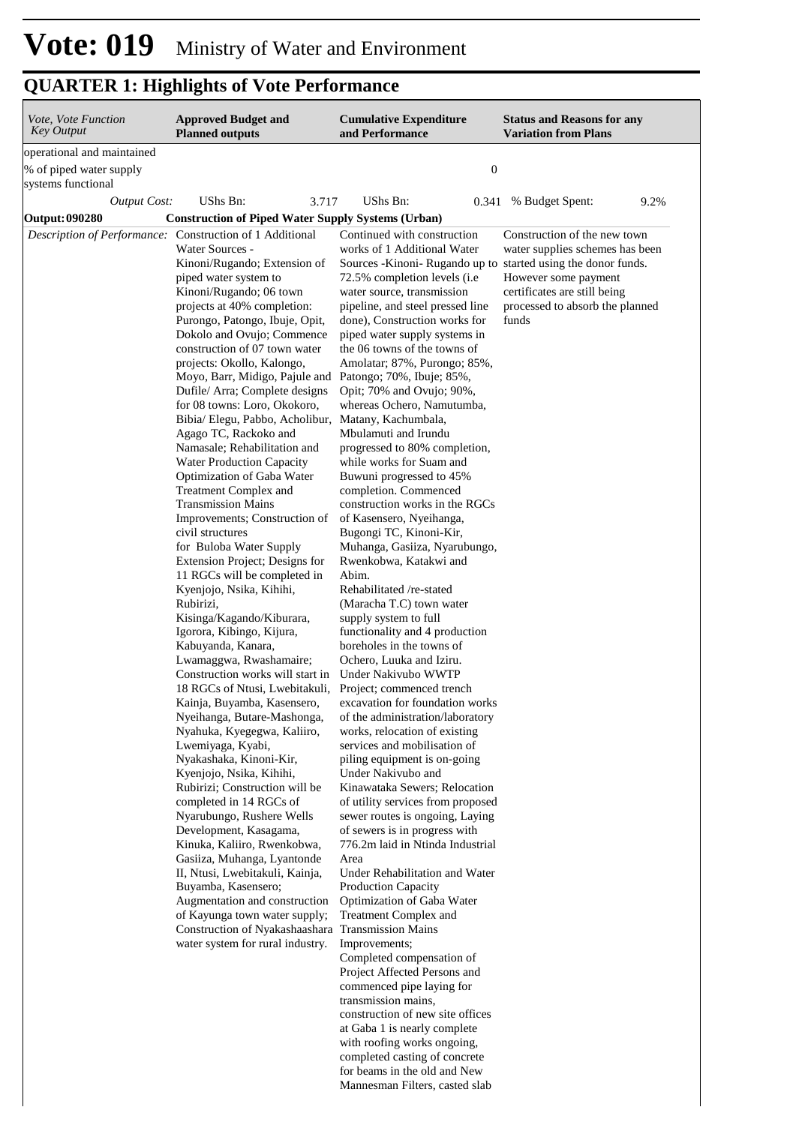| Vote, Vote Function<br>Key Output                                           | <b>Approved Budget and</b><br><b>Planned outputs</b>                                                                                                                                                                                                                                                                                                                                                                                                                                                                                                                                                                                                                                                                                                                                                                                                                                                                                                                                                                                                                                                                                                                                                                                                                                                                                                                                                                                                                                                                                                                                                                                                            | <b>Cumulative Expenditure</b><br>and Performance                                                                                                                                                                                                                                                                                                                                                                                                                                                                                                                                                                                                                                                                                                                                                                                                                                                                                                                                                                                                                                                                                                                                                                                                                                                                                                                                                                                                                                                                                                                                                                                                                                                                                                                                                               | <b>Status and Reasons for any</b><br><b>Variation from Plans</b>                                                                                                    |
|-----------------------------------------------------------------------------|-----------------------------------------------------------------------------------------------------------------------------------------------------------------------------------------------------------------------------------------------------------------------------------------------------------------------------------------------------------------------------------------------------------------------------------------------------------------------------------------------------------------------------------------------------------------------------------------------------------------------------------------------------------------------------------------------------------------------------------------------------------------------------------------------------------------------------------------------------------------------------------------------------------------------------------------------------------------------------------------------------------------------------------------------------------------------------------------------------------------------------------------------------------------------------------------------------------------------------------------------------------------------------------------------------------------------------------------------------------------------------------------------------------------------------------------------------------------------------------------------------------------------------------------------------------------------------------------------------------------------------------------------------------------|----------------------------------------------------------------------------------------------------------------------------------------------------------------------------------------------------------------------------------------------------------------------------------------------------------------------------------------------------------------------------------------------------------------------------------------------------------------------------------------------------------------------------------------------------------------------------------------------------------------------------------------------------------------------------------------------------------------------------------------------------------------------------------------------------------------------------------------------------------------------------------------------------------------------------------------------------------------------------------------------------------------------------------------------------------------------------------------------------------------------------------------------------------------------------------------------------------------------------------------------------------------------------------------------------------------------------------------------------------------------------------------------------------------------------------------------------------------------------------------------------------------------------------------------------------------------------------------------------------------------------------------------------------------------------------------------------------------------------------------------------------------------------------------------------------------|---------------------------------------------------------------------------------------------------------------------------------------------------------------------|
| operational and maintained<br>% of piped water supply<br>systems functional |                                                                                                                                                                                                                                                                                                                                                                                                                                                                                                                                                                                                                                                                                                                                                                                                                                                                                                                                                                                                                                                                                                                                                                                                                                                                                                                                                                                                                                                                                                                                                                                                                                                                 | $\boldsymbol{0}$                                                                                                                                                                                                                                                                                                                                                                                                                                                                                                                                                                                                                                                                                                                                                                                                                                                                                                                                                                                                                                                                                                                                                                                                                                                                                                                                                                                                                                                                                                                                                                                                                                                                                                                                                                                               |                                                                                                                                                                     |
| <b>Output Cost:</b>                                                         | UShs Bn:<br>3.717                                                                                                                                                                                                                                                                                                                                                                                                                                                                                                                                                                                                                                                                                                                                                                                                                                                                                                                                                                                                                                                                                                                                                                                                                                                                                                                                                                                                                                                                                                                                                                                                                                               | UShs Bn:<br>0.341                                                                                                                                                                                                                                                                                                                                                                                                                                                                                                                                                                                                                                                                                                                                                                                                                                                                                                                                                                                                                                                                                                                                                                                                                                                                                                                                                                                                                                                                                                                                                                                                                                                                                                                                                                                              | 9.2%<br>% Budget Spent:                                                                                                                                             |
| Output: 090280                                                              | <b>Construction of Piped Water Supply Systems (Urban)</b>                                                                                                                                                                                                                                                                                                                                                                                                                                                                                                                                                                                                                                                                                                                                                                                                                                                                                                                                                                                                                                                                                                                                                                                                                                                                                                                                                                                                                                                                                                                                                                                                       |                                                                                                                                                                                                                                                                                                                                                                                                                                                                                                                                                                                                                                                                                                                                                                                                                                                                                                                                                                                                                                                                                                                                                                                                                                                                                                                                                                                                                                                                                                                                                                                                                                                                                                                                                                                                                |                                                                                                                                                                     |
|                                                                             | Description of Performance: Construction of 1 Additional<br>Water Sources -<br>Kinoni/Rugando; Extension of<br>piped water system to<br>Kinoni/Rugando; 06 town<br>projects at 40% completion:<br>Purongo, Patongo, Ibuje, Opit,<br>Dokolo and Ovujo; Commence<br>construction of 07 town water<br>projects: Okollo, Kalongo,<br>Moyo, Barr, Midigo, Pajule and Patongo; 70%, Ibuje; 85%,<br>Dufile/ Arra; Complete designs<br>for 08 towns: Loro, Okokoro,<br>Bibia/ Elegu, Pabbo, Acholibur, Matany, Kachumbala,<br>Agago TC, Rackoko and<br>Namasale; Rehabilitation and<br><b>Water Production Capacity</b><br>Optimization of Gaba Water<br>Treatment Complex and<br><b>Transmission Mains</b><br>Improvements; Construction of<br>civil structures<br>for Buloba Water Supply<br>Extension Project; Designs for<br>11 RGCs will be completed in<br>Kyenjojo, Nsika, Kihihi,<br>Rubirizi,<br>Kisinga/Kagando/Kiburara,<br>Igorora, Kibingo, Kijura,<br>Kabuyanda, Kanara,<br>Lwamaggwa, Rwashamaire;<br>Construction works will start in<br>18 RGCs of Ntusi, Lwebitakuli,<br>Kainja, Buyamba, Kasensero,<br>Nyeihanga, Butare-Mashonga,<br>Nyahuka, Kyegegwa, Kaliiro,<br>Lwemiyaga, Kyabi,<br>Nyakashaka, Kinoni-Kir,<br>Kyenjojo, Nsika, Kihihi,<br>Rubirizi; Construction will be<br>completed in 14 RGCs of<br>Nyarubungo, Rushere Wells<br>Development, Kasagama,<br>Kinuka, Kaliiro, Rwenkobwa,<br>Gasiiza, Muhanga, Lyantonde<br>II, Ntusi, Lwebitakuli, Kainja,<br>Buyamba, Kasensero;<br>Augmentation and construction<br>of Kayunga town water supply;<br>Construction of Nyakashaashara Transmission Mains<br>water system for rural industry. | Continued with construction<br>works of 1 Additional Water<br>Sources - Kinoni- Rugando up to started using the donor funds.<br>72.5% completion levels (i.e<br>water source, transmission<br>pipeline, and steel pressed line<br>done), Construction works for<br>piped water supply systems in<br>the 06 towns of the towns of<br>Amolatar; 87%, Purongo; 85%,<br>Opit; 70% and Ovujo; 90%,<br>whereas Ochero, Namutumba,<br>Mbulamuti and Irundu<br>progressed to 80% completion,<br>while works for Suam and<br>Buwuni progressed to 45%<br>completion. Commenced<br>construction works in the RGCs<br>of Kasensero, Nyeihanga,<br>Bugongi TC, Kinoni-Kir,<br>Muhanga, Gasiiza, Nyarubungo,<br>Rwenkobwa, Katakwi and<br>Abim.<br>Rehabilitated /re-stated<br>(Maracha T.C) town water<br>supply system to full<br>functionality and 4 production<br>boreholes in the towns of<br>Ochero, Luuka and Iziru.<br>Under Nakivubo WWTP<br>Project; commenced trench<br>excavation for foundation works<br>of the administration/laboratory<br>works, relocation of existing<br>services and mobilisation of<br>piling equipment is on-going<br>Under Nakivubo and<br>Kinawataka Sewers; Relocation<br>of utility services from proposed<br>sewer routes is ongoing, Laying<br>of sewers is in progress with<br>776.2m laid in Ntinda Industrial<br>Area<br>Under Rehabilitation and Water<br>Production Capacity<br>Optimization of Gaba Water<br>Treatment Complex and<br>Improvements;<br>Completed compensation of<br>Project Affected Persons and<br>commenced pipe laying for<br>transmission mains,<br>construction of new site offices<br>at Gaba 1 is nearly complete<br>with roofing works ongoing,<br>completed casting of concrete<br>for beams in the old and New<br>Mannesman Filters, casted slab | Construction of the new town<br>water supplies schemes has been<br>However some payment<br>certificates are still being<br>processed to absorb the planned<br>funds |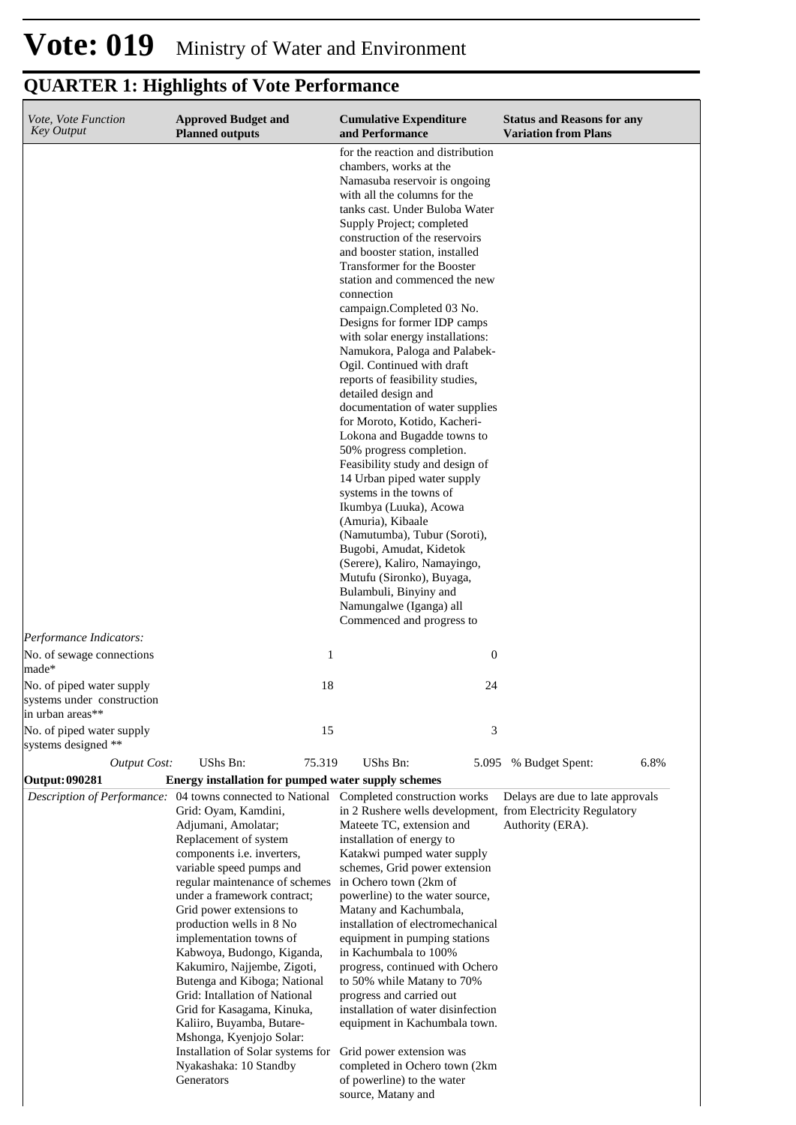#### **Cumulative Expenditure and Performance Approved Budget and Planned outputs Status and Reasons for any Variation from Plans** *Vote, Vote Function Key Output* for the reaction and distribution chambers, works at the Namasuba reservoir is ongoing with all the columns for the tanks cast. Under Buloba Water Supply Project; completed construction of the reservoirs and booster station, installed Transformer for the Booster station and commenced the new connection campaign.Completed 03 No. Designs for former IDP camps with solar energy installations: Namukora, Paloga and Palabek-Ogil. Continued with draft reports of feasibility studies, detailed design and documentation of water supplies for Moroto, Kotido, Kacheri-Lokona and Bugadde towns to 50% progress completion. Feasibility study and design of 14 Urban piped water supply systems in the towns of Ikumbya (Luuka), Acowa (Amuria), Kibaale (Namutumba), Tubur (Soroti), Bugobi, Amudat, Kidetok (Serere), Kaliro, Namayingo, Mutufu (Sironko), Buyaga, Bulambuli, Binyiny and Namungalwe (Iganga) all Commenced and progress to *Output Cost:* UShs Bn: 75.319 UShs Bn: 5.095 % Budget Spent: 6.8% *Performance Indicators:* No. of sewage connections made\* 1 0 No. of piped water supply systems under construction in urban areas\*\* 18 24 No. of piped water supply systems designed \*\* 15 3 **Output: 090281 Energy installation for pumped water supply schemes**  *Description of Performance:* 04 towns connected to National Completed construction works Grid: Oyam, Kamdini, Adjumani, Amolatar; Replacement of system components i.e. inverters, variable speed pumps and regular maintenance of schemes under a framework contract; Grid power extensions to production wells in 8 No implementation towns of Kabwoya, Budongo, Kiganda, Kakumiro, Najjembe, Zigoti, Butenga and Kiboga; National Grid: Intallation of National Grid for Kasagama, Kinuka, Kaliiro, Buyamba, Butare-Mshonga, Kyenjojo Solar: Installation of Solar systems for Nyakashaka: 10 Standby **Generators** in 2 Rushere wells development, from Electricity Regulatory Mateete TC, extension and installation of energy to Katakwi pumped water supply schemes, Grid power extension in Ochero town (2km of powerline) to the water source, Matany and Kachumbala, installation of electromechanical equipment in pumping stations in Kachumbala to 100% progress, continued with Ochero to 50% while Matany to 70% progress and carried out installation of water disinfection equipment in Kachumbala town. Grid power extension was completed in Ochero town (2km of powerline) to the water source, Matany and Delays are due to late approvals Authority (ERA).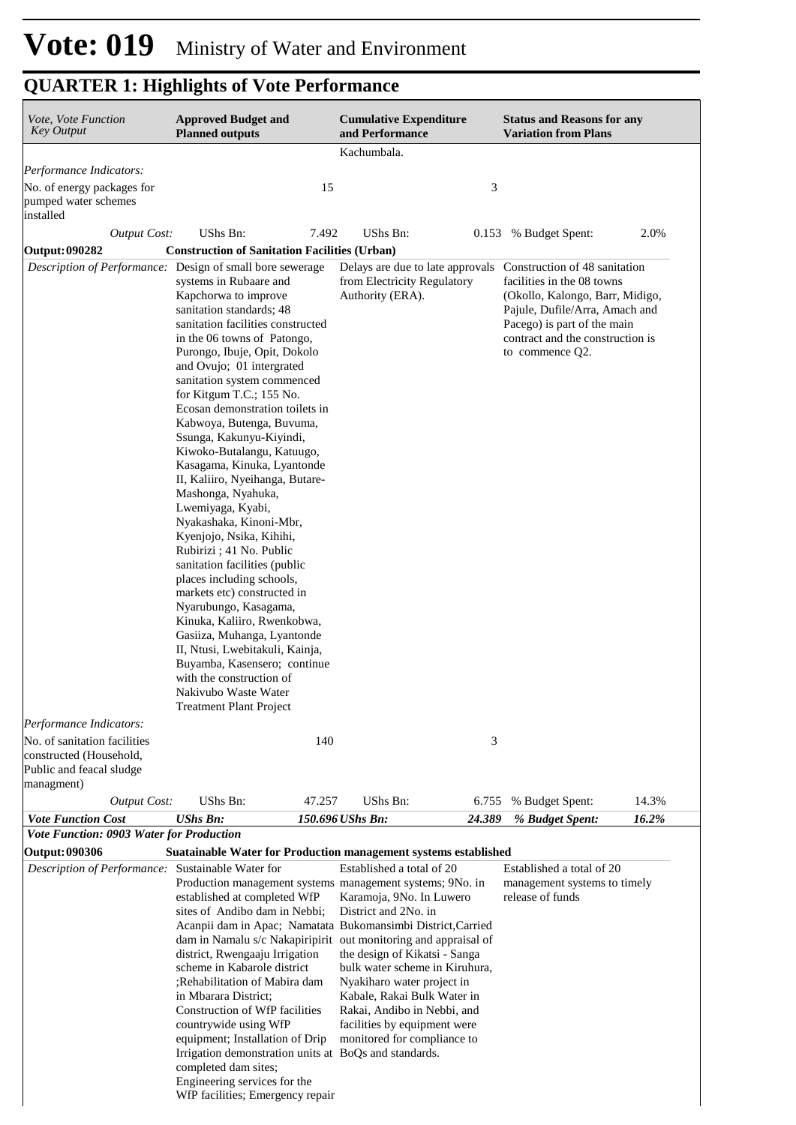| Vote, Vote Function<br>Key Output                                                                               | <b>Approved Budget and</b><br><b>Planned outputs</b>                                                                                                                                                                                                                                                                                                                                                                                                                                                                                                                                                                                                                                                                                                                                                                                                                                                                                          |        | <b>Cumulative Expenditure</b><br>and Performance                                                                                                                                                                                                                                                                                                                                                                                                                               |        | <b>Status and Reasons for any</b><br><b>Variation from Plans</b>                                                                                                                                                       |       |
|-----------------------------------------------------------------------------------------------------------------|-----------------------------------------------------------------------------------------------------------------------------------------------------------------------------------------------------------------------------------------------------------------------------------------------------------------------------------------------------------------------------------------------------------------------------------------------------------------------------------------------------------------------------------------------------------------------------------------------------------------------------------------------------------------------------------------------------------------------------------------------------------------------------------------------------------------------------------------------------------------------------------------------------------------------------------------------|--------|--------------------------------------------------------------------------------------------------------------------------------------------------------------------------------------------------------------------------------------------------------------------------------------------------------------------------------------------------------------------------------------------------------------------------------------------------------------------------------|--------|------------------------------------------------------------------------------------------------------------------------------------------------------------------------------------------------------------------------|-------|
|                                                                                                                 |                                                                                                                                                                                                                                                                                                                                                                                                                                                                                                                                                                                                                                                                                                                                                                                                                                                                                                                                               |        | Kachumbala.                                                                                                                                                                                                                                                                                                                                                                                                                                                                    |        |                                                                                                                                                                                                                        |       |
| Performance Indicators:                                                                                         |                                                                                                                                                                                                                                                                                                                                                                                                                                                                                                                                                                                                                                                                                                                                                                                                                                                                                                                                               |        |                                                                                                                                                                                                                                                                                                                                                                                                                                                                                |        |                                                                                                                                                                                                                        |       |
| No. of energy packages for<br>pumped water schemes<br>installed                                                 |                                                                                                                                                                                                                                                                                                                                                                                                                                                                                                                                                                                                                                                                                                                                                                                                                                                                                                                                               | 15     |                                                                                                                                                                                                                                                                                                                                                                                                                                                                                | 3      |                                                                                                                                                                                                                        |       |
| <b>Output Cost:</b>                                                                                             | UShs Bn:                                                                                                                                                                                                                                                                                                                                                                                                                                                                                                                                                                                                                                                                                                                                                                                                                                                                                                                                      | 7.492  | UShs Bn:                                                                                                                                                                                                                                                                                                                                                                                                                                                                       | 0.153  | % Budget Spent:                                                                                                                                                                                                        | 2.0%  |
| Output: 090282                                                                                                  | <b>Construction of Sanitation Facilities (Urban)</b>                                                                                                                                                                                                                                                                                                                                                                                                                                                                                                                                                                                                                                                                                                                                                                                                                                                                                          |        |                                                                                                                                                                                                                                                                                                                                                                                                                                                                                |        |                                                                                                                                                                                                                        |       |
| Description of Performance: Design of small bore sewerage                                                       | systems in Rubaare and<br>Kapchorwa to improve<br>sanitation standards; 48<br>sanitation facilities constructed<br>in the 06 towns of Patongo,<br>Purongo, Ibuje, Opit, Dokolo<br>and Ovujo; 01 intergrated<br>sanitation system commenced<br>for Kitgum T.C.; 155 No.<br>Ecosan demonstration toilets in<br>Kabwoya, Butenga, Buvuma,<br>Ssunga, Kakunyu-Kiyindi,<br>Kiwoko-Butalangu, Katuugo,<br>Kasagama, Kinuka, Lyantonde<br>II, Kaliiro, Nyeihanga, Butare-<br>Mashonga, Nyahuka,<br>Lwemiyaga, Kyabi,<br>Nyakashaka, Kinoni-Mbr,<br>Kyenjojo, Nsika, Kihihi,<br>Rubirizi ; 41 No. Public<br>sanitation facilities (public<br>places including schools,<br>markets etc) constructed in<br>Nyarubungo, Kasagama,<br>Kinuka, Kaliiro, Rwenkobwa,<br>Gasiiza, Muhanga, Lyantonde<br>II, Ntusi, Lwebitakuli, Kainja,<br>Buyamba, Kasensero; continue<br>with the construction of<br>Nakivubo Waste Water<br><b>Treatment Plant Project</b> |        | Delays are due to late approvals<br>from Electricity Regulatory<br>Authority (ERA).                                                                                                                                                                                                                                                                                                                                                                                            |        | Construction of 48 sanitation<br>facilities in the 08 towns<br>(Okollo, Kalongo, Barr, Midigo,<br>Pajule, Dufile/Arra, Amach and<br>Pacego) is part of the main<br>contract and the construction is<br>to commence Q2. |       |
| Performance Indicators:                                                                                         |                                                                                                                                                                                                                                                                                                                                                                                                                                                                                                                                                                                                                                                                                                                                                                                                                                                                                                                                               |        |                                                                                                                                                                                                                                                                                                                                                                                                                                                                                |        |                                                                                                                                                                                                                        |       |
| No. of sanitation facilities<br>constructed (Household,<br>Public and feacal sludge<br>managment)               |                                                                                                                                                                                                                                                                                                                                                                                                                                                                                                                                                                                                                                                                                                                                                                                                                                                                                                                                               | 140    |                                                                                                                                                                                                                                                                                                                                                                                                                                                                                | 3      |                                                                                                                                                                                                                        |       |
| <b>Output Cost:</b>                                                                                             | UShs Bn:                                                                                                                                                                                                                                                                                                                                                                                                                                                                                                                                                                                                                                                                                                                                                                                                                                                                                                                                      | 47.257 | UShs Bn:                                                                                                                                                                                                                                                                                                                                                                                                                                                                       | 6.755  | % Budget Spent:                                                                                                                                                                                                        | 14.3% |
| <b>Vote Function Cost</b>                                                                                       | <b>UShs Bn:</b>                                                                                                                                                                                                                                                                                                                                                                                                                                                                                                                                                                                                                                                                                                                                                                                                                                                                                                                               |        | 150.696 UShs Bn:                                                                                                                                                                                                                                                                                                                                                                                                                                                               | 24.389 | % Budget Spent:                                                                                                                                                                                                        | 16.2% |
| Vote Function: 0903 Water for Production<br>Output: 090306<br>Description of Performance: Sustainable Water for | Suatainable Water for Production management systems established                                                                                                                                                                                                                                                                                                                                                                                                                                                                                                                                                                                                                                                                                                                                                                                                                                                                               |        | Established a total of 20                                                                                                                                                                                                                                                                                                                                                                                                                                                      |        | Established a total of 20                                                                                                                                                                                              |       |
|                                                                                                                 | established at completed WfP<br>sites of Andibo dam in Nebbi;<br>district, Rwengaaju Irrigation<br>scheme in Kabarole district<br>Rehabilitation of Mabira dam;<br>in Mbarara District;<br>Construction of WfP facilities<br>countrywide using WfP<br>equipment; Installation of Drip<br>Irrigation demonstration units at BoQs and standards.<br>completed dam sites;<br>Engineering services for the<br>WfP facilities; Emergency repair                                                                                                                                                                                                                                                                                                                                                                                                                                                                                                    |        | Production management systems management systems; 9No. in<br>Karamoja, 9No. In Luwero<br>District and 2No. in<br>Acanpii dam in Apac; Namatata Bukomansimbi District, Carried<br>dam in Namalu s/c Nakapiripirit out monitoring and appraisal of<br>the design of Kikatsi - Sanga<br>bulk water scheme in Kiruhura,<br>Nyakiharo water project in<br>Kabale, Rakai Bulk Water in<br>Rakai, Andibo in Nebbi, and<br>facilities by equipment were<br>monitored for compliance to |        | management systems to timely<br>release of funds                                                                                                                                                                       |       |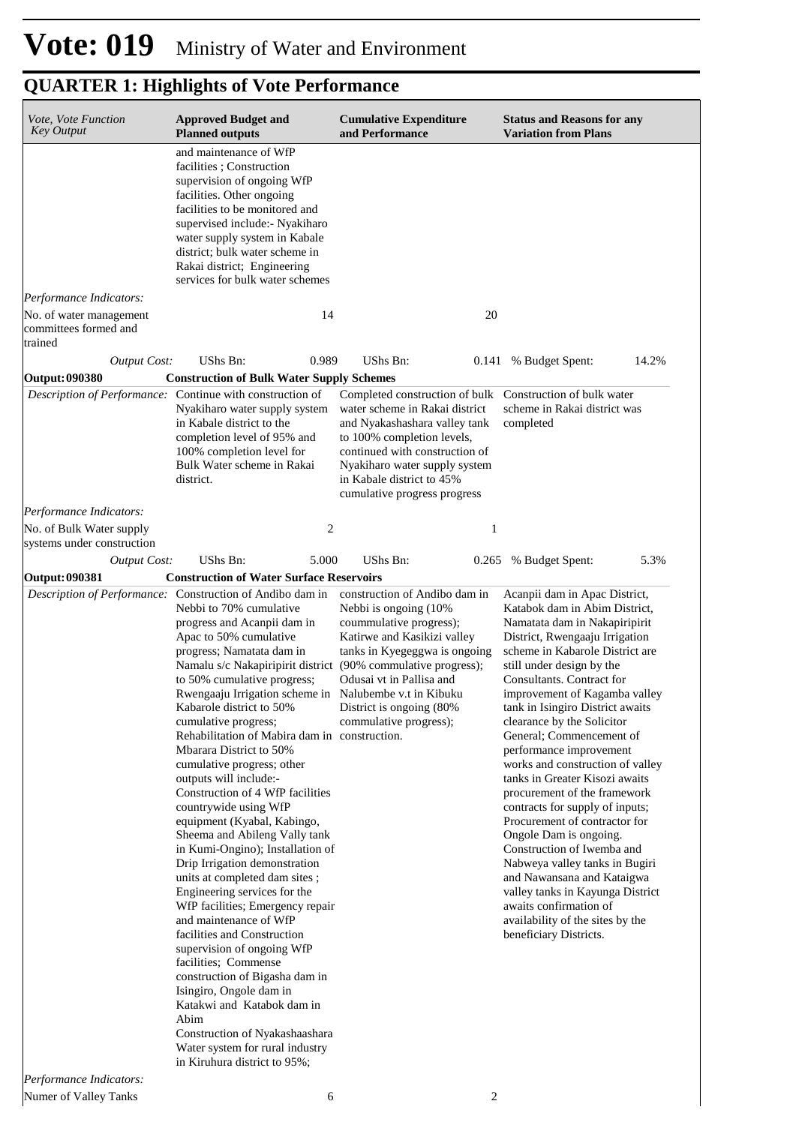| Vote, Vote Function<br><b>Key Output</b>                                    | <b>Approved Budget and</b><br><b>Planned outputs</b>                                                                                                                                                                                                                                                                                                                                                                                                                                                                                                                                                                                                                                                                                                                                                                                                                                                                                                                                                                                                                                                                                                       | <b>Cumulative Expenditure</b><br>and Performance                                                                                                                                                                                                                | <b>Status and Reasons for any</b><br><b>Variation from Plans</b>                                                                                                                                                                                                                                                                                                                                                                                                                                                                                                                                                                                                                                                                                                                                                       |
|-----------------------------------------------------------------------------|------------------------------------------------------------------------------------------------------------------------------------------------------------------------------------------------------------------------------------------------------------------------------------------------------------------------------------------------------------------------------------------------------------------------------------------------------------------------------------------------------------------------------------------------------------------------------------------------------------------------------------------------------------------------------------------------------------------------------------------------------------------------------------------------------------------------------------------------------------------------------------------------------------------------------------------------------------------------------------------------------------------------------------------------------------------------------------------------------------------------------------------------------------|-----------------------------------------------------------------------------------------------------------------------------------------------------------------------------------------------------------------------------------------------------------------|------------------------------------------------------------------------------------------------------------------------------------------------------------------------------------------------------------------------------------------------------------------------------------------------------------------------------------------------------------------------------------------------------------------------------------------------------------------------------------------------------------------------------------------------------------------------------------------------------------------------------------------------------------------------------------------------------------------------------------------------------------------------------------------------------------------------|
|                                                                             | and maintenance of WfP<br>facilities; Construction<br>supervision of ongoing WfP<br>facilities. Other ongoing<br>facilities to be monitored and<br>supervised include: - Nyakiharo<br>water supply system in Kabale<br>district; bulk water scheme in<br>Rakai district; Engineering<br>services for bulk water schemes                                                                                                                                                                                                                                                                                                                                                                                                                                                                                                                                                                                                                                                                                                                                                                                                                                    |                                                                                                                                                                                                                                                                 |                                                                                                                                                                                                                                                                                                                                                                                                                                                                                                                                                                                                                                                                                                                                                                                                                        |
| Performance Indicators:<br>No. of water management<br>committees formed and | 14                                                                                                                                                                                                                                                                                                                                                                                                                                                                                                                                                                                                                                                                                                                                                                                                                                                                                                                                                                                                                                                                                                                                                         | 20                                                                                                                                                                                                                                                              |                                                                                                                                                                                                                                                                                                                                                                                                                                                                                                                                                                                                                                                                                                                                                                                                                        |
| trained                                                                     |                                                                                                                                                                                                                                                                                                                                                                                                                                                                                                                                                                                                                                                                                                                                                                                                                                                                                                                                                                                                                                                                                                                                                            |                                                                                                                                                                                                                                                                 |                                                                                                                                                                                                                                                                                                                                                                                                                                                                                                                                                                                                                                                                                                                                                                                                                        |
| <b>Output Cost:</b>                                                         | UShs Bn:<br>0.989                                                                                                                                                                                                                                                                                                                                                                                                                                                                                                                                                                                                                                                                                                                                                                                                                                                                                                                                                                                                                                                                                                                                          | UShs Bn:                                                                                                                                                                                                                                                        | 14.2%<br>0.141 % Budget Spent:                                                                                                                                                                                                                                                                                                                                                                                                                                                                                                                                                                                                                                                                                                                                                                                         |
| Output: 090380                                                              | <b>Construction of Bulk Water Supply Schemes</b>                                                                                                                                                                                                                                                                                                                                                                                                                                                                                                                                                                                                                                                                                                                                                                                                                                                                                                                                                                                                                                                                                                           |                                                                                                                                                                                                                                                                 |                                                                                                                                                                                                                                                                                                                                                                                                                                                                                                                                                                                                                                                                                                                                                                                                                        |
|                                                                             | Description of Performance: Continue with construction of<br>Nyakiharo water supply system<br>in Kabale district to the<br>completion level of 95% and<br>100% completion level for<br>Bulk Water scheme in Rakai<br>district.                                                                                                                                                                                                                                                                                                                                                                                                                                                                                                                                                                                                                                                                                                                                                                                                                                                                                                                             | Completed construction of bulk<br>water scheme in Rakai district<br>and Nyakashashara valley tank<br>to 100% completion levels,<br>continued with construction of<br>Nyakiharo water supply system<br>in Kabale district to 45%<br>cumulative progress progress | Construction of bulk water<br>scheme in Rakai district was<br>completed                                                                                                                                                                                                                                                                                                                                                                                                                                                                                                                                                                                                                                                                                                                                                |
| Performance Indicators:                                                     |                                                                                                                                                                                                                                                                                                                                                                                                                                                                                                                                                                                                                                                                                                                                                                                                                                                                                                                                                                                                                                                                                                                                                            |                                                                                                                                                                                                                                                                 |                                                                                                                                                                                                                                                                                                                                                                                                                                                                                                                                                                                                                                                                                                                                                                                                                        |
| No. of Bulk Water supply<br>systems under construction                      | $\overline{2}$                                                                                                                                                                                                                                                                                                                                                                                                                                                                                                                                                                                                                                                                                                                                                                                                                                                                                                                                                                                                                                                                                                                                             | 1                                                                                                                                                                                                                                                               |                                                                                                                                                                                                                                                                                                                                                                                                                                                                                                                                                                                                                                                                                                                                                                                                                        |
| <b>Output Cost:</b>                                                         | UShs Bn:<br>5.000                                                                                                                                                                                                                                                                                                                                                                                                                                                                                                                                                                                                                                                                                                                                                                                                                                                                                                                                                                                                                                                                                                                                          | UShs Bn:                                                                                                                                                                                                                                                        | 5.3%<br>0.265 % Budget Spent:                                                                                                                                                                                                                                                                                                                                                                                                                                                                                                                                                                                                                                                                                                                                                                                          |
| <b>Output: 090381</b>                                                       | <b>Construction of Water Surface Reservoirs</b>                                                                                                                                                                                                                                                                                                                                                                                                                                                                                                                                                                                                                                                                                                                                                                                                                                                                                                                                                                                                                                                                                                            |                                                                                                                                                                                                                                                                 |                                                                                                                                                                                                                                                                                                                                                                                                                                                                                                                                                                                                                                                                                                                                                                                                                        |
|                                                                             | Description of Performance: Construction of Andibo dam in<br>Nebbi to 70% cumulative<br>progress and Acanpii dam in<br>Apac to 50% cumulative<br>progress; Namatata dam in<br>Namalu s/c Nakapiripirit district (90% commulative progress);<br>to 50% cumulative progress;<br>Rwengaaju Irrigation scheme in Nalubembe v.t in Kibuku<br>Kabarole district to 50%<br>cumulative progress;<br>Rehabilitation of Mabira dam in construction.<br>Mbarara District to 50%<br>cumulative progress; other<br>outputs will include:-<br>Construction of 4 WfP facilities<br>countrywide using WfP<br>equipment (Kyabal, Kabingo,<br>Sheema and Abileng Vally tank<br>in Kumi-Ongino); Installation of<br>Drip Irrigation demonstration<br>units at completed dam sites;<br>Engineering services for the<br>WfP facilities; Emergency repair<br>and maintenance of WfP<br>facilities and Construction<br>supervision of ongoing WfP<br>facilities; Commense<br>construction of Bigasha dam in<br>Isingiro, Ongole dam in<br>Katakwi and Katabok dam in<br>Abim<br>Construction of Nyakashaashara<br>Water system for rural industry<br>in Kiruhura district to 95%; | construction of Andibo dam in<br>Nebbi is ongoing (10%)<br>coummulative progress);<br>Katirwe and Kasikizi valley<br>tanks in Kyegeggwa is ongoing<br>Odusai vt in Pallisa and<br>District is ongoing (80%<br>commulative progress);                            | Acanpii dam in Apac District,<br>Katabok dam in Abim District,<br>Namatata dam in Nakapiripirit<br>District, Rwengaaju Irrigation<br>scheme in Kabarole District are<br>still under design by the<br>Consultants. Contract for<br>improvement of Kagamba valley<br>tank in Isingiro District awaits<br>clearance by the Solicitor<br>General; Commencement of<br>performance improvement<br>works and construction of valley<br>tanks in Greater Kisozi awaits<br>procurement of the framework<br>contracts for supply of inputs;<br>Procurement of contractor for<br>Ongole Dam is ongoing.<br>Construction of Iwemba and<br>Nabweya valley tanks in Bugiri<br>and Nawansana and Kataigwa<br>valley tanks in Kayunga District<br>awaits confirmation of<br>availability of the sites by the<br>beneficiary Districts. |
| Performance Indicators:                                                     |                                                                                                                                                                                                                                                                                                                                                                                                                                                                                                                                                                                                                                                                                                                                                                                                                                                                                                                                                                                                                                                                                                                                                            |                                                                                                                                                                                                                                                                 |                                                                                                                                                                                                                                                                                                                                                                                                                                                                                                                                                                                                                                                                                                                                                                                                                        |
| Numer of Valley Tanks                                                       | 6                                                                                                                                                                                                                                                                                                                                                                                                                                                                                                                                                                                                                                                                                                                                                                                                                                                                                                                                                                                                                                                                                                                                                          | 2                                                                                                                                                                                                                                                               |                                                                                                                                                                                                                                                                                                                                                                                                                                                                                                                                                                                                                                                                                                                                                                                                                        |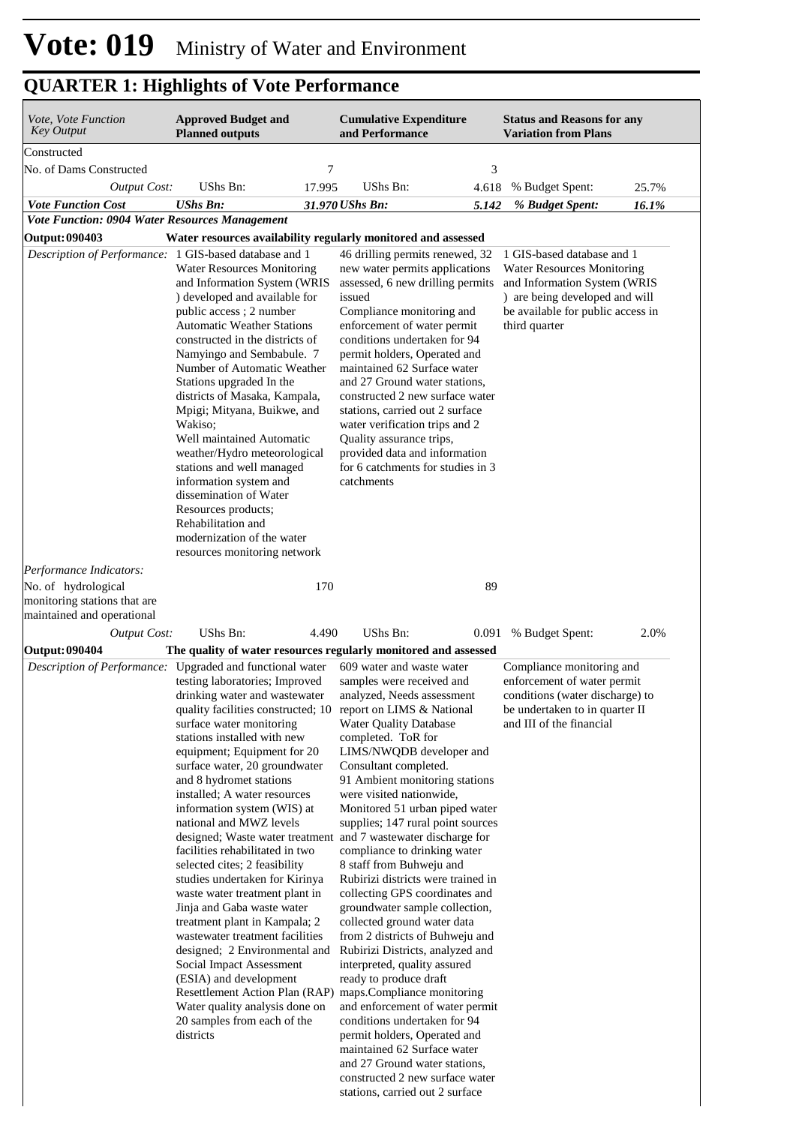| Vote, Vote Function<br><b>Key Output</b>                                                                                            | <b>Approved Budget and</b><br><b>Planned outputs</b>                                                                                                                                                                                                                                                                                                                                                                                                                                                                                                                                                                                                                                                                           |              | <b>Cumulative Expenditure</b><br>and Performance                                                                                                                                                                                                                                                                                                                                                                                                                                                                                                                                                                                                                                                                                                                                                                                                                                                                                                                                                                                                                                                                                                                                       |             | <b>Status and Reasons for any</b><br><b>Variation from Plans</b>                                                                                                                        |       |
|-------------------------------------------------------------------------------------------------------------------------------------|--------------------------------------------------------------------------------------------------------------------------------------------------------------------------------------------------------------------------------------------------------------------------------------------------------------------------------------------------------------------------------------------------------------------------------------------------------------------------------------------------------------------------------------------------------------------------------------------------------------------------------------------------------------------------------------------------------------------------------|--------------|----------------------------------------------------------------------------------------------------------------------------------------------------------------------------------------------------------------------------------------------------------------------------------------------------------------------------------------------------------------------------------------------------------------------------------------------------------------------------------------------------------------------------------------------------------------------------------------------------------------------------------------------------------------------------------------------------------------------------------------------------------------------------------------------------------------------------------------------------------------------------------------------------------------------------------------------------------------------------------------------------------------------------------------------------------------------------------------------------------------------------------------------------------------------------------------|-------------|-----------------------------------------------------------------------------------------------------------------------------------------------------------------------------------------|-------|
| Constructed                                                                                                                         |                                                                                                                                                                                                                                                                                                                                                                                                                                                                                                                                                                                                                                                                                                                                |              |                                                                                                                                                                                                                                                                                                                                                                                                                                                                                                                                                                                                                                                                                                                                                                                                                                                                                                                                                                                                                                                                                                                                                                                        |             |                                                                                                                                                                                         |       |
| No. of Dams Constructed                                                                                                             |                                                                                                                                                                                                                                                                                                                                                                                                                                                                                                                                                                                                                                                                                                                                | 7            |                                                                                                                                                                                                                                                                                                                                                                                                                                                                                                                                                                                                                                                                                                                                                                                                                                                                                                                                                                                                                                                                                                                                                                                        | 3           |                                                                                                                                                                                         |       |
| <b>Output Cost:</b>                                                                                                                 | UShs Bn:                                                                                                                                                                                                                                                                                                                                                                                                                                                                                                                                                                                                                                                                                                                       | 17.995       | UShs Bn:                                                                                                                                                                                                                                                                                                                                                                                                                                                                                                                                                                                                                                                                                                                                                                                                                                                                                                                                                                                                                                                                                                                                                                               | 4.618       | % Budget Spent:                                                                                                                                                                         | 25.7% |
| <b>Vote Function Cost</b>                                                                                                           | <b>UShs Bn:</b>                                                                                                                                                                                                                                                                                                                                                                                                                                                                                                                                                                                                                                                                                                                |              | 31.970 UShs Bn:                                                                                                                                                                                                                                                                                                                                                                                                                                                                                                                                                                                                                                                                                                                                                                                                                                                                                                                                                                                                                                                                                                                                                                        | 5.142       | % Budget Spent:                                                                                                                                                                         | 16.1% |
| Vote Function: 0904 Water Resources Management<br><b>Output: 090403</b>                                                             |                                                                                                                                                                                                                                                                                                                                                                                                                                                                                                                                                                                                                                                                                                                                |              | Water resources availability regularly monitored and assessed                                                                                                                                                                                                                                                                                                                                                                                                                                                                                                                                                                                                                                                                                                                                                                                                                                                                                                                                                                                                                                                                                                                          |             |                                                                                                                                                                                         |       |
| Description of Performance: 1 GIS-based database and 1                                                                              | <b>Water Resources Monitoring</b><br>and Information System (WRIS<br>) developed and available for<br>public access; 2 number<br><b>Automatic Weather Stations</b><br>constructed in the districts of<br>Namyingo and Sembabule. 7<br>Number of Automatic Weather<br>Stations upgraded In the<br>districts of Masaka, Kampala,<br>Mpigi; Mityana, Buikwe, and<br>Wakiso:<br>Well maintained Automatic<br>weather/Hydro meteorological<br>stations and well managed<br>information system and<br>dissemination of Water<br>Resources products;<br>Rehabilitation and<br>modernization of the water<br>resources monitoring network                                                                                              |              | 46 drilling permits renewed, 32<br>new water permits applications<br>assessed, 6 new drilling permits<br>issued<br>Compliance monitoring and<br>enforcement of water permit<br>conditions undertaken for 94<br>permit holders, Operated and<br>maintained 62 Surface water<br>and 27 Ground water stations,<br>constructed 2 new surface water<br>stations, carried out 2 surface<br>water verification trips and 2<br>Quality assurance trips,<br>provided data and information<br>for 6 catchments for studies in 3<br>catchments                                                                                                                                                                                                                                                                                                                                                                                                                                                                                                                                                                                                                                                    |             | 1 GIS-based database and 1<br><b>Water Resources Monitoring</b><br>and Information System (WRIS<br>) are being developed and will<br>be available for public access in<br>third quarter |       |
| Performance Indicators:<br>No. of hydrological<br>monitoring stations that are<br>maintained and operational<br><b>Output Cost:</b> | UShs Bn:                                                                                                                                                                                                                                                                                                                                                                                                                                                                                                                                                                                                                                                                                                                       | 170<br>4.490 | UShs Bn:                                                                                                                                                                                                                                                                                                                                                                                                                                                                                                                                                                                                                                                                                                                                                                                                                                                                                                                                                                                                                                                                                                                                                                               | 89<br>0.091 | % Budget Spent:                                                                                                                                                                         | 2.0%  |
| <b>Output: 090404</b><br>Description of Performance: Upgraded and functional water                                                  | testing laboratories; Improved<br>drinking water and wastewater<br>surface water monitoring<br>stations installed with new<br>equipment; Equipment for 20<br>surface water, 20 groundwater<br>and 8 hydromet stations<br>installed; A water resources<br>information system (WIS) at<br>national and MWZ levels<br>facilities rehabilitated in two<br>selected cites; 2 feasibility<br>studies undertaken for Kirinya<br>waste water treatment plant in<br>Jinja and Gaba waste water<br>treatment plant in Kampala; 2<br>wastewater treatment facilities<br>designed; 2 Environmental and<br>Social Impact Assessment<br>(ESIA) and development<br>Water quality analysis done on<br>20 samples from each of the<br>districts |              | The quality of water resources regularly monitored and assessed<br>609 water and waste water<br>samples were received and<br>analyzed, Needs assessment<br>quality facilities constructed; 10 report on LIMS & National<br><b>Water Quality Database</b><br>completed. ToR for<br>LIMS/NWQDB developer and<br>Consultant completed.<br>91 Ambient monitoring stations<br>were visited nationwide,<br>Monitored 51 urban piped water<br>supplies; 147 rural point sources<br>designed; Waste water treatment and 7 wastewater discharge for<br>compliance to drinking water<br>8 staff from Buhweju and<br>Rubirizi districts were trained in<br>collecting GPS coordinates and<br>groundwater sample collection,<br>collected ground water data<br>from 2 districts of Buhweju and<br>Rubirizi Districts, analyzed and<br>interpreted, quality assured<br>ready to produce draft<br>Resettlement Action Plan (RAP) maps.Compliance monitoring<br>and enforcement of water permit<br>conditions undertaken for 94<br>permit holders, Operated and<br>maintained 62 Surface water<br>and 27 Ground water stations,<br>constructed 2 new surface water<br>stations, carried out 2 surface |             | Compliance monitoring and<br>enforcement of water permit<br>conditions (water discharge) to<br>be undertaken to in quarter II<br>and III of the financial                               |       |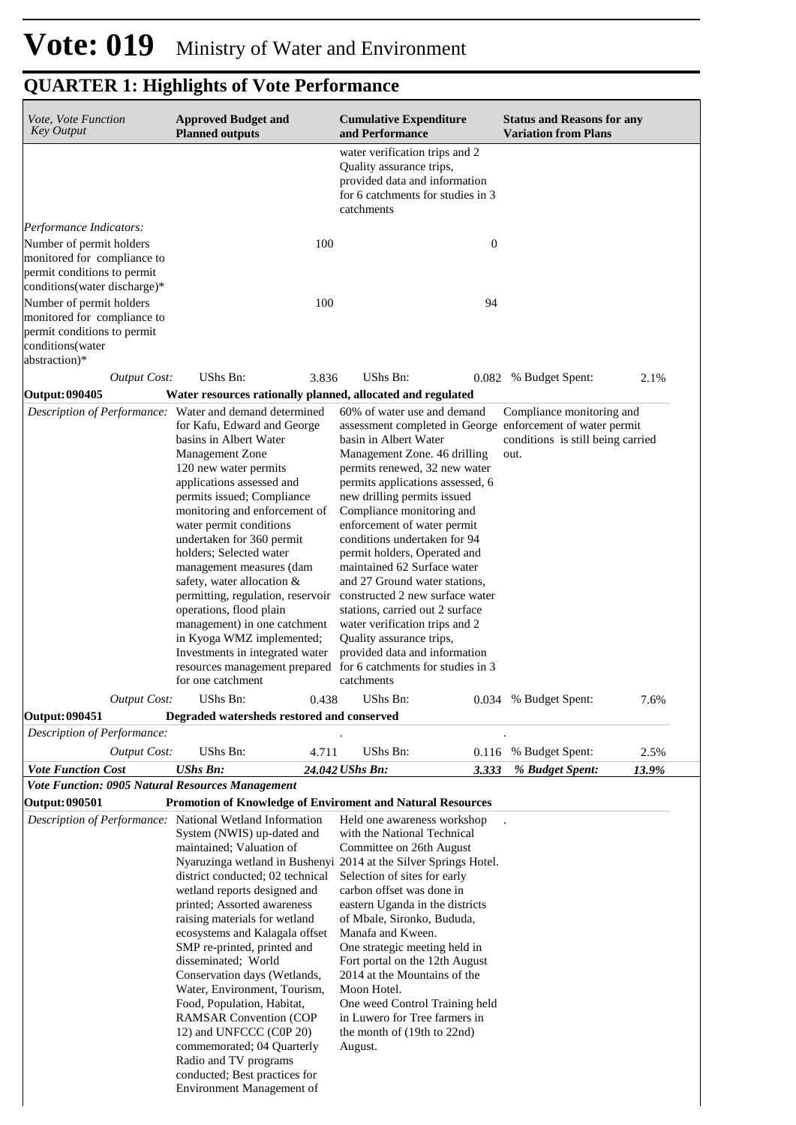| <i>Vote, Vote Function</i><br><b>Key Output</b>                                | <b>Approved Budget and</b><br><b>Planned outputs</b>                                                                                                                                                                                                                                                                                                                                                                                                                                                                                                                                                                         |       | <b>Cumulative Expenditure</b><br>and Performance                                                                                                                                                                                                                                                                                                                                                                                                                                                                                                                                                                                                        | <b>Status and Reasons for any</b><br><b>Variation from Plans</b>   |      |
|--------------------------------------------------------------------------------|------------------------------------------------------------------------------------------------------------------------------------------------------------------------------------------------------------------------------------------------------------------------------------------------------------------------------------------------------------------------------------------------------------------------------------------------------------------------------------------------------------------------------------------------------------------------------------------------------------------------------|-------|---------------------------------------------------------------------------------------------------------------------------------------------------------------------------------------------------------------------------------------------------------------------------------------------------------------------------------------------------------------------------------------------------------------------------------------------------------------------------------------------------------------------------------------------------------------------------------------------------------------------------------------------------------|--------------------------------------------------------------------|------|
|                                                                                |                                                                                                                                                                                                                                                                                                                                                                                                                                                                                                                                                                                                                              |       | water verification trips and 2<br>Quality assurance trips,<br>provided data and information<br>for 6 catchments for studies in 3<br>catchments                                                                                                                                                                                                                                                                                                                                                                                                                                                                                                          |                                                                    |      |
| Performance Indicators:                                                        |                                                                                                                                                                                                                                                                                                                                                                                                                                                                                                                                                                                                                              | 100   | $\boldsymbol{0}$                                                                                                                                                                                                                                                                                                                                                                                                                                                                                                                                                                                                                                        |                                                                    |      |
| Number of permit holders<br>monitored for compliance to                        |                                                                                                                                                                                                                                                                                                                                                                                                                                                                                                                                                                                                                              |       |                                                                                                                                                                                                                                                                                                                                                                                                                                                                                                                                                                                                                                                         |                                                                    |      |
| permit conditions to permit<br>conditions(water discharge)*                    |                                                                                                                                                                                                                                                                                                                                                                                                                                                                                                                                                                                                                              |       |                                                                                                                                                                                                                                                                                                                                                                                                                                                                                                                                                                                                                                                         |                                                                    |      |
| Number of permit holders                                                       |                                                                                                                                                                                                                                                                                                                                                                                                                                                                                                                                                                                                                              | 100   | 94                                                                                                                                                                                                                                                                                                                                                                                                                                                                                                                                                                                                                                                      |                                                                    |      |
| monitored for compliance to<br>permit conditions to permit<br>conditions(water |                                                                                                                                                                                                                                                                                                                                                                                                                                                                                                                                                                                                                              |       |                                                                                                                                                                                                                                                                                                                                                                                                                                                                                                                                                                                                                                                         |                                                                    |      |
| abstraction)*                                                                  |                                                                                                                                                                                                                                                                                                                                                                                                                                                                                                                                                                                                                              |       |                                                                                                                                                                                                                                                                                                                                                                                                                                                                                                                                                                                                                                                         |                                                                    |      |
| <b>Output Cost:</b>                                                            | UShs Bn:                                                                                                                                                                                                                                                                                                                                                                                                                                                                                                                                                                                                                     | 3.836 | UShs Bn:                                                                                                                                                                                                                                                                                                                                                                                                                                                                                                                                                                                                                                                | 0.082 % Budget Spent:                                              | 2.1% |
| Output: 090405<br>Description of Performance: Water and demand determined      | Water resources rationally planned, allocated and regulated                                                                                                                                                                                                                                                                                                                                                                                                                                                                                                                                                                  |       | 60% of water use and demand                                                                                                                                                                                                                                                                                                                                                                                                                                                                                                                                                                                                                             | Compliance monitoring and                                          |      |
| <b>Output Cost:</b><br>Output: 090451<br>Description of Performance:           | for Kafu, Edward and George<br>basins in Albert Water<br>Management Zone<br>120 new water permits<br>applications assessed and<br>permits issued; Compliance<br>monitoring and enforcement of<br>water permit conditions<br>undertaken for 360 permit<br>holders; Selected water<br>management measures (dam<br>safety, water allocation $&$<br>permitting, regulation, reservoir<br>operations, flood plain<br>management) in one catchment<br>in Kyoga WMZ implemented;<br>Investments in integrated water<br>resources management prepared<br>for one catchment<br>UShs Bn:<br>Degraded watersheds restored and conserved | 0.438 | assessment completed in George enforcement of water permit<br>basin in Albert Water<br>Management Zone. 46 drilling<br>permits renewed, 32 new water<br>permits applications assessed, 6<br>new drilling permits issued<br>Compliance monitoring and<br>enforcement of water permit<br>conditions undertaken for 94<br>permit holders, Operated and<br>maintained 62 Surface water<br>and 27 Ground water stations,<br>constructed 2 new surface water<br>stations, carried out 2 surface<br>water verification trips and 2<br>Quality assurance trips,<br>provided data and information<br>for 6 catchments for studies in 3<br>catchments<br>UShs Bn: | conditions is still being carried<br>out.<br>0.034 % Budget Spent: | 7.6% |
| <b>Output Cost:</b>                                                            | UShs Bn:                                                                                                                                                                                                                                                                                                                                                                                                                                                                                                                                                                                                                     | 4.711 | UShs Bn:<br>0.116                                                                                                                                                                                                                                                                                                                                                                                                                                                                                                                                                                                                                                       | % Budget Spent:                                                    | 2.5% |
| <b>Vote Function Cost</b>                                                      | <b>UShs Bn:</b>                                                                                                                                                                                                                                                                                                                                                                                                                                                                                                                                                                                                              |       | 24.042 UShs Bn:<br>3.333                                                                                                                                                                                                                                                                                                                                                                                                                                                                                                                                                                                                                                | % Budget Spent:<br>13.9%                                           |      |
| Vote Function: 0905 Natural Resources Management                               |                                                                                                                                                                                                                                                                                                                                                                                                                                                                                                                                                                                                                              |       |                                                                                                                                                                                                                                                                                                                                                                                                                                                                                                                                                                                                                                                         |                                                                    |      |
| Output: 090501                                                                 |                                                                                                                                                                                                                                                                                                                                                                                                                                                                                                                                                                                                                              |       | <b>Promotion of Knowledge of Enviroment and Natural Resources</b>                                                                                                                                                                                                                                                                                                                                                                                                                                                                                                                                                                                       |                                                                    |      |
| Description of Performance: National Wetland Information                       | System (NWIS) up-dated and<br>maintained; Valuation of<br>district conducted; 02 technical<br>wetland reports designed and<br>printed; Assorted awareness<br>raising materials for wetland<br>ecosystems and Kalagala offset<br>SMP re-printed, printed and<br>disseminated; World<br>Conservation days (Wetlands,<br>Water, Environment, Tourism,<br>Food, Population, Habitat,<br><b>RAMSAR Convention (COP</b><br>12) and UNFCCC (C0P 20)<br>commemorated; 04 Quarterly<br>Radio and TV programs<br>conducted; Best practices for                                                                                         |       | Held one awareness workshop<br>with the National Technical<br>Committee on 26th August<br>Nyaruzinga wetland in Bushenyi 2014 at the Silver Springs Hotel.<br>Selection of sites for early<br>carbon offset was done in<br>eastern Uganda in the districts<br>of Mbale, Sironko, Bududa,<br>Manafa and Kween.<br>One strategic meeting held in<br>Fort portal on the 12th August<br>2014 at the Mountains of the<br>Moon Hotel.<br>One weed Control Training held<br>in Luwero for Tree farmers in<br>the month of (19th to 22nd)<br>August.                                                                                                            |                                                                    |      |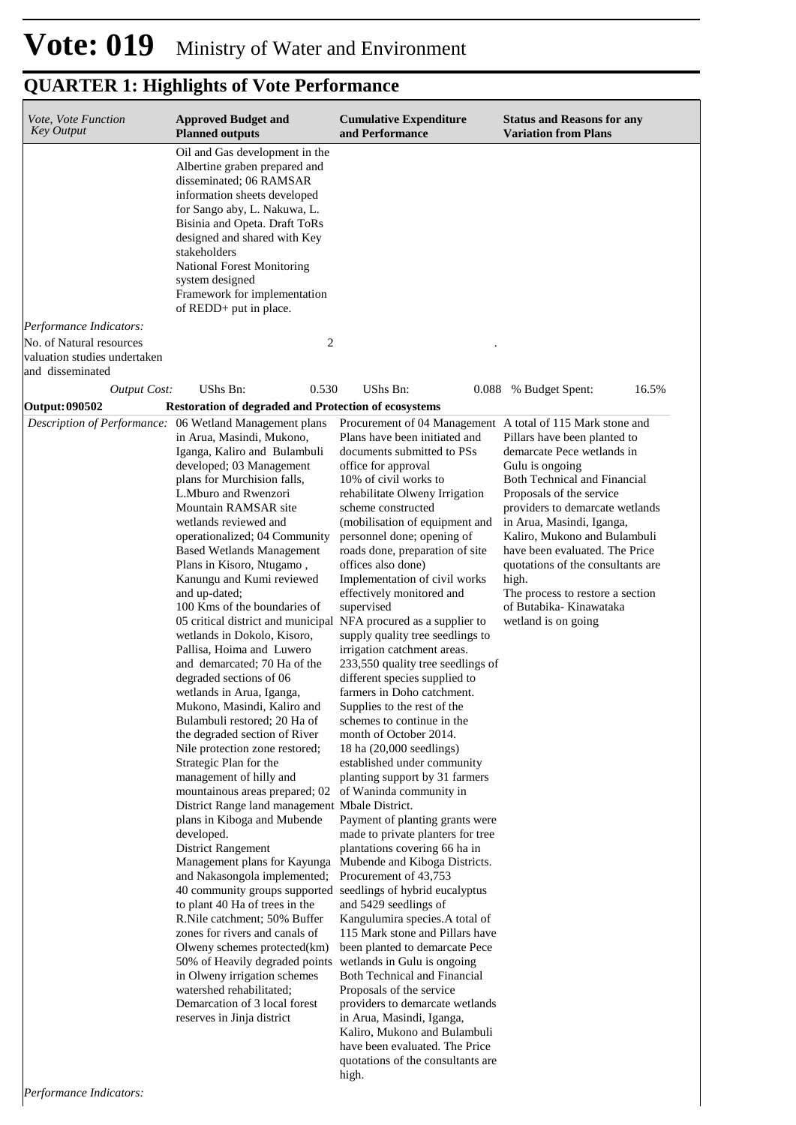| Vote, Vote Function<br><b>Key Output</b>                                     | <b>Approved Budget and</b><br><b>Planned outputs</b>                                                                                                                                                                                                                                                                                                                                                                                                                                                                                                                                                                                                                                                                                                                                                                                                                                                                                                                                                                                                                                                                                                                                                                                                                                                                                                                                  | <b>Cumulative Expenditure</b><br>and Performance                                                                                                                                                                                                                                                                                                                                                                                                                                                                                                                                                                                                                                                                                                                                                                                                                                                                                                                                                                                                                                                                                                                                                                                                                                                                                                                                                                                            | <b>Status and Reasons for any</b><br><b>Variation from Plans</b>                                                                                                                                                                                                                                                                                                                                                |
|------------------------------------------------------------------------------|---------------------------------------------------------------------------------------------------------------------------------------------------------------------------------------------------------------------------------------------------------------------------------------------------------------------------------------------------------------------------------------------------------------------------------------------------------------------------------------------------------------------------------------------------------------------------------------------------------------------------------------------------------------------------------------------------------------------------------------------------------------------------------------------------------------------------------------------------------------------------------------------------------------------------------------------------------------------------------------------------------------------------------------------------------------------------------------------------------------------------------------------------------------------------------------------------------------------------------------------------------------------------------------------------------------------------------------------------------------------------------------|---------------------------------------------------------------------------------------------------------------------------------------------------------------------------------------------------------------------------------------------------------------------------------------------------------------------------------------------------------------------------------------------------------------------------------------------------------------------------------------------------------------------------------------------------------------------------------------------------------------------------------------------------------------------------------------------------------------------------------------------------------------------------------------------------------------------------------------------------------------------------------------------------------------------------------------------------------------------------------------------------------------------------------------------------------------------------------------------------------------------------------------------------------------------------------------------------------------------------------------------------------------------------------------------------------------------------------------------------------------------------------------------------------------------------------------------|-----------------------------------------------------------------------------------------------------------------------------------------------------------------------------------------------------------------------------------------------------------------------------------------------------------------------------------------------------------------------------------------------------------------|
|                                                                              | Oil and Gas development in the<br>Albertine graben prepared and<br>disseminated; 06 RAMSAR<br>information sheets developed<br>for Sango aby, L. Nakuwa, L.<br>Bisinia and Opeta. Draft ToRs<br>designed and shared with Key<br>stakeholders<br><b>National Forest Monitoring</b><br>system designed<br>Framework for implementation<br>of REDD+ put in place.                                                                                                                                                                                                                                                                                                                                                                                                                                                                                                                                                                                                                                                                                                                                                                                                                                                                                                                                                                                                                         |                                                                                                                                                                                                                                                                                                                                                                                                                                                                                                                                                                                                                                                                                                                                                                                                                                                                                                                                                                                                                                                                                                                                                                                                                                                                                                                                                                                                                                             |                                                                                                                                                                                                                                                                                                                                                                                                                 |
| Performance Indicators:                                                      |                                                                                                                                                                                                                                                                                                                                                                                                                                                                                                                                                                                                                                                                                                                                                                                                                                                                                                                                                                                                                                                                                                                                                                                                                                                                                                                                                                                       |                                                                                                                                                                                                                                                                                                                                                                                                                                                                                                                                                                                                                                                                                                                                                                                                                                                                                                                                                                                                                                                                                                                                                                                                                                                                                                                                                                                                                                             |                                                                                                                                                                                                                                                                                                                                                                                                                 |
| No. of Natural resources<br>valuation studies undertaken<br>and disseminated | 2                                                                                                                                                                                                                                                                                                                                                                                                                                                                                                                                                                                                                                                                                                                                                                                                                                                                                                                                                                                                                                                                                                                                                                                                                                                                                                                                                                                     |                                                                                                                                                                                                                                                                                                                                                                                                                                                                                                                                                                                                                                                                                                                                                                                                                                                                                                                                                                                                                                                                                                                                                                                                                                                                                                                                                                                                                                             |                                                                                                                                                                                                                                                                                                                                                                                                                 |
| <b>Output Cost:</b>                                                          | 0.530<br>UShs Bn:                                                                                                                                                                                                                                                                                                                                                                                                                                                                                                                                                                                                                                                                                                                                                                                                                                                                                                                                                                                                                                                                                                                                                                                                                                                                                                                                                                     | UShs Bn:                                                                                                                                                                                                                                                                                                                                                                                                                                                                                                                                                                                                                                                                                                                                                                                                                                                                                                                                                                                                                                                                                                                                                                                                                                                                                                                                                                                                                                    | 0.088 % Budget Spent:<br>16.5%                                                                                                                                                                                                                                                                                                                                                                                  |
| Output: 090502                                                               | <b>Restoration of degraded and Protection of ecosystems</b>                                                                                                                                                                                                                                                                                                                                                                                                                                                                                                                                                                                                                                                                                                                                                                                                                                                                                                                                                                                                                                                                                                                                                                                                                                                                                                                           |                                                                                                                                                                                                                                                                                                                                                                                                                                                                                                                                                                                                                                                                                                                                                                                                                                                                                                                                                                                                                                                                                                                                                                                                                                                                                                                                                                                                                                             |                                                                                                                                                                                                                                                                                                                                                                                                                 |
| Description of Performance:                                                  | 06 Wetland Management plans<br>in Arua, Masindi, Mukono,<br>Iganga, Kaliro and Bulambuli<br>developed; 03 Management<br>plans for Murchision falls,<br>L.Mburo and Rwenzori<br>Mountain RAMSAR site<br>wetlands reviewed and<br>operationalized; 04 Community<br><b>Based Wetlands Management</b><br>Plans in Kisoro, Ntugamo,<br>Kanungu and Kumi reviewed<br>and up-dated;<br>100 Kms of the boundaries of<br>05 critical district and municipal<br>wetlands in Dokolo, Kisoro,<br>Pallisa, Hoima and Luwero<br>and demarcated; 70 Ha of the<br>degraded sections of 06<br>wetlands in Arua, Iganga,<br>Mukono, Masindi, Kaliro and<br>Bulambuli restored; 20 Ha of<br>the degraded section of River<br>Nile protection zone restored;<br>Strategic Plan for the<br>management of hilly and<br>mountainous areas prepared; 02<br>District Range land management Mbale District.<br>plans in Kiboga and Mubende<br>developed.<br>District Rangement<br>Management plans for Kayunga<br>and Nakasongola implemented;<br>40 community groups supported seedlings of hybrid eucalyptus<br>to plant 40 Ha of trees in the<br>R.Nile catchment; 50% Buffer<br>zones for rivers and canals of<br>Olweny schemes protected(km)<br>50% of Heavily degraded points<br>in Olweny irrigation schemes<br>watershed rehabilitated;<br>Demarcation of 3 local forest<br>reserves in Jinja district | Procurement of 04 Management A total of 115 Mark stone and<br>Plans have been initiated and<br>documents submitted to PSs<br>office for approval<br>10% of civil works to<br>rehabilitate Olweny Irrigation<br>scheme constructed<br>(mobilisation of equipment and<br>personnel done; opening of<br>roads done, preparation of site<br>offices also done)<br>Implementation of civil works<br>effectively monitored and<br>supervised<br>NFA procured as a supplier to<br>supply quality tree seedlings to<br>irrigation catchment areas.<br>233,550 quality tree seedlings of<br>different species supplied to<br>farmers in Doho catchment.<br>Supplies to the rest of the<br>schemes to continue in the<br>month of October 2014.<br>18 ha (20,000 seedlings)<br>established under community<br>planting support by 31 farmers<br>of Waninda community in<br>Payment of planting grants were<br>made to private planters for tree<br>plantations covering 66 ha in<br>Mubende and Kiboga Districts.<br>Procurement of 43,753<br>and 5429 seedlings of<br>Kangulumira species.A total of<br>115 Mark stone and Pillars have<br>been planted to demarcate Pece<br>wetlands in Gulu is ongoing<br>Both Technical and Financial<br>Proposals of the service<br>providers to demarcate wetlands<br>in Arua, Masindi, Iganga,<br>Kaliro, Mukono and Bulambuli<br>have been evaluated. The Price<br>quotations of the consultants are<br>high. | Pillars have been planted to<br>demarcate Pece wetlands in<br>Gulu is ongoing<br>Both Technical and Financial<br>Proposals of the service<br>providers to demarcate wetlands<br>in Arua, Masindi, Iganga,<br>Kaliro, Mukono and Bulambuli<br>have been evaluated. The Price<br>quotations of the consultants are<br>high.<br>The process to restore a section<br>of Butabika- Kinawataka<br>wetland is on going |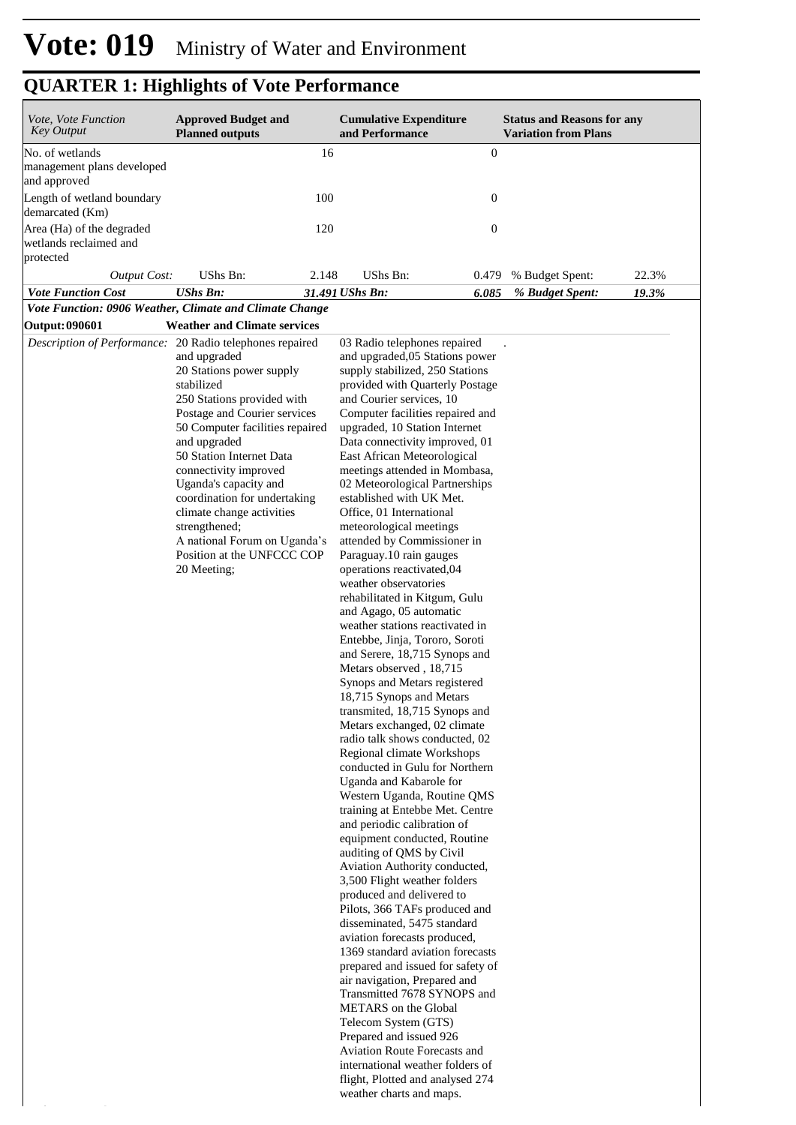*Performance Indicators:*

| Vote, Vote Function<br><b>Key Output</b>                         | <b>Approved Budget and</b><br><b>Planned outputs</b>                                                                                                                                                                                                                                                                                                                                                                                                                         | <b>Cumulative Expenditure</b><br>and Performance                                                                                                                                                                                                                                                                                                                                                                                                                                                                                                                                                                                                                                                                                                                                                                                                                                                                                                                                                                                                                                                                                                                                                                                                                                                                                                                                                                                                                                                                                                                                                                                                                                                                                                        | <b>Status and Reasons for any</b><br><b>Variation from Plans</b> |  |
|------------------------------------------------------------------|------------------------------------------------------------------------------------------------------------------------------------------------------------------------------------------------------------------------------------------------------------------------------------------------------------------------------------------------------------------------------------------------------------------------------------------------------------------------------|---------------------------------------------------------------------------------------------------------------------------------------------------------------------------------------------------------------------------------------------------------------------------------------------------------------------------------------------------------------------------------------------------------------------------------------------------------------------------------------------------------------------------------------------------------------------------------------------------------------------------------------------------------------------------------------------------------------------------------------------------------------------------------------------------------------------------------------------------------------------------------------------------------------------------------------------------------------------------------------------------------------------------------------------------------------------------------------------------------------------------------------------------------------------------------------------------------------------------------------------------------------------------------------------------------------------------------------------------------------------------------------------------------------------------------------------------------------------------------------------------------------------------------------------------------------------------------------------------------------------------------------------------------------------------------------------------------------------------------------------------------|------------------------------------------------------------------|--|
| No. of wetlands<br>management plans developed<br>and approved    | 16                                                                                                                                                                                                                                                                                                                                                                                                                                                                           |                                                                                                                                                                                                                                                                                                                                                                                                                                                                                                                                                                                                                                                                                                                                                                                                                                                                                                                                                                                                                                                                                                                                                                                                                                                                                                                                                                                                                                                                                                                                                                                                                                                                                                                                                         | $\boldsymbol{0}$                                                 |  |
| Length of wetland boundary<br>demarcated (Km)                    | 100                                                                                                                                                                                                                                                                                                                                                                                                                                                                          |                                                                                                                                                                                                                                                                                                                                                                                                                                                                                                                                                                                                                                                                                                                                                                                                                                                                                                                                                                                                                                                                                                                                                                                                                                                                                                                                                                                                                                                                                                                                                                                                                                                                                                                                                         | $\boldsymbol{0}$                                                 |  |
| Area (Ha) of the degraded<br>wetlands reclaimed and<br>protected | 120                                                                                                                                                                                                                                                                                                                                                                                                                                                                          |                                                                                                                                                                                                                                                                                                                                                                                                                                                                                                                                                                                                                                                                                                                                                                                                                                                                                                                                                                                                                                                                                                                                                                                                                                                                                                                                                                                                                                                                                                                                                                                                                                                                                                                                                         | $\boldsymbol{0}$                                                 |  |
| <b>Output Cost:</b>                                              | UShs Bn:<br>2.148                                                                                                                                                                                                                                                                                                                                                                                                                                                            | UShs Bn:                                                                                                                                                                                                                                                                                                                                                                                                                                                                                                                                                                                                                                                                                                                                                                                                                                                                                                                                                                                                                                                                                                                                                                                                                                                                                                                                                                                                                                                                                                                                                                                                                                                                                                                                                | 22.3%<br>% Budget Spent:<br>0.479                                |  |
| <b>Vote Function Cost</b>                                        | <b>UShs Bn:</b>                                                                                                                                                                                                                                                                                                                                                                                                                                                              | 6.085<br>31.491 UShs Bn:                                                                                                                                                                                                                                                                                                                                                                                                                                                                                                                                                                                                                                                                                                                                                                                                                                                                                                                                                                                                                                                                                                                                                                                                                                                                                                                                                                                                                                                                                                                                                                                                                                                                                                                                | 19.3%<br>% Budget Spent:                                         |  |
|                                                                  | Vote Function: 0906 Weather, Climate and Climate Change                                                                                                                                                                                                                                                                                                                                                                                                                      |                                                                                                                                                                                                                                                                                                                                                                                                                                                                                                                                                                                                                                                                                                                                                                                                                                                                                                                                                                                                                                                                                                                                                                                                                                                                                                                                                                                                                                                                                                                                                                                                                                                                                                                                                         |                                                                  |  |
| <b>Output: 090601</b>                                            | <b>Weather and Climate services</b>                                                                                                                                                                                                                                                                                                                                                                                                                                          |                                                                                                                                                                                                                                                                                                                                                                                                                                                                                                                                                                                                                                                                                                                                                                                                                                                                                                                                                                                                                                                                                                                                                                                                                                                                                                                                                                                                                                                                                                                                                                                                                                                                                                                                                         |                                                                  |  |
|                                                                  | Description of Performance: 20 Radio telephones repaired<br>and upgraded<br>20 Stations power supply<br>stabilized<br>250 Stations provided with<br>Postage and Courier services<br>50 Computer facilities repaired<br>and upgraded<br>50 Station Internet Data<br>connectivity improved<br>Uganda's capacity and<br>coordination for undertaking<br>climate change activities<br>strengthened;<br>A national Forum on Uganda's<br>Position at the UNFCCC COP<br>20 Meeting; | 03 Radio telephones repaired<br>and upgraded, 05 Stations power<br>supply stabilized, 250 Stations<br>provided with Quarterly Postage<br>and Courier services, 10<br>Computer facilities repaired and<br>upgraded, 10 Station Internet<br>Data connectivity improved, 01<br>East African Meteorological<br>meetings attended in Mombasa,<br>02 Meteorological Partnerships<br>established with UK Met.<br>Office, 01 International<br>meteorological meetings<br>attended by Commissioner in<br>Paraguay.10 rain gauges<br>operations reactivated, 04<br>weather observatories<br>rehabilitated in Kitgum, Gulu<br>and Agago, 05 automatic<br>weather stations reactivated in<br>Entebbe, Jinja, Tororo, Soroti<br>and Serere, 18,715 Synops and<br>Metars observed, 18,715<br>Synops and Metars registered<br>18,715 Synops and Metars<br>transmited, 18,715 Synops and<br>Metars exchanged, 02 climate<br>radio talk shows conducted, 02<br>Regional climate Workshops<br>conducted in Gulu for Northern<br>Uganda and Kabarole for<br>Western Uganda, Routine QMS<br>training at Entebbe Met. Centre<br>and periodic calibration of<br>equipment conducted, Routine<br>auditing of QMS by Civil<br>Aviation Authority conducted,<br>3,500 Flight weather folders<br>produced and delivered to<br>Pilots, 366 TAFs produced and<br>disseminated, 5475 standard<br>aviation forecasts produced,<br>1369 standard aviation forecasts<br>prepared and issued for safety of<br>air navigation, Prepared and<br>Transmitted 7678 SYNOPS and<br>METARS on the Global<br>Telecom System (GTS)<br>Prepared and issued 926<br>Aviation Route Forecasts and<br>international weather folders of<br>flight, Plotted and analysed 274<br>weather charts and maps. |                                                                  |  |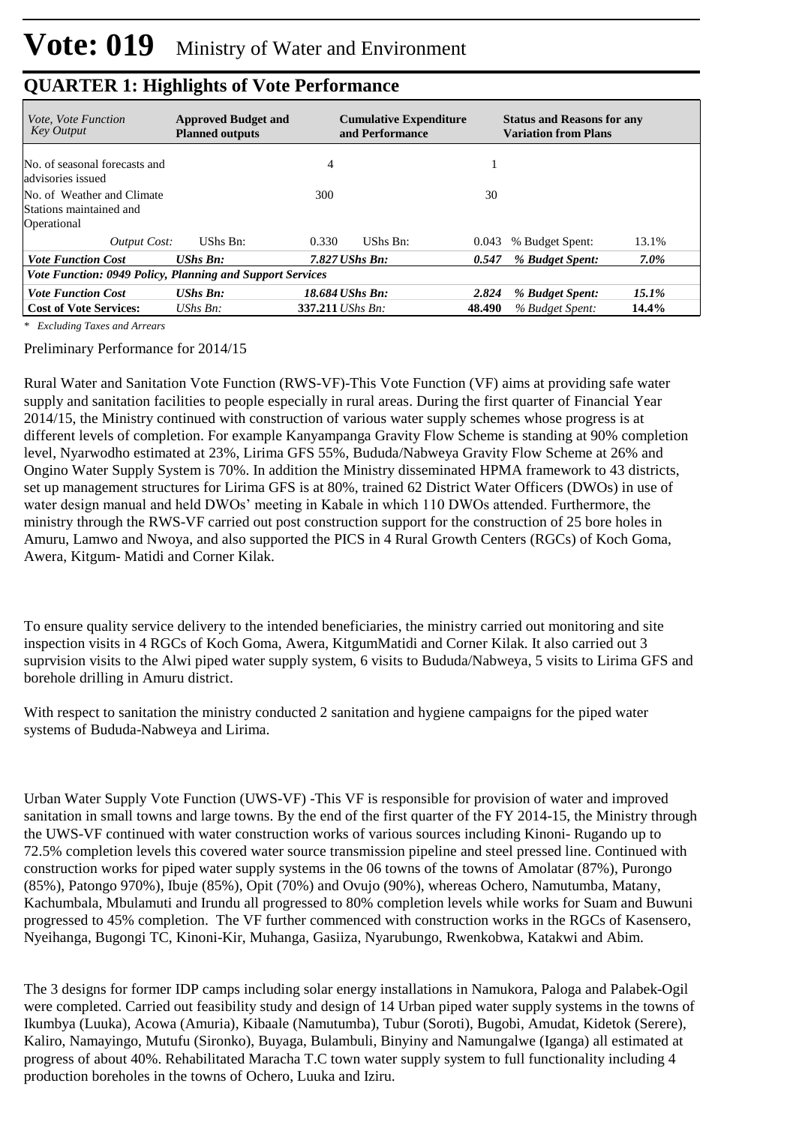| <i>Vote, Vote Function</i><br><b>Key Output</b>                      | <b>Approved Budget and</b><br><b>Planned outputs</b> | <b>Cumulative Expenditure</b><br>and Performance | <b>Status and Reasons for any</b><br><b>Variation from Plans</b> |          |  |  |
|----------------------------------------------------------------------|------------------------------------------------------|--------------------------------------------------|------------------------------------------------------------------|----------|--|--|
| No. of seasonal forecasts and<br>advisories issued                   |                                                      | $\overline{4}$                                   |                                                                  |          |  |  |
| No. of Weather and Climate<br>Stations maintained and<br>Operational |                                                      | 300                                              | 30                                                               |          |  |  |
| Output Cost:                                                         | UShs Bn:                                             | 0.330<br>UShs Bn:                                | % Budget Spent:<br>0.043                                         | 13.1%    |  |  |
| <b>Vote Function Cost</b>                                            | <b>UShs Bn:</b>                                      | $7.827$ UShs Bn:                                 | % Budget Spent:<br>0.547                                         | $7.0\%$  |  |  |
| Vote Function: 0949 Policy, Planning and Support Services            |                                                      |                                                  |                                                                  |          |  |  |
| <b>Vote Function Cost</b>                                            | $UShs$ $Bn$ :                                        | 18.684 UShs Bn:                                  | 2.824<br>% Budget Spent:                                         | $15.1\%$ |  |  |
| <b>Cost of Vote Services:</b>                                        | UShs $Bn$ :                                          | 337.211 <i>UShs Bn:</i>                          | 48.490<br>% Budget Spent:                                        | 14.4%    |  |  |

*\* Excluding Taxes and Arrears*

Preliminary Performance for 2014/15

Rural Water and Sanitation Vote Function (RWS-VF)-This Vote Function (VF) aims at providing safe water supply and sanitation facilities to people especially in rural areas. During the first quarter of Financial Year 2014/15, the Ministry continued with construction of various water supply schemes whose progress is at different levels of completion. For example Kanyampanga Gravity Flow Scheme is standing at 90% completion level, Nyarwodho estimated at 23%, Lirima GFS 55%, Bududa/Nabweya Gravity Flow Scheme at 26% and Ongino Water Supply System is 70%. In addition the Ministry disseminated HPMA framework to 43 districts, set up management structures for Lirima GFS is at 80%, trained 62 District Water Officers (DWOs) in use of water design manual and held DWOs' meeting in Kabale in which 110 DWOs attended. Furthermore, the ministry through the RWS-VF carried out post construction support for the construction of 25 bore holes in Amuru, Lamwo and Nwoya, and also supported the PICS in 4 Rural Growth Centers (RGCs) of Koch Goma, Awera, Kitgum- Matidi and Corner Kilak.

To ensure quality service delivery to the intended beneficiaries, the ministry carried out monitoring and site inspection visits in 4 RGCs of Koch Goma, Awera, KitgumMatidi and Corner Kilak. It also carried out 3 suprvision visits to the Alwi piped water supply system, 6 visits to Bududa/Nabweya, 5 visits to Lirima GFS and borehole drilling in Amuru district.

With respect to sanitation the ministry conducted 2 sanitation and hygiene campaigns for the piped water systems of Bududa-Nabweya and Lirima.

Urban Water Supply Vote Function (UWS-VF) -This VF is responsible for provision of water and improved sanitation in small towns and large towns. By the end of the first quarter of the FY 2014-15, the Ministry through the UWS-VF continued with water construction works of various sources including Kinoni- Rugando up to 72.5% completion levels this covered water source transmission pipeline and steel pressed line. Continued with construction works for piped water supply systems in the 06 towns of the towns of Amolatar (87%), Purongo (85%), Patongo 970%), Ibuje (85%), Opit (70%) and Ovujo (90%), whereas Ochero, Namutumba, Matany, Kachumbala, Mbulamuti and Irundu all progressed to 80% completion levels while works for Suam and Buwuni progressed to 45% completion. The VF further commenced with construction works in the RGCs of Kasensero, Nyeihanga, Bugongi TC, Kinoni-Kir, Muhanga, Gasiiza, Nyarubungo, Rwenkobwa, Katakwi and Abim.

The 3 designs for former IDP camps including solar energy installations in Namukora, Paloga and Palabek-Ogil were completed. Carried out feasibility study and design of 14 Urban piped water supply systems in the towns of Ikumbya (Luuka), Acowa (Amuria), Kibaale (Namutumba), Tubur (Soroti), Bugobi, Amudat, Kidetok (Serere), Kaliro, Namayingo, Mutufu (Sironko), Buyaga, Bulambuli, Binyiny and Namungalwe (Iganga) all estimated at progress of about 40%. Rehabilitated Maracha T.C town water supply system to full functionality including 4 production boreholes in the towns of Ochero, Luuka and Iziru.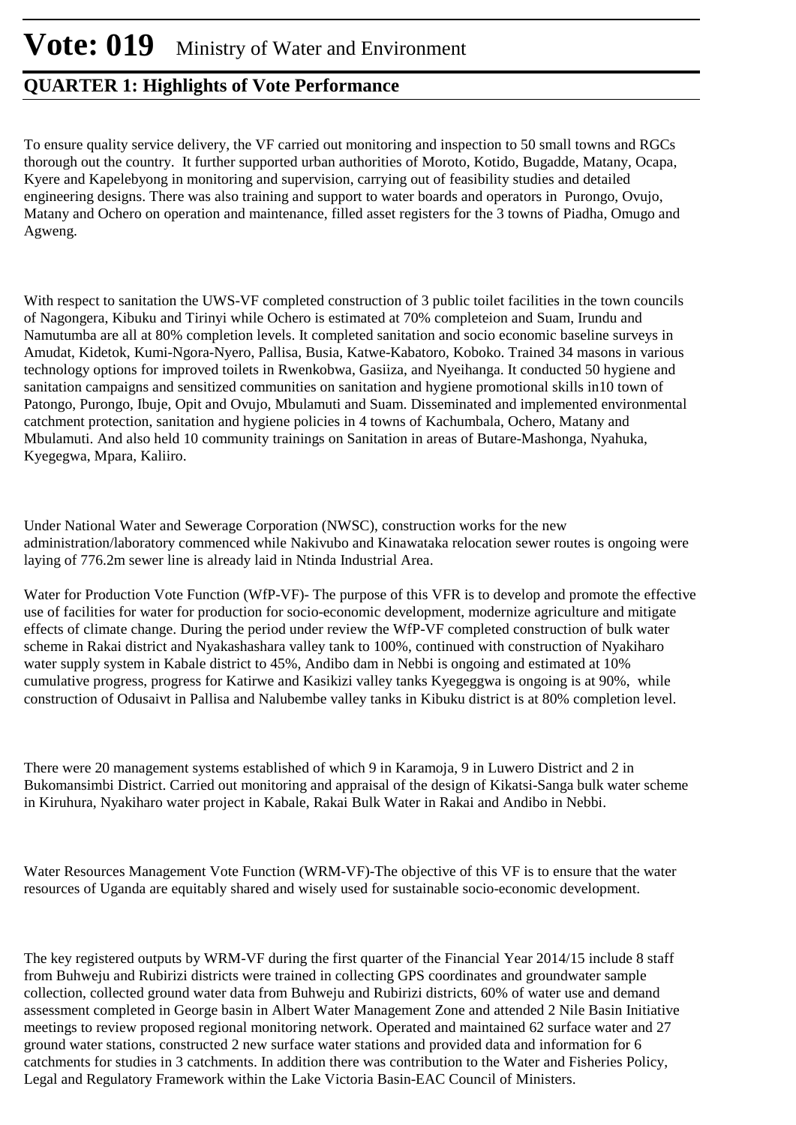To ensure quality service delivery, the VF carried out monitoring and inspection to 50 small towns and RGCs thorough out the country. It further supported urban authorities of Moroto, Kotido, Bugadde, Matany, Ocapa, Kyere and Kapelebyong in monitoring and supervision, carrying out of feasibility studies and detailed engineering designs. There was also training and support to water boards and operators in Purongo, Ovujo, Matany and Ochero on operation and maintenance, filled asset registers for the 3 towns of Piadha, Omugo and Agweng.

With respect to sanitation the UWS-VF completed construction of 3 public toilet facilities in the town councils of Nagongera, Kibuku and Tirinyi while Ochero is estimated at 70% completeion and Suam, Irundu and Namutumba are all at 80% completion levels. It completed sanitation and socio economic baseline surveys in Amudat, Kidetok, Kumi-Ngora-Nyero, Pallisa, Busia, Katwe-Kabatoro, Koboko. Trained 34 masons in various technology options for improved toilets in Rwenkobwa, Gasiiza, and Nyeihanga. It conducted 50 hygiene and sanitation campaigns and sensitized communities on sanitation and hygiene promotional skills in10 town of Patongo, Purongo, Ibuje, Opit and Ovujo, Mbulamuti and Suam. Disseminated and implemented environmental catchment protection, sanitation and hygiene policies in 4 towns of Kachumbala, Ochero, Matany and Mbulamuti. And also held 10 community trainings on Sanitation in areas of Butare-Mashonga, Nyahuka, Kyegegwa, Mpara, Kaliiro.

Under National Water and Sewerage Corporation (NWSC), construction works for the new administration/laboratory commenced while Nakivubo and Kinawataka relocation sewer routes is ongoing were laying of 776.2m sewer line is already laid in Ntinda Industrial Area.

Water for Production Vote Function (WfP-VF)- The purpose of this VFR is to develop and promote the effective use of facilities for water for production for socio-economic development, modernize agriculture and mitigate effects of climate change. During the period under review the WfP-VF completed construction of bulk water scheme in Rakai district and Nyakashashara valley tank to 100%, continued with construction of Nyakiharo water supply system in Kabale district to 45%, Andibo dam in Nebbi is ongoing and estimated at 10% cumulative progress, progress for Katirwe and Kasikizi valley tanks Kyegeggwa is ongoing is at 90%, while construction of Odusaivt in Pallisa and Nalubembe valley tanks in Kibuku district is at 80% completion level.

There were 20 management systems established of which 9 in Karamoja, 9 in Luwero District and 2 in Bukomansimbi District. Carried out monitoring and appraisal of the design of Kikatsi-Sanga bulk water scheme in Kiruhura, Nyakiharo water project in Kabale, Rakai Bulk Water in Rakai and Andibo in Nebbi.

Water Resources Management Vote Function (WRM-VF)-The objective of this VF is to ensure that the water resources of Uganda are equitably shared and wisely used for sustainable socio-economic development.

The key registered outputs by WRM-VF during the first quarter of the Financial Year 2014/15 include 8 staff from Buhweju and Rubirizi districts were trained in collecting GPS coordinates and groundwater sample collection, collected ground water data from Buhweju and Rubirizi districts, 60% of water use and demand assessment completed in George basin in Albert Water Management Zone and attended 2 Nile Basin Initiative meetings to review proposed regional monitoring network. Operated and maintained 62 surface water and 27 ground water stations, constructed 2 new surface water stations and provided data and information for 6 catchments for studies in 3 catchments. In addition there was contribution to the Water and Fisheries Policy, Legal and Regulatory Framework within the Lake Victoria Basin-EAC Council of Ministers.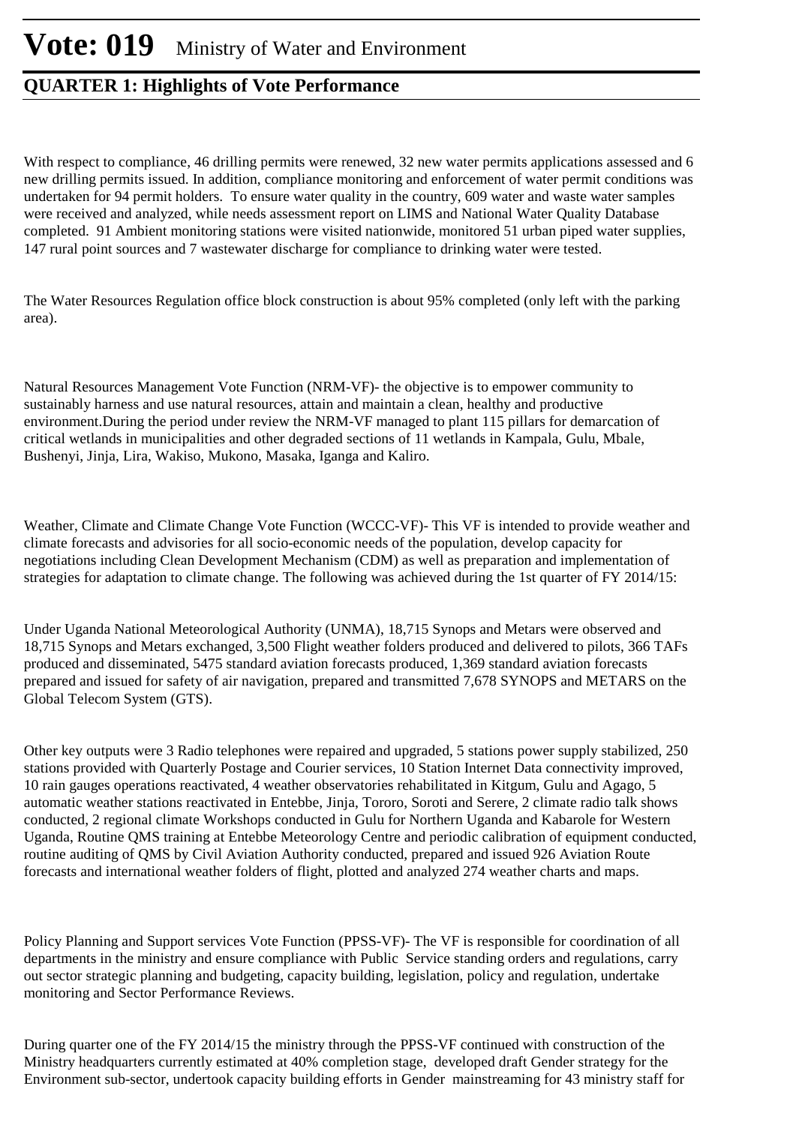With respect to compliance, 46 drilling permits were renewed, 32 new water permits applications assessed and 6 new drilling permits issued. In addition, compliance monitoring and enforcement of water permit conditions was undertaken for 94 permit holders. To ensure water quality in the country, 609 water and waste water samples were received and analyzed, while needs assessment report on LIMS and National Water Quality Database completed. 91 Ambient monitoring stations were visited nationwide, monitored 51 urban piped water supplies, 147 rural point sources and 7 wastewater discharge for compliance to drinking water were tested.

The Water Resources Regulation office block construction is about 95% completed (only left with the parking area).

Natural Resources Management Vote Function (NRM-VF)- the objective is to empower community to sustainably harness and use natural resources, attain and maintain a clean, healthy and productive environment.During the period under review the NRM-VF managed to plant 115 pillars for demarcation of critical wetlands in municipalities and other degraded sections of 11 wetlands in Kampala, Gulu, Mbale, Bushenyi, Jinja, Lira, Wakiso, Mukono, Masaka, Iganga and Kaliro.

Weather, Climate and Climate Change Vote Function (WCCC-VF)- This VF is intended to provide weather and climate forecasts and advisories for all socio-economic needs of the population, develop capacity for negotiations including Clean Development Mechanism (CDM) as well as preparation and implementation of strategies for adaptation to climate change. The following was achieved during the 1st quarter of FY 2014/15:

Under Uganda National Meteorological Authority (UNMA), 18,715 Synops and Metars were observed and 18,715 Synops and Metars exchanged, 3,500 Flight weather folders produced and delivered to pilots, 366 TAFs produced and disseminated, 5475 standard aviation forecasts produced, 1,369 standard aviation forecasts prepared and issued for safety of air navigation, prepared and transmitted 7,678 SYNOPS and METARS on the Global Telecom System (GTS).

Other key outputs were 3 Radio telephones were repaired and upgraded, 5 stations power supply stabilized, 250 stations provided with Quarterly Postage and Courier services, 10 Station Internet Data connectivity improved, 10 rain gauges operations reactivated, 4 weather observatories rehabilitated in Kitgum, Gulu and Agago, 5 automatic weather stations reactivated in Entebbe, Jinja, Tororo, Soroti and Serere, 2 climate radio talk shows conducted, 2 regional climate Workshops conducted in Gulu for Northern Uganda and Kabarole for Western Uganda, Routine QMS training at Entebbe Meteorology Centre and periodic calibration of equipment conducted, routine auditing of QMS by Civil Aviation Authority conducted, prepared and issued 926 Aviation Route forecasts and international weather folders of flight, plotted and analyzed 274 weather charts and maps.

Policy Planning and Support services Vote Function (PPSS-VF)- The VF is responsible for coordination of all departments in the ministry and ensure compliance with Public Service standing orders and regulations, carry out sector strategic planning and budgeting, capacity building, legislation, policy and regulation, undertake monitoring and Sector Performance Reviews.

During quarter one of the FY 2014/15 the ministry through the PPSS-VF continued with construction of the Ministry headquarters currently estimated at 40% completion stage, developed draft Gender strategy for the Environment sub-sector, undertook capacity building efforts in Gender mainstreaming for 43 ministry staff for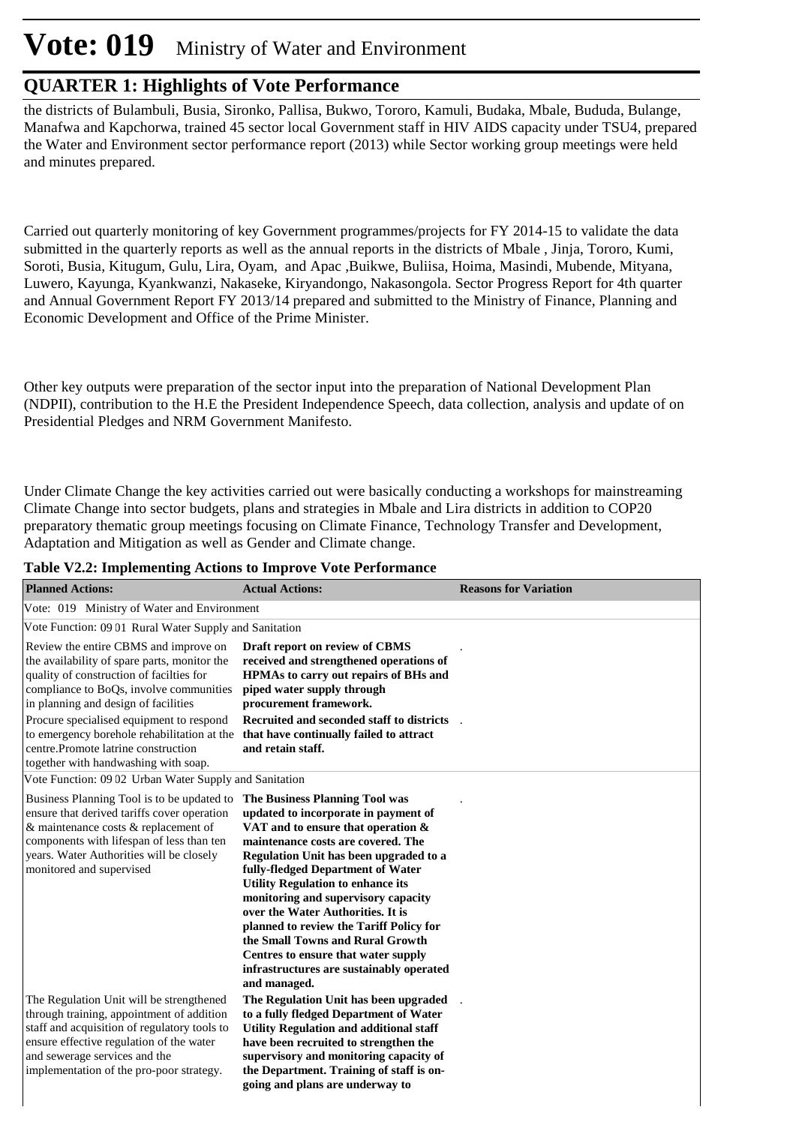# **Vote: 019** Ministry of Water and Environment

#### **QUARTER 1: Highlights of Vote Performance**

the districts of Bulambuli, Busia, Sironko, Pallisa, Bukwo, Tororo, Kamuli, Budaka, Mbale, Bududa, Bulange, Manafwa and Kapchorwa, trained 45 sector local Government staff in HIV AIDS capacity under TSU4, prepared the Water and Environment sector performance report (2013) while Sector working group meetings were held and minutes prepared.

Carried out quarterly monitoring of key Government programmes/projects for FY 2014-15 to validate the data submitted in the quarterly reports as well as the annual reports in the districts of Mbale , Jinja, Tororo, Kumi, Soroti, Busia, Kitugum, Gulu, Lira, Oyam, and Apac ,Buikwe, Buliisa, Hoima, Masindi, Mubende, Mityana, Luwero, Kayunga, Kyankwanzi, Nakaseke, Kiryandongo, Nakasongola. Sector Progress Report for 4th quarter and Annual Government Report FY 2013/14 prepared and submitted to the Ministry of Finance, Planning and Economic Development and Office of the Prime Minister.

Other key outputs were preparation of the sector input into the preparation of National Development Plan (NDPII), contribution to the H.E the President Independence Speech, data collection, analysis and update of on Presidential Pledges and NRM Government Manifesto.

Under Climate Change the key activities carried out were basically conducting a workshops for mainstreaming Climate Change into sector budgets, plans and strategies in Mbale and Lira districts in addition to COP20 preparatory thematic group meetings focusing on Climate Finance, Technology Transfer and Development, Adaptation and Mitigation as well as Gender and Climate change.

| <b>Planned Actions:</b>                                                                                                                                                                                                                                        | <b>Actual Actions:</b>                                                                                                                                                                                                                                                                                                                                                                                                                                                                                                                      | <b>Reasons for Variation</b> |
|----------------------------------------------------------------------------------------------------------------------------------------------------------------------------------------------------------------------------------------------------------------|---------------------------------------------------------------------------------------------------------------------------------------------------------------------------------------------------------------------------------------------------------------------------------------------------------------------------------------------------------------------------------------------------------------------------------------------------------------------------------------------------------------------------------------------|------------------------------|
| Vote: 019 Ministry of Water and Environment                                                                                                                                                                                                                    |                                                                                                                                                                                                                                                                                                                                                                                                                                                                                                                                             |                              |
| Vote Function: 0901 Rural Water Supply and Sanitation                                                                                                                                                                                                          |                                                                                                                                                                                                                                                                                                                                                                                                                                                                                                                                             |                              |
| Review the entire CBMS and improve on<br>the availability of spare parts, monitor the<br>quality of construction of facilties for<br>compliance to BoQs, involve communities<br>in planning and design of facilities                                           | Draft report on review of CBMS<br>received and strengthened operations of<br>HPMAs to carry out repairs of BHs and<br>piped water supply through<br>procurement framework.                                                                                                                                                                                                                                                                                                                                                                  |                              |
| Procure specialised equipment to respond<br>to emergency borehole rehabilitation at the<br>centre.Promote latrine construction<br>together with handwashing with soap.                                                                                         | Recruited and seconded staff to districts<br>that have continually failed to attract<br>and retain staff.                                                                                                                                                                                                                                                                                                                                                                                                                                   |                              |
| Vote Function: 09 02 Urban Water Supply and Sanitation                                                                                                                                                                                                         |                                                                                                                                                                                                                                                                                                                                                                                                                                                                                                                                             |                              |
| Business Planning Tool is to be updated to<br>ensure that derived tariffs cover operation<br>& maintenance costs & replacement of<br>components with lifespan of less than ten<br>years. Water Authorities will be closely<br>monitored and supervised         | The Business Planning Tool was<br>updated to incorporate in payment of<br>VAT and to ensure that operation &<br>maintenance costs are covered. The<br>Regulation Unit has been upgraded to a<br>fully-fledged Department of Water<br><b>Utility Regulation to enhance its</b><br>monitoring and supervisory capacity<br>over the Water Authorities. It is<br>planned to review the Tariff Policy for<br>the Small Towns and Rural Growth<br>Centres to ensure that water supply<br>infrastructures are sustainably operated<br>and managed. |                              |
| The Regulation Unit will be strengthened<br>through training, appointment of addition<br>staff and acquisition of regulatory tools to<br>ensure effective regulation of the water<br>and sewerage services and the<br>implementation of the pro-poor strategy. | The Regulation Unit has been upgraded<br>to a fully fledged Department of Water<br><b>Utility Regulation and additional staff</b><br>have been recruited to strengthen the<br>supervisory and monitoring capacity of<br>the Department. Training of staff is on-<br>going and plans are underway to                                                                                                                                                                                                                                         |                              |

**Table V2.2: Implementing Actions to Improve Vote Performance**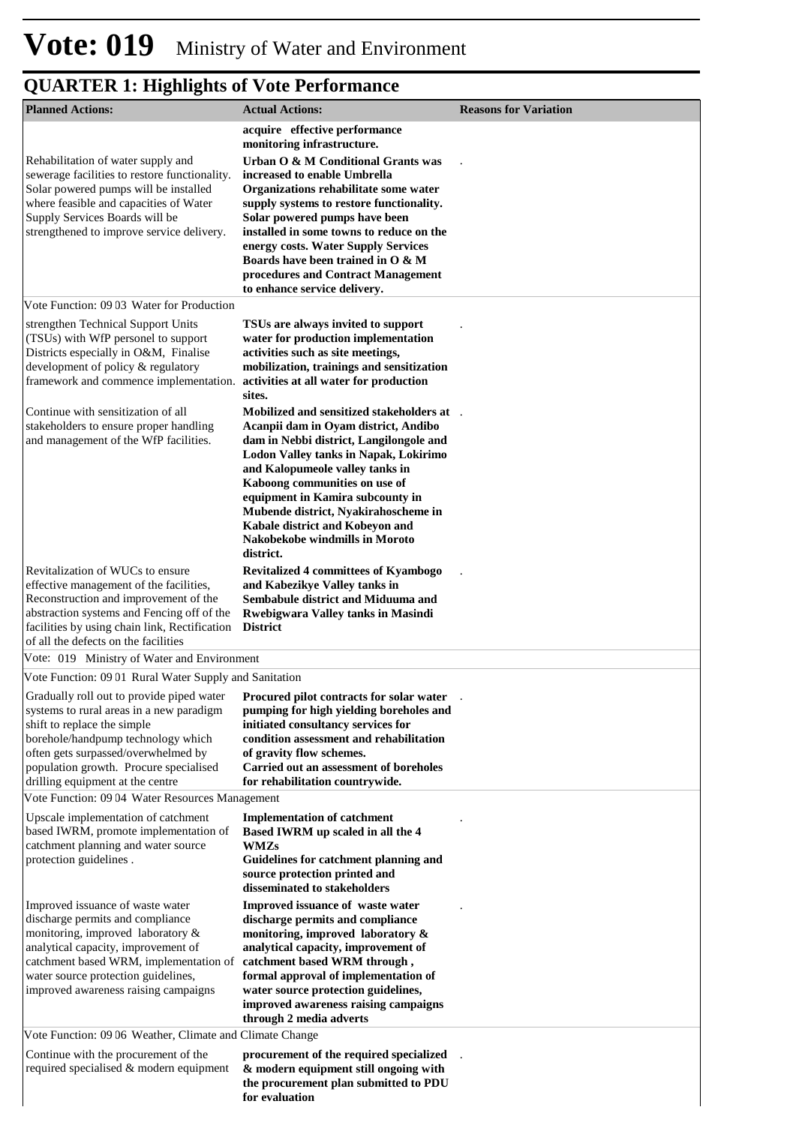| <b>Planned Actions:</b>                                                                                                                                                                                                                                                                                                                                                           | <b>Actual Actions:</b>                                                                                                                                                                                                                                                                                                                                                                                                                                | <b>Reasons for Variation</b> |
|-----------------------------------------------------------------------------------------------------------------------------------------------------------------------------------------------------------------------------------------------------------------------------------------------------------------------------------------------------------------------------------|-------------------------------------------------------------------------------------------------------------------------------------------------------------------------------------------------------------------------------------------------------------------------------------------------------------------------------------------------------------------------------------------------------------------------------------------------------|------------------------------|
| Rehabilitation of water supply and<br>sewerage facilities to restore functionality.<br>Solar powered pumps will be installed<br>where feasible and capacities of Water<br>Supply Services Boards will be<br>strengthened to improve service delivery.                                                                                                                             | acquire effective performance<br>monitoring infrastructure.<br>Urban O & M Conditional Grants was<br>increased to enable Umbrella<br>Organizations rehabilitate some water<br>supply systems to restore functionality.<br>Solar powered pumps have been<br>installed in some towns to reduce on the<br>energy costs. Water Supply Services<br>Boards have been trained in O & M<br>procedures and Contract Management<br>to enhance service delivery. |                              |
| Vote Function: 09 03 Water for Production                                                                                                                                                                                                                                                                                                                                         |                                                                                                                                                                                                                                                                                                                                                                                                                                                       |                              |
| strengthen Technical Support Units<br>(TSUs) with WfP personel to support<br>Districts especially in O&M, Finalise<br>development of policy & regulatory<br>framework and commence implementation.                                                                                                                                                                                | TSUs are always invited to support<br>water for production implementation<br>activities such as site meetings,<br>mobilization, trainings and sensitization<br>activities at all water for production<br>sites.                                                                                                                                                                                                                                       |                              |
| Continue with sensitization of all<br>stakeholders to ensure proper handling<br>and management of the WfP facilities.                                                                                                                                                                                                                                                             | Mobilized and sensitized stakeholders at .<br>Acanpii dam in Oyam district, Andibo<br>dam in Nebbi district, Langilongole and<br><b>Lodon Valley tanks in Napak, Lokirimo</b><br>and Kalopumeole valley tanks in<br>Kaboong communities on use of<br>equipment in Kamira subcounty in<br>Mubende district, Nyakirahoscheme in<br>Kabale district and Kobeyon and<br>Nakobekobe windmills in Moroto<br>district.                                       |                              |
| Revitalization of WUCs to ensure<br>effective management of the facilities,<br>Reconstruction and improvement of the<br>abstraction systems and Fencing off of the<br>facilities by using chain link, Rectification<br>of all the defects on the facilities                                                                                                                       | <b>Revitalized 4 committees of Kyambogo</b><br>and Kabezikye Valley tanks in<br>Sembabule district and Miduuma and<br><b>Rwebigwara Valley tanks in Masindi</b><br><b>District</b>                                                                                                                                                                                                                                                                    |                              |
| Vote: 019 Ministry of Water and Environment                                                                                                                                                                                                                                                                                                                                       |                                                                                                                                                                                                                                                                                                                                                                                                                                                       |                              |
| Vote Function: 0901 Rural Water Supply and Sanitation<br>Gradually roll out to provide piped water Procured pilot contracts for solar water<br>systems to rural areas in a new paradigm<br>shift to replace the simple<br>borehole/handpump technology which<br>often gets surpassed/overwhelmed by<br>population growth. Procure specialised<br>drilling equipment at the centre | pumping for high yielding boreholes and<br>initiated consultancy services for<br>condition assessment and rehabilitation<br>of gravity flow schemes.<br>Carried out an assessment of boreholes<br>for rehabilitation countrywide.                                                                                                                                                                                                                     |                              |
| Vote Function: 09 04 Water Resources Management                                                                                                                                                                                                                                                                                                                                   |                                                                                                                                                                                                                                                                                                                                                                                                                                                       |                              |
| Upscale implementation of catchment<br>based IWRM, promote implementation of<br>catchment planning and water source<br>protection guidelines.                                                                                                                                                                                                                                     | <b>Implementation of catchment</b><br>Based IWRM up scaled in all the 4<br><b>WMZs</b><br>Guidelines for catchment planning and<br>source protection printed and<br>disseminated to stakeholders                                                                                                                                                                                                                                                      |                              |
| Improved issuance of waste water<br>discharge permits and compliance<br>monitoring, improved laboratory &<br>analytical capacity, improvement of<br>catchment based WRM, implementation of<br>water source protection guidelines,<br>improved awareness raising campaigns                                                                                                         | Improved issuance of waste water<br>discharge permits and compliance<br>monitoring, improved laboratory &<br>analytical capacity, improvement of<br>catchment based WRM through,<br>formal approval of implementation of<br>water source protection guidelines,<br>improved awareness raising campaigns<br>through 2 media adverts                                                                                                                    |                              |
| Vote Function: 0906 Weather, Climate and Climate Change                                                                                                                                                                                                                                                                                                                           |                                                                                                                                                                                                                                                                                                                                                                                                                                                       |                              |
| Continue with the procurement of the<br>required specialised & modern equipment                                                                                                                                                                                                                                                                                                   | procurement of the required specialized<br>& modern equipment still ongoing with<br>the procurement plan submitted to PDU<br>for evaluation                                                                                                                                                                                                                                                                                                           |                              |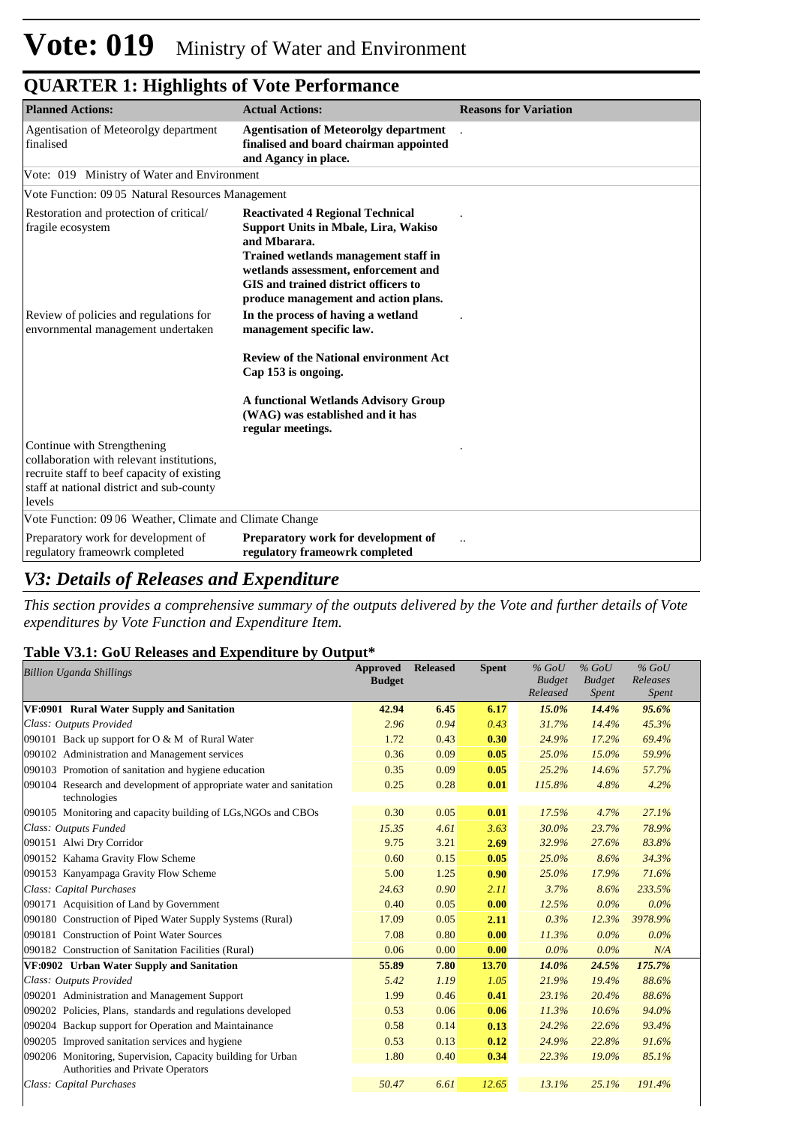| <b>Planned Actions:</b>                                                                                                                                                        | <b>Actual Actions:</b>                                                                                                                                                                                                                                                 | <b>Reasons for Variation</b> |
|--------------------------------------------------------------------------------------------------------------------------------------------------------------------------------|------------------------------------------------------------------------------------------------------------------------------------------------------------------------------------------------------------------------------------------------------------------------|------------------------------|
| Agentisation of Meteorolgy department<br>finalised                                                                                                                             | <b>Agentisation of Meteorolgy department</b><br>finalised and board chairman appointed<br>and Agancy in place.                                                                                                                                                         |                              |
| Vote: 019 Ministry of Water and Environment                                                                                                                                    |                                                                                                                                                                                                                                                                        |                              |
| Vote Function: 09 05 Natural Resources Management                                                                                                                              |                                                                                                                                                                                                                                                                        |                              |
| Restoration and protection of critical/<br>fragile ecosystem                                                                                                                   | <b>Reactivated 4 Regional Technical</b><br><b>Support Units in Mbale, Lira, Wakiso</b><br>and Mharara.<br>Trained wetlands management staff in<br>wetlands assessment, enforcement and<br>GIS and trained district officers to<br>produce management and action plans. |                              |
| Review of policies and regulations for<br>envornmental management undertaken                                                                                                   | In the process of having a wetland<br>management specific law.                                                                                                                                                                                                         |                              |
|                                                                                                                                                                                | <b>Review of the National environment Act</b><br>Cap 153 is ongoing.                                                                                                                                                                                                   |                              |
|                                                                                                                                                                                | <b>A functional Wetlands Advisory Group</b><br>(WAG) was established and it has<br>regular meetings.                                                                                                                                                                   |                              |
| Continue with Strengthening<br>collaboration with relevant institutions.<br>recruite staff to beef capacity of existing<br>staff at national district and sub-county<br>levels |                                                                                                                                                                                                                                                                        |                              |
| Vote Function: 09 06 Weather, Climate and Climate Change                                                                                                                       |                                                                                                                                                                                                                                                                        |                              |
| Preparatory work for development of<br>regulatory frameowrk completed                                                                                                          | Preparatory work for development of<br>regulatory frameowrk completed                                                                                                                                                                                                  |                              |

#### *V3: Details of Releases and Expenditure*

*This section provides a comprehensive summary of the outputs delivered by the Vote and further details of Vote expenditures by Vote Function and Expenditure Item.*

#### **Table V3.1: GoU Releases and Expenditure by Output\***

| <b>Billion Uganda Shillings</b>                                                                  | <b>Approved</b> | <b>Released</b> | <b>Spent</b> | $%$ GoU       | $%$ GoU       | $%$ GoU  |
|--------------------------------------------------------------------------------------------------|-----------------|-----------------|--------------|---------------|---------------|----------|
|                                                                                                  | <b>Budget</b>   |                 |              | <b>Budget</b> | <b>Budget</b> | Releases |
|                                                                                                  |                 |                 |              | Released      | Spent         | Spent    |
| VF:0901 Rural Water Supply and Sanitation                                                        | 42.94           | 6.45            | 6.17         | $15.0\%$      | 14.4%         | 95.6%    |
| Class: Outputs Provided                                                                          | 2.96            | 0.94            | 0.43         | 31.7%         | 14.4%         | 45.3%    |
| 090101 Back up support for O & M of Rural Water                                                  | 1.72            | 0.43            | 0.30         | 24.9%         | 17.2%         | 69.4%    |
| 090102 Administration and Management services                                                    | 0.36            | 0.09            | 0.05         | 25.0%         | 15.0%         | 59.9%    |
| 090103 Promotion of sanitation and hygiene education                                             | 0.35            | 0.09            | 0.05         | 25.2%         | 14.6%         | 57.7%    |
| 090104 Research and development of appropriate water and sanitation<br>technologies              | 0.25            | 0.28            | 0.01         | 115.8%        | 4.8%          | 4.2%     |
| 090105 Monitoring and capacity building of LGs, NGOs and CBOs                                    | 0.30            | 0.05            | 0.01         | 17.5%         | 4.7%          | 27.1%    |
| Class: Outputs Funded                                                                            | 15.35           | 4.61            | 3.63         | 30.0%         | 23.7%         | 78.9%    |
| 090151 Alwi Dry Corridor                                                                         | 9.75            | 3.21            | 2.69         | 32.9%         | 27.6%         | 83.8%    |
| 090152 Kahama Gravity Flow Scheme                                                                | 0.60            | 0.15            | 0.05         | 25.0%         | 8.6%          | 34.3%    |
| 090153 Kanyampaga Gravity Flow Scheme                                                            | 5.00            | 1.25            | 0.90         | 25.0%         | 17.9%         | 71.6%    |
| Class: Capital Purchases                                                                         | 24.63           | 0.90            | 2.11         | 3.7%          | 8.6%          | 233.5%   |
| 090171 Acquisition of Land by Government                                                         | 0.40            | 0.05            | 0.00         | 12.5%         | $0.0\%$       | $0.0\%$  |
| 090180 Construction of Piped Water Supply Systems (Rural)                                        | 17.09           | 0.05            | 2.11         | 0.3%          | 12.3%         | 3978.9%  |
| 090181 Construction of Point Water Sources                                                       | 7.08            | 0.80            | 0.00         | 11.3%         | $0.0\%$       | $0.0\%$  |
| 090182 Construction of Sanitation Facilities (Rural)                                             | 0.06            | 0.00            | 0.00         | $0.0\%$       | $0.0\%$       | N/A      |
| VF:0902 Urban Water Supply and Sanitation                                                        | 55.89           | 7.80            | 13.70        | 14.0%         | 24.5%         | 175.7%   |
| Class: Outputs Provided                                                                          | 5.42            | 1.19            | 1.05         | 21.9%         | 19.4%         | 88.6%    |
| 090201 Administration and Management Support                                                     | 1.99            | 0.46            | 0.41         | 23.1%         | 20.4%         | 88.6%    |
| 090202 Policies, Plans, standards and regulations developed                                      | 0.53            | 0.06            | 0.06         | 11.3%         | 10.6%         | 94.0%    |
| 090204 Backup support for Operation and Maintainance                                             | 0.58            | 0.14            | 0.13         | 24.2%         | 22.6%         | 93.4%    |
| 090205 Improved sanitation services and hygiene                                                  | 0.53            | 0.13            | 0.12         | 24.9%         | 22.8%         | 91.6%    |
| 090206 Monitoring, Supervision, Capacity building for Urban<br>Authorities and Private Operators | 1.80            | 0.40            | 0.34         | 22.3%         | 19.0%         | 85.1%    |
| Class: Capital Purchases                                                                         | 50.47           | 6.61            | 12.65        | 13.1%         | 25.1%         | 191.4%   |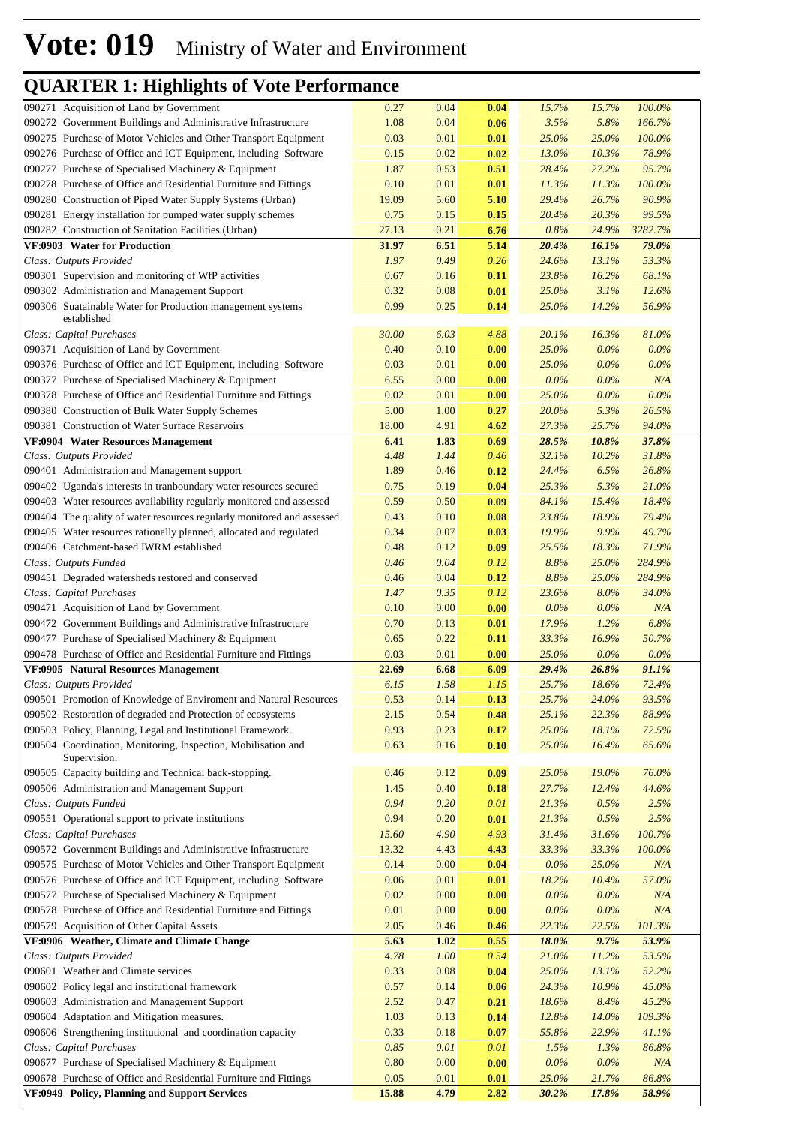| 090271 Acquisition of Land by Government                                                            | 0.27          | 0.04         | 0.04         | 15.7%          | 15.7%          | 100.0%         |  |
|-----------------------------------------------------------------------------------------------------|---------------|--------------|--------------|----------------|----------------|----------------|--|
| 090272 Government Buildings and Administrative Infrastructure                                       | 1.08          | 0.04         | 0.06         | 3.5%           | 5.8%           | 166.7%         |  |
| 090275 Purchase of Motor Vehicles and Other Transport Equipment                                     | 0.03          | 0.01         | 0.01         | 25.0%          | 25.0%          | 100.0%         |  |
| 090276 Purchase of Office and ICT Equipment, including Software                                     | 0.15          | 0.02         | 0.02         | 13.0%          | 10.3%          | 78.9%          |  |
| 090277 Purchase of Specialised Machinery & Equipment                                                | 1.87          | 0.53         | 0.51         | 28.4%          | 27.2%          | 95.7%          |  |
| 090278 Purchase of Office and Residential Furniture and Fittings                                    | 0.10          | 0.01         | 0.01         | 11.3%          | 11.3%          | 100.0%         |  |
| 090280 Construction of Piped Water Supply Systems (Urban)                                           | 19.09         | 5.60         | 5.10         | 29.4%          | 26.7%          | 90.9%          |  |
| 090281 Energy installation for pumped water supply schemes                                          | 0.75          | 0.15         | 0.15         | 20.4%          | 20.3%          | 99.5%          |  |
| 090282 Construction of Sanitation Facilities (Urban)                                                | 27.13         | 0.21         | 6.76         | 0.8%           | 24.9%          | 3282.7%        |  |
| VF:0903 Water for Production                                                                        | 31.97         | 6.51         | 5.14         | 20.4%          | 16.1%          | 79.0%          |  |
| Class: Outputs Provided                                                                             | 1.97          | 0.49         | 0.26         | 24.6%          | 13.1%          | 53.3%          |  |
| 090301 Supervision and monitoring of WfP activities<br>090302 Administration and Management Support | 0.67<br>0.32  | 0.16<br>0.08 | 0.11         | 23.8%          | 16.2%          | 68.1%          |  |
| 090306 Suatainable Water for Production management systems                                          | 0.99          | 0.25         | 0.01<br>0.14 | 25.0%<br>25.0% | 3.1%<br>14.2%  | 12.6%<br>56.9% |  |
| established                                                                                         |               |              |              |                |                |                |  |
| Class: Capital Purchases                                                                            | 30.00         | 6.03         | 4.88         | 20.1%          | 16.3%          | 81.0%          |  |
| 090371 Acquisition of Land by Government                                                            | 0.40          | 0.10         | 0.00         | 25.0%          | 0.0%           | 0.0%           |  |
| 090376 Purchase of Office and ICT Equipment, including Software                                     | 0.03          | 0.01         | 0.00         | 25.0%          | $0.0\%$        | 0.0%           |  |
| 090377 Purchase of Specialised Machinery & Equipment                                                | 6.55          | 0.00         | 0.00         | 0.0%           | 0.0%           | N/A            |  |
| 090378 Purchase of Office and Residential Furniture and Fittings                                    | 0.02          | 0.01         | 0.00         | 25.0%          | $0.0\%$        | 0.0%           |  |
| 090380 Construction of Bulk Water Supply Schemes                                                    | 5.00          | 1.00         | 0.27         | 20.0%          | 5.3%           | 26.5%          |  |
| 090381 Construction of Water Surface Reservoirs                                                     | 18.00         | 4.91         | 4.62         | 27.3%          | 25.7%          | 94.0%          |  |
| VF:0904 Water Resources Management                                                                  | 6.41          | 1.83         | 0.69         | 28.5%          | 10.8%          | 37.8%          |  |
| Class: Outputs Provided                                                                             | 4.48          | 1.44         | 0.46         | 32.1%          | 10.2%          | 31.8%          |  |
| 090401 Administration and Management support                                                        | 1.89          | 0.46         | 0.12         | 24.4%          | 6.5%           | 26.8%          |  |
| 090402 Uganda's interests in tranboundary water resources secured                                   | 0.75          | 0.19         | 0.04         | 25.3%          | 5.3%           | 21.0%          |  |
| 090403 Water resources availability regularly monitored and assessed                                | 0.59          | 0.50         | 0.09         | 84.1%          | 15.4%          | 18.4%          |  |
| 090404 The quality of water resources regularly monitored and assessed                              | 0.43          | 0.10         | 0.08         | 23.8%          | 18.9%          | 79.4%          |  |
| 090405 Water resources rationally planned, allocated and regulated                                  | 0.34          | 0.07         | 0.03         | 19.9%          | 9.9%           | 49.7%          |  |
| 090406 Catchment-based IWRM established                                                             | 0.48          | 0.12         | 0.09         | 25.5%          | 18.3%          | 71.9%          |  |
| Class: Outputs Funded                                                                               | 0.46          | 0.04         | 0.12         | 8.8%           | 25.0%          | 284.9%         |  |
| 090451 Degraded watersheds restored and conserved                                                   | 0.46          | 0.04         | 0.12         | 8.8%           | 25.0%          | 284.9%         |  |
| Class: Capital Purchases                                                                            | 1.47          | 0.35         | 0.12         | 23.6%          | 8.0%           | 34.0%          |  |
| 090471 Acquisition of Land by Government                                                            | 0.10          | 0.00         | 0.00         | $0.0\%$        | $0.0\%$        | N/A            |  |
| 090472 Government Buildings and Administrative Infrastructure                                       | 0.70          | 0.13         | 0.01         | 17.9%          | 1.2%           | 6.8%           |  |
| 090477 Purchase of Specialised Machinery & Equipment                                                | 0.65          | 0.22         | 0.11         | 33.3%          | 16.9%          | 50.7%          |  |
| 090478 Purchase of Office and Residential Furniture and Fittings                                    | 0.03          | 0.01         | 0.00         | 25.0%          | $0.0\%$        | $0.0\%$        |  |
| VF:0905 Natural Resources Management                                                                | 22.69<br>6.15 | 6.68<br>1.58 | 6.09<br>1.15 | 29.4%<br>25.7% | 26.8%<br>18.6% | 91.1%<br>72.4% |  |
| Class: Outputs Provided<br>090501 Promotion of Knowledge of Enviroment and Natural Resources        | 0.53          | 0.14         | 0.13         | 25.7%          | 24.0%          | 93.5%          |  |
| 090502 Restoration of degraded and Protection of ecosystems                                         | 2.15          | 0.54         | 0.48         | 25.1%          | 22.3%          | 88.9%          |  |
| 090503 Policy, Planning, Legal and Institutional Framework.                                         | 0.93          | 0.23         | 0.17         | 25.0%          | 18.1%          | 72.5%          |  |
| 090504 Coordination, Monitoring, Inspection, Mobilisation and                                       | 0.63          | 0.16         | 0.10         | 25.0%          | 16.4%          | 65.6%          |  |
| Supervision.                                                                                        |               |              |              |                |                |                |  |
| 090505 Capacity building and Technical back-stopping.                                               | 0.46          | 0.12         | 0.09         | <b>25.0%</b>   | 19.0%          | 76.0%          |  |
| 090506 Administration and Management Support                                                        | 1.45          | 0.40         | 0.18         | 27.7%          | 12.4%          | 44.6%          |  |
| Class: Outputs Funded                                                                               | 0.94          | 0.20         | 0.01         | 21.3%          | 0.5%           | 2.5%           |  |
| 090551 Operational support to private institutions                                                  | 0.94          | 0.20         | 0.01         | 21.3%          | 0.5%           | 2.5%           |  |
| Class: Capital Purchases                                                                            | 15.60         | 4.90         | 4.93         | 31.4%          | 31.6%          | 100.7%         |  |
| 090572 Government Buildings and Administrative Infrastructure                                       | 13.32         | 4.43         | 4.43         | 33.3%          | 33.3%          | 100.0%         |  |
| 090575 Purchase of Motor Vehicles and Other Transport Equipment                                     | 0.14          | 0.00         | 0.04         | $0.0\%$        | 25.0%          | N/A            |  |
| 090576 Purchase of Office and ICT Equipment, including Software                                     | 0.06          | 0.01         | 0.01         | 18.2%          | 10.4%          | 57.0%          |  |
| 090577 Purchase of Specialised Machinery & Equipment                                                | 0.02          | 0.00         | 0.00         | $0.0\%$        | $0.0\%$        | N/A            |  |
| 090578 Purchase of Office and Residential Furniture and Fittings                                    | 0.01          | 0.00         | 0.00         | 0.0%           | 0.0%           | N/A            |  |
| 090579 Acquisition of Other Capital Assets                                                          | 2.05          | 0.46         | 0.46         | 22.3%          | 22.5%          | 101.3%         |  |
| VF:0906 Weather, Climate and Climate Change                                                         | 5.63          | 1.02         | 0.55         | 18.0%          | 9.7%           | 53.9%          |  |
| Class: Outputs Provided                                                                             | 4.78          | 1.00         | 0.54         | 21.0%          | 11.2%          | 53.5%          |  |
| 090601 Weather and Climate services                                                                 | 0.33          | 0.08         | 0.04         | 25.0%          | 13.1%          | 52.2%          |  |
| 090602 Policy legal and institutional framework                                                     | 0.57          | 0.14         | 0.06         | 24.3%          | 10.9%          | 45.0%          |  |
| 090603 Administration and Management Support                                                        | 2.52          | 0.47         | 0.21         | 18.6%          | 8.4%           | 45.2%          |  |
| 090604 Adaptation and Mitigation measures.                                                          | 1.03          | 0.13         | 0.14         | 12.8%          | 14.0%          | 109.3%         |  |
| 090606 Strengthening institutional and coordination capacity                                        | 0.33          | 0.18         | 0.07         | 55.8%          | 22.9%          | 41.1%          |  |
| Class: Capital Purchases                                                                            | 0.85          | 0.01         | 0.01         | 1.5%           | 1.3%           | 86.8%          |  |
| 090677 Purchase of Specialised Machinery & Equipment                                                | 0.80          | 0.00         | 0.00         | $0.0\%$        | 0.0%           | N/A            |  |
| 090678 Purchase of Office and Residential Furniture and Fittings                                    | 0.05          | 0.01         | 0.01         | 25.0%          | 21.7%          | 86.8%          |  |
| VF:0949 Policy, Planning and Support Services                                                       | 15.88         | 4.79         | 2.82         | 30.2%          | 17.8%          | 58.9%          |  |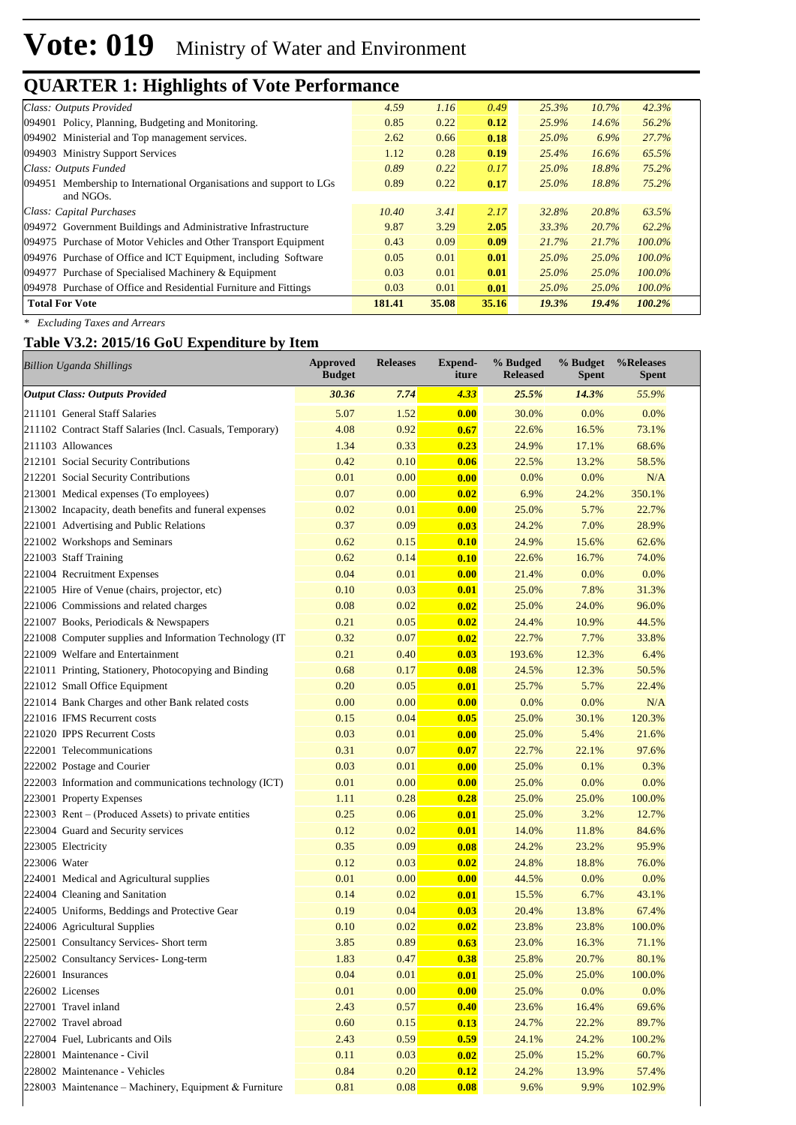| Class: Outputs Provided                                                          | 4.59   | 1.16  | 0.49  | 25.3%    | 10.7%    | 42.3%     |
|----------------------------------------------------------------------------------|--------|-------|-------|----------|----------|-----------|
| 094901 Policy, Planning, Budgeting and Monitoring.                               | 0.85   | 0.22  | 0.12  | 25.9%    | 14.6%    | 56.2%     |
| 094902 Ministerial and Top management services.                                  | 2.62   | 0.66  | 0.18  | $25.0\%$ | 6.9%     | 27.7%     |
| 094903 Ministry Support Services                                                 | 1.12   | 0.28  | 0.19  | 25.4%    | 16.6%    | 65.5%     |
| Class: Outputs Funded                                                            | 0.89   | 0.22  | 0.17  | $25.0\%$ | 18.8%    | 75.2%     |
| 094951 Membership to International Organisations and support to LGs<br>and NGOs. | 0.89   | 0.22  | 0.17  | $25.0\%$ | 18.8%    | 75.2%     |
| Class: Capital Purchases                                                         | 10.40  | 3.41  | 2.17  | 32.8%    | 20.8%    | 63.5%     |
| 094972 Government Buildings and Administrative Infrastructure                    | 9.87   | 3.29  | 2.05  | 33.3%    | 20.7%    | 62.2%     |
| 094975 Purchase of Motor Vehicles and Other Transport Equipment                  | 0.43   | 0.09  | 0.09  | 21.7%    | 21.7%    | $100.0\%$ |
| 094976 Purchase of Office and ICT Equipment, including Software                  | 0.05   | 0.01  | 0.01  | $25.0\%$ | 25.0%    | $100.0\%$ |
| 094977 Purchase of Specialised Machinery $&$ Equipment                           | 0.03   | 0.01  | 0.01  | $25.0\%$ | $25.0\%$ | $100.0\%$ |
| 094978 Purchase of Office and Residential Furniture and Fittings                 | 0.03   | 0.01  | 0.01  | $25.0\%$ | 25.0%    | $100.0\%$ |
| <b>Total For Vote</b>                                                            | 181.41 | 35.08 | 35.16 | 19.3%    | 19.4%    | 100.2%    |

*\* Excluding Taxes and Arrears*

#### **Table V3.2: 2015/16 GoU Expenditure by Item**

| <b>Billion Uganda Shillings</b>                           | Approved<br><b>Budget</b> | <b>Releases</b> | <b>Expend-</b><br>iture | % Budged<br><b>Released</b> | % Budget<br><b>Spent</b> | %Releases<br><b>Spent</b> |
|-----------------------------------------------------------|---------------------------|-----------------|-------------------------|-----------------------------|--------------------------|---------------------------|
| <b>Output Class: Outputs Provided</b>                     | 30.36                     | 7.74            | 4.33                    | 25.5%                       | 14.3%                    | 55.9%                     |
| 211101 General Staff Salaries                             | 5.07                      | 1.52            | 0.00                    | 30.0%                       | 0.0%                     | 0.0%                      |
| 211102 Contract Staff Salaries (Incl. Casuals, Temporary) | 4.08                      | 0.92            | 0.67                    | 22.6%                       | 16.5%                    | 73.1%                     |
| 211103 Allowances                                         | 1.34                      | 0.33            | 0.23                    | 24.9%                       | 17.1%                    | 68.6%                     |
| 212101 Social Security Contributions                      | 0.42                      | 0.10            | 0.06                    | 22.5%                       | 13.2%                    | 58.5%                     |
| 212201 Social Security Contributions                      | 0.01                      | 0.00            | 0.00                    | 0.0%                        | 0.0%                     | N/A                       |
| 213001 Medical expenses (To employees)                    | 0.07                      | 0.00            | 0.02                    | 6.9%                        | 24.2%                    | 350.1%                    |
| 213002 Incapacity, death benefits and funeral expenses    | 0.02                      | 0.01            | 0.00                    | 25.0%                       | 5.7%                     | 22.7%                     |
| 221001 Advertising and Public Relations                   | 0.37                      | 0.09            | 0.03                    | 24.2%                       | 7.0%                     | 28.9%                     |
| 221002 Workshops and Seminars                             | 0.62                      | 0.15            | 0.10                    | 24.9%                       | 15.6%                    | 62.6%                     |
| 221003 Staff Training                                     | 0.62                      | 0.14            | 0.10                    | 22.6%                       | 16.7%                    | 74.0%                     |
| 221004 Recruitment Expenses                               | 0.04                      | 0.01            | 0.00                    | 21.4%                       | 0.0%                     | 0.0%                      |
| 221005 Hire of Venue (chairs, projector, etc)             | 0.10                      | 0.03            | 0.01                    | 25.0%                       | 7.8%                     | 31.3%                     |
| 221006 Commissions and related charges                    | 0.08                      | 0.02            | 0.02                    | 25.0%                       | 24.0%                    | 96.0%                     |
| 221007 Books, Periodicals & Newspapers                    | 0.21                      | 0.05            | 0.02                    | 24.4%                       | 10.9%                    | 44.5%                     |
| 221008 Computer supplies and Information Technology (IT)  | 0.32                      | 0.07            | 0.02                    | 22.7%                       | 7.7%                     | 33.8%                     |
| 221009 Welfare and Entertainment                          | 0.21                      | 0.40            | 0.03                    | 193.6%                      | 12.3%                    | 6.4%                      |
| 221011 Printing, Stationery, Photocopying and Binding     | 0.68                      | 0.17            | 0.08                    | 24.5%                       | 12.3%                    | 50.5%                     |
| 221012 Small Office Equipment                             | 0.20                      | 0.05            | 0.01                    | 25.7%                       | 5.7%                     | 22.4%                     |
| 221014 Bank Charges and other Bank related costs          | 0.00                      | 0.00            | 0.00                    | 0.0%                        | 0.0%                     | N/A                       |
| 221016 IFMS Recurrent costs                               | 0.15                      | 0.04            | 0.05                    | 25.0%                       | 30.1%                    | 120.3%                    |
| 221020 IPPS Recurrent Costs                               | 0.03                      | 0.01            | 0.00                    | 25.0%                       | 5.4%                     | 21.6%                     |
| 222001 Telecommunications                                 | 0.31                      | 0.07            | 0.07                    | 22.7%                       | 22.1%                    | 97.6%                     |
| 222002 Postage and Courier                                | 0.03                      | 0.01            | 0.00                    | 25.0%                       | 0.1%                     | 0.3%                      |
| 222003 Information and communications technology (ICT)    | 0.01                      | 0.00            | 0.00                    | 25.0%                       | 0.0%                     | 0.0%                      |
| 223001 Property Expenses                                  | 1.11                      | 0.28            | 0.28                    | 25.0%                       | 25.0%                    | 100.0%                    |
| 223003 Rent – (Produced Assets) to private entities       | 0.25                      | 0.06            | 0.01                    | 25.0%                       | 3.2%                     | 12.7%                     |
| 223004 Guard and Security services                        | 0.12                      | 0.02            | 0.01                    | 14.0%                       | 11.8%                    | 84.6%                     |
| 223005 Electricity                                        | 0.35                      | 0.09            | 0.08                    | 24.2%                       | 23.2%                    | 95.9%                     |
| 223006 Water                                              | 0.12                      | 0.03            | 0.02                    | 24.8%                       | 18.8%                    | 76.0%                     |
| 224001 Medical and Agricultural supplies                  | 0.01                      | 0.00            | 0.00                    | 44.5%                       | 0.0%                     | 0.0%                      |
| 224004 Cleaning and Sanitation                            | 0.14                      | 0.02            | 0.01                    | 15.5%                       | 6.7%                     | 43.1%                     |
| 224005 Uniforms, Beddings and Protective Gear             | 0.19                      | 0.04            | 0.03                    | 20.4%                       | 13.8%                    | 67.4%                     |
| 224006 Agricultural Supplies                              | 0.10                      | 0.02            | 0.02                    | 23.8%                       | 23.8%                    | 100.0%                    |
| 225001 Consultancy Services- Short term                   | 3.85                      | 0.89            | 0.63                    | 23.0%                       | 16.3%                    | 71.1%                     |
| 225002 Consultancy Services-Long-term                     | 1.83                      | 0.47            | 0.38                    | 25.8%                       | 20.7%                    | 80.1%                     |
| 226001 Insurances                                         | 0.04                      | 0.01            | 0.01                    | 25.0%                       | 25.0%                    | 100.0%                    |
| 226002 Licenses                                           | 0.01                      | 0.00            | 0.00                    | 25.0%                       | 0.0%                     | 0.0%                      |
| 227001 Travel inland                                      | 2.43                      | 0.57            | 0.40                    | 23.6%                       | 16.4%                    | 69.6%                     |
| 227002 Travel abroad                                      | 0.60                      | 0.15            | 0.13                    | 24.7%                       | 22.2%                    | 89.7%                     |
| 227004 Fuel, Lubricants and Oils                          | 2.43                      | 0.59            | 0.59                    | 24.1%                       | 24.2%                    | 100.2%                    |
| 228001 Maintenance - Civil                                | 0.11                      | 0.03            | 0.02                    | 25.0%                       | 15.2%                    | 60.7%                     |
| 228002 Maintenance - Vehicles                             | 0.84                      | 0.20            | 0.12                    | 24.2%                       | 13.9%                    | 57.4%                     |
| 228003 Maintenance – Machinery, Equipment & Furniture     | 0.81                      | 0.08            | 0.08                    | 9.6%                        | 9.9%                     | 102.9%                    |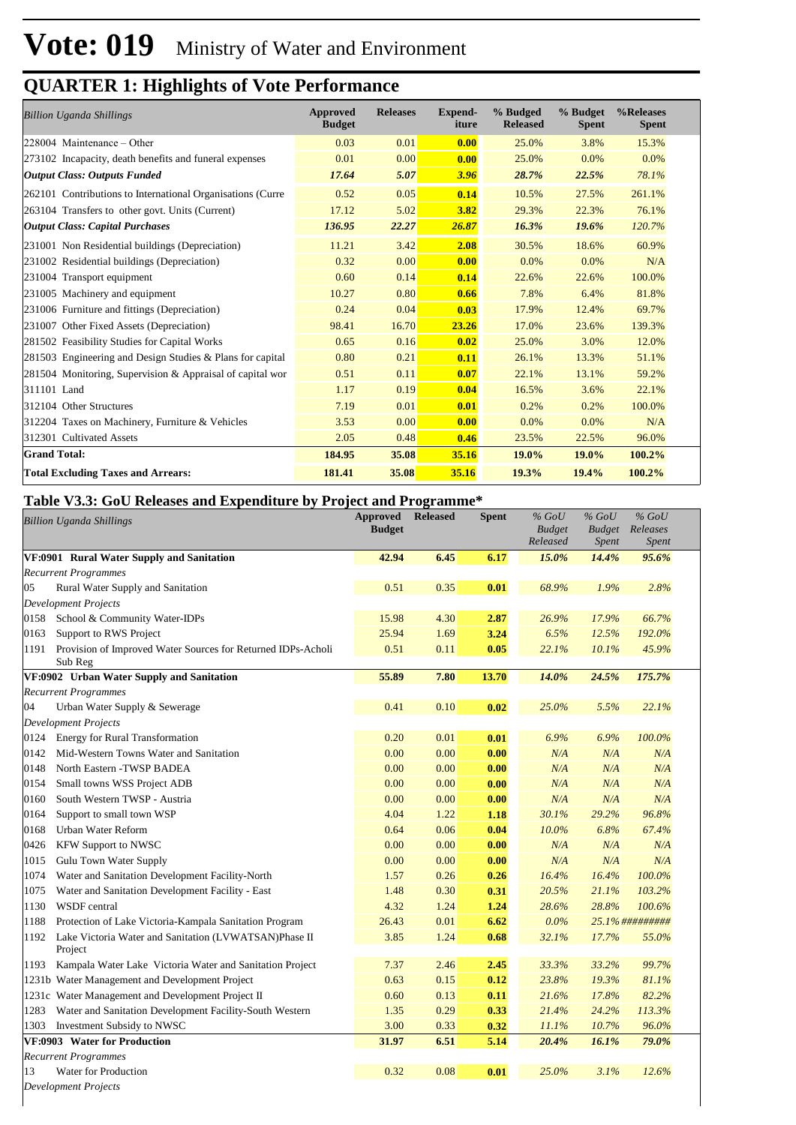| <b>Billion Uganda Shillings</b>                            | <b>Approved</b><br><b>Budget</b> | <b>Releases</b> | <b>Expend-</b><br>iture | % Budged<br><b>Released</b> | % Budget<br><b>Spent</b> | %Releases<br><b>Spent</b> |
|------------------------------------------------------------|----------------------------------|-----------------|-------------------------|-----------------------------|--------------------------|---------------------------|
| $ 228004 \text{ Maintenance} - Other$                      | 0.03                             | 0.01            | 0.00                    | 25.0%                       | 3.8%                     | 15.3%                     |
| 273102 Incapacity, death benefits and funeral expenses     | 0.01                             | 0.00            | 0.00                    | 25.0%                       | 0.0%                     | 0.0%                      |
| <b>Output Class: Outputs Funded</b>                        | 17.64                            | 5.07            | 3.96                    | 28.7%                       | 22.5%                    | 78.1%                     |
| 262101 Contributions to International Organisations (Curre | 0.52                             | 0.05            | 0.14                    | 10.5%                       | 27.5%                    | 261.1%                    |
| 263104 Transfers to other govt. Units (Current)            | 17.12                            | 5.02            | 3.82                    | 29.3%                       | 22.3%                    | 76.1%                     |
| <b>Output Class: Capital Purchases</b>                     | 136.95                           | 22.27           | 26.87                   | 16.3%                       | 19.6%                    | 120.7%                    |
| 231001 Non Residential buildings (Depreciation)            | 11.21                            | 3.42            | 2.08                    | 30.5%                       | 18.6%                    | 60.9%                     |
| 231002 Residential buildings (Depreciation)                | 0.32                             | 0.00            | 0.00                    | $0.0\%$                     | $0.0\%$                  | N/A                       |
| 231004 Transport equipment                                 | 0.60                             | 0.14            | 0.14                    | 22.6%                       | 22.6%                    | 100.0%                    |
| 231005 Machinery and equipment                             | 10.27                            | 0.80            | 0.66                    | 7.8%                        | 6.4%                     | 81.8%                     |
| 231006 Furniture and fittings (Depreciation)               | 0.24                             | 0.04            | 0.03                    | 17.9%                       | 12.4%                    | 69.7%                     |
| 231007 Other Fixed Assets (Depreciation)                   | 98.41                            | 16.70           | 23.26                   | 17.0%                       | 23.6%                    | 139.3%                    |
| 281502 Feasibility Studies for Capital Works               | 0.65                             | 0.16            | 0.02                    | 25.0%                       | 3.0%                     | 12.0%                     |
| 281503 Engineering and Design Studies & Plans for capital  | 0.80                             | 0.21            | 0.11                    | 26.1%                       | 13.3%                    | 51.1%                     |
| 281504 Monitoring, Supervision & Appraisal of capital wor  | 0.51                             | 0.11            | 0.07                    | 22.1%                       | 13.1%                    | 59.2%                     |
| 311101 Land                                                | 1.17                             | 0.19            | 0.04                    | 16.5%                       | 3.6%                     | 22.1%                     |
| 312104 Other Structures                                    | 7.19                             | 0.01            | 0.01                    | 0.2%                        | 0.2%                     | 100.0%                    |
| 312204 Taxes on Machinery, Furniture & Vehicles            | 3.53                             | 0.00            | 0.00                    | 0.0%                        | $0.0\%$                  | N/A                       |
| 312301 Cultivated Assets                                   | 2.05                             | 0.48            | 0.46                    | 23.5%                       | 22.5%                    | 96.0%                     |
| <b>Grand Total:</b>                                        | 184.95                           | 35.08           | 35.16                   | 19.0%                       | 19.0%                    | 100.2%                    |
| <b>Total Excluding Taxes and Arrears:</b>                  | 181.41                           | 35.08           | 35.16                   | 19.3%                       | 19.4%                    | 100.2%                    |

#### **Table V3.3: GoU Releases and Expenditure by Project and Programme\***

|                             | <b>Billion Uganda Shillings</b>                              | <b>Approved</b><br><b>Budget</b> | <b>Released</b> | <b>Spent</b> | $%$ GoU<br><b>Budget</b> | $%$ GoU<br>Budget | $%$ GoU<br>Releases |
|-----------------------------|--------------------------------------------------------------|----------------------------------|-----------------|--------------|--------------------------|-------------------|---------------------|
|                             |                                                              |                                  |                 |              | Released                 | <i>Spent</i>      | <i>Spent</i>        |
|                             | VF:0901 Rural Water Supply and Sanitation                    | 42.94                            | 6.45            | 6.17         | 15.0%                    | 14.4%             | 95.6%               |
| <b>Recurrent Programmes</b> |                                                              |                                  |                 |              |                          |                   |                     |
| 05                          | Rural Water Supply and Sanitation                            | 0.51                             | 0.35            | 0.01         | 68.9%                    | 1.9%              | 2.8%                |
| Development Projects        |                                                              |                                  |                 |              |                          |                   |                     |
|                             | 0158 School & Community Water-IDPs                           | 15.98                            | 4.30            | 2.87         | 26.9%                    | 17.9%             | 66.7%               |
| 0163                        | Support to RWS Project                                       | 25.94                            | 1.69            | 3.24         | 6.5%                     | 12.5%             | 192.0%              |
| 1191<br>Sub Reg             | Provision of Improved Water Sources for Returned IDPs-Acholi | 0.51                             | 0.11            | 0.05         | 22.1%                    | 10.1%             | 45.9%               |
|                             | VF:0902 Urban Water Supply and Sanitation                    | 55.89                            | 7.80            | 13.70        | 14.0%                    | 24.5%             | 175.7%              |
| <b>Recurrent Programmes</b> |                                                              |                                  |                 |              |                          |                   |                     |
| 04                          | Urban Water Supply & Sewerage                                | 0.41                             | 0.10            | 0.02         | 25.0%                    | 5.5%              | 22.1%               |
| Development Projects        |                                                              |                                  |                 |              |                          |                   |                     |
| 0124                        | <b>Energy for Rural Transformation</b>                       | 0.20                             | 0.01            | 0.01         | 6.9%                     | 6.9%              | 100.0%              |
| 0142                        | Mid-Western Towns Water and Sanitation                       | 0.00                             | 0.00            | 0.00         | N/A                      | N/A               | N/A                 |
| 0148                        | North Eastern - TWSP BADEA                                   | 0.00                             | 0.00            | 0.00         | N/A                      | N/A               | N/A                 |
| 0154                        | Small towns WSS Project ADB                                  | $0.00\,$                         | 0.00            | 0.00         | N/A                      | N/A               | N/A                 |
| 0160                        | South Western TWSP - Austria                                 | 0.00                             | 0.00            | 0.00         | N/A                      | N/A               | N/A                 |
| 0164                        | Support to small town WSP                                    | 4.04                             | 1.22            | 1.18         | 30.1%                    | 29.2%             | 96.8%               |
| 0168                        | Urban Water Reform                                           | 0.64                             | 0.06            | 0.04         | 10.0%                    | 6.8%              | 67.4%               |
| 0426                        | <b>KFW Support to NWSC</b>                                   | 0.00                             | 0.00            | 0.00         | N/A                      | N/A               | N/A                 |
| 1015                        | Gulu Town Water Supply                                       | 0.00                             | 0.00            | 0.00         | N/A                      | N/A               | N/A                 |
| 1074                        | Water and Sanitation Development Facility-North              | 1.57                             | 0.26            | 0.26         | 16.4%                    | 16.4%             | 100.0%              |
| 1075                        | Water and Sanitation Development Facility - East             | 1.48                             | 0.30            | 0.31         | 20.5%                    | 21.1%             | 103.2%              |
| 1130                        | WSDF central                                                 | 4.32                             | 1.24            | 1.24         | 28.6%                    | 28.8%             | 100.6%              |
| 1188                        | Protection of Lake Victoria-Kampala Sanitation Program       | 26.43                            | 0.01            | 6.62         | 0.0%                     |                   | 25.1%##########     |
| 1192<br>Project             | Lake Victoria Water and Sanitation (LVWATSAN)Phase II        | 3.85                             | 1.24            | 0.68         | 32.1%                    | 17.7%             | 55.0%               |
| 1193                        | Kampala Water Lake Victoria Water and Sanitation Project     | 7.37                             | 2.46            | 2.45         | 33.3%                    | 33.2%             | 99.7%               |
|                             | 1231b Water Management and Development Project               | 0.63                             | 0.15            | 0.12         | 23.8%                    | 19.3%             | 81.1%               |
|                             | 1231c Water Management and Development Project II            | 0.60                             | 0.13            | 0.11         | 21.6%                    | 17.8%             | 82.2%               |
| 1283                        | Water and Sanitation Development Facility-South Western      | 1.35                             | 0.29            | 0.33         | 21.4%                    | 24.2%             | 113.3%              |
| 1303                        | Investment Subsidy to NWSC                                   | 3.00                             | 0.33            | 0.32         | 11.1%                    | 10.7%             | 96.0%               |
|                             | VF:0903 Water for Production                                 | 31.97                            | 6.51            | 5.14         | 20.4%                    | 16.1%             | 79.0%               |
| <b>Recurrent Programmes</b> |                                                              |                                  |                 |              |                          |                   |                     |
| 13                          | Water for Production                                         | 0.32                             | 0.08            | 0.01         | 25.0%                    | 3.1%              | 12.6%               |
| <b>Development Projects</b> |                                                              |                                  |                 |              |                          |                   |                     |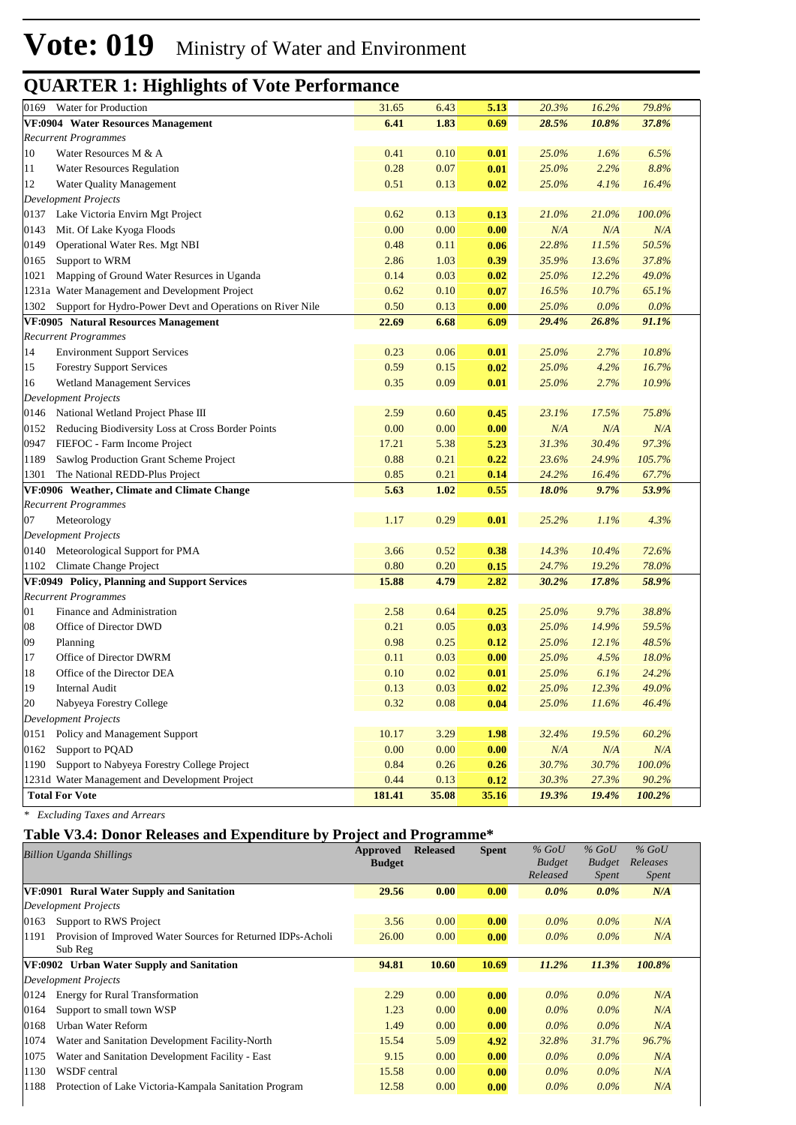| 0169   | Water for Production                                           | 31.65  | 6.43   | 5.13  | 20.3% | 16.2%        | 79.8%     |  |
|--------|----------------------------------------------------------------|--------|--------|-------|-------|--------------|-----------|--|
|        | VF:0904 Water Resources Management                             | 6.41   | 1.83   | 0.69  | 28.5% | 10.8%        | 37.8%     |  |
|        | <b>Recurrent Programmes</b>                                    |        |        |       |       |              |           |  |
| 10     | Water Resources M & A                                          | 0.41   | 0.10   | 0.01  | 25.0% | 1.6%         | 6.5%      |  |
| 11     | <b>Water Resources Regulation</b>                              | 0.28   | 0.07   | 0.01  | 25.0% | 2.2%         | 8.8%      |  |
| 12     | Water Quality Management                                       | 0.51   | 0.13   | 0.02  | 25.0% | 4.1%         | 16.4%     |  |
|        | <b>Development Projects</b>                                    |        |        |       |       |              |           |  |
|        | 0137 Lake Victoria Envirn Mgt Project                          | 0.62   | 0.13   | 0.13  | 21.0% | <b>21.0%</b> | 100.0%    |  |
| 0143   | Mit. Of Lake Kyoga Floods                                      | 0.00   | 0.00   | 0.00  | N/A   | N/A          | N/A       |  |
| 0149   | Operational Water Res. Mgt NBI                                 | 0.48   | 0.11   | 0.06  | 22.8% | 11.5%        | 50.5%     |  |
| 0165   | Support to WRM                                                 | 2.86   | 1.03   | 0.39  | 35.9% | 13.6%        | 37.8%     |  |
| 1021   | Mapping of Ground Water Resurces in Uganda                     | 0.14   | 0.03   | 0.02  | 25.0% | 12.2%        | 49.0%     |  |
|        | 1231a Water Management and Development Project                 | 0.62   | 0.10   | 0.07  | 16.5% | 10.7%        | 65.1%     |  |
|        | 1302 Support for Hydro-Power Devt and Operations on River Nile | 0.50   | 0.13   | 0.00  | 25.0% | $0.0\%$      | 0.0%      |  |
|        | VF:0905 Natural Resources Management                           | 22.69  | 6.68   | 6.09  | 29.4% | 26.8%        | 91.1%     |  |
|        | <b>Recurrent Programmes</b>                                    |        |        |       |       |              |           |  |
| 14     | <b>Environment Support Services</b>                            | 0.23   | 0.06   | 0.01  | 25.0% | 2.7%         | 10.8%     |  |
| 15     | <b>Forestry Support Services</b>                               | 0.59   | 0.15   | 0.02  | 25.0% | 4.2%         | 16.7%     |  |
| 16     | <b>Wetland Management Services</b>                             | 0.35   | 0.09   | 0.01  | 25.0% | 2.7%         | 10.9%     |  |
|        | <b>Development Projects</b>                                    |        |        |       |       |              |           |  |
|        | 0146 National Wetland Project Phase III                        | 2.59   | 0.60   | 0.45  | 23.1% | 17.5%        | 75.8%     |  |
| 0152   | Reducing Biodiversity Loss at Cross Border Points              | 0.00   | 0.00   | 0.00  | N/A   | N/A          | N/A       |  |
| 0947   | FIEFOC - Farm Income Project                                   | 17.21  | 5.38   | 5.23  | 31.3% | 30.4%        | 97.3%     |  |
| 1189   | Sawlog Production Grant Scheme Project                         | 0.88   | 0.21   | 0.22  | 23.6% | 24.9%        | 105.7%    |  |
| 1301   | The National REDD-Plus Project                                 | 0.85   | 0.21   | 0.14  | 24.2% | 16.4%        | 67.7%     |  |
|        | VF:0906 Weather, Climate and Climate Change                    | 5.63   | 1.02   | 0.55  | 18.0% | 9.7%         | 53.9%     |  |
|        | <b>Recurrent Programmes</b>                                    |        |        |       |       |              |           |  |
| 07     | Meteorology                                                    | 1.17   | 0.29   | 0.01  | 25.2% | 1.1%         | 4.3%      |  |
|        | <b>Development Projects</b>                                    |        |        |       |       |              |           |  |
|        | 0140 Meteorological Support for PMA                            | 3.66   | 0.52   | 0.38  | 14.3% | 10.4%        | 72.6%     |  |
| 1102   | Climate Change Project                                         | 0.80   | 0.20   | 0.15  | 24.7% | 19.2%        | 78.0%     |  |
|        | VF:0949 Policy, Planning and Support Services                  | 15.88  | 4.79   | 2.82  | 30.2% | 17.8%        | 58.9%     |  |
|        | <b>Recurrent Programmes</b>                                    |        |        |       |       |              |           |  |
| 01     | Finance and Administration                                     | 2.58   | 0.64   | 0.25  | 25.0% | 9.7%         | 38.8%     |  |
| 08     | Office of Director DWD                                         | 0.21   | 0.05   | 0.03  | 25.0% | 14.9%        | 59.5%     |  |
| 09     | Planning                                                       | 0.98   | 0.25   | 0.12  | 25.0% | 12.1%        | 48.5%     |  |
| 17     | Office of Director DWRM                                        | 0.11   | 0.03   | 0.00  | 25.0% | 4.5%         | 18.0%     |  |
| 18     | Office of the Director DEA                                     | 0.10   | 0.02   | 0.01  | 25.0% | 6.1%         | 24.2%     |  |
| 19     | <b>Internal Audit</b>                                          | 0.13   | 0.03   | 0.02  | 25.0% | 12.3%        | 49.0%     |  |
| $20\,$ | Nabyeya Forestry College                                       | 0.32   | 0.08   | 0.04  | 25.0% | 11.6%        | 46.4%     |  |
|        | <b>Development Projects</b>                                    |        |        |       |       |              |           |  |
| 0151   | Policy and Management Support                                  | 10.17  | $3.29$ | 1.98  | 32.4% | 19.5%        | 60.2%     |  |
| 0162   | Support to PQAD                                                | 0.00   | 0.00   | 0.00  | N/A   | N/A          | $N\!/\!A$ |  |
| 1190   | Support to Nabyeya Forestry College Project                    | 0.84   | 0.26   | 0.26  | 30.7% | 30.7%        | $100.0\%$ |  |
|        | 1231d Water Management and Development Project                 | 0.44   | 0.13   | 0.12  | 30.3% | 27.3%        | 90.2%     |  |
|        | <b>Total For Vote</b>                                          | 181.41 | 35.08  | 35.16 | 19.3% | 19.4%        | 100.2%    |  |

*\* Excluding Taxes and Arrears*

#### **Table V3.4: Donor Releases and Expenditure by Project and Programme\***

| <b>Billion Uganda Shillings</b>                                      | Approved<br><b>Budget</b> | <b>Released</b> | <b>Spent</b> | $%$ GoU<br><b>Budget</b> | $%$ GoU<br><b>Budget</b> | $%$ GoU<br>Releases |  |
|----------------------------------------------------------------------|---------------------------|-----------------|--------------|--------------------------|--------------------------|---------------------|--|
|                                                                      |                           |                 |              | Released                 | <i>Spent</i>             | <i>Spent</i>        |  |
| VF:0901 Rural Water Supply and Sanitation                            | 29.56                     | 0.00            | 0.00         | $0.0\%$                  | $0.0\%$                  | N/A                 |  |
| <b>Development Projects</b>                                          |                           |                 |              |                          |                          |                     |  |
| Support to RWS Project<br>0163                                       | 3.56                      | 0.00            | 0.00         | $0.0\%$                  | $0.0\%$                  | N/A                 |  |
| Provision of Improved Water Sources for Returned IDPs-Acholi<br>1191 | 26.00                     | 0.00            | 0.00         | $0.0\%$                  | $0.0\%$                  | N/A                 |  |
| Sub Reg                                                              |                           |                 |              |                          |                          |                     |  |
| VF:0902 Urban Water Supply and Sanitation                            | 94.81                     | 10.60           | 10.69        | 11.2%                    | 11.3%                    | 100.8%              |  |
| Development Projects                                                 |                           |                 |              |                          |                          |                     |  |
| <b>Energy for Rural Transformation</b><br>0124                       | 2.29                      | 0.00            | 0.00         | $0.0\%$                  | $0.0\%$                  | N/A                 |  |
| Support to small town WSP<br>0164                                    | 1.23                      | 0.00            | 0.00         | $0.0\%$                  | $0.0\%$                  | N/A                 |  |
| Urban Water Reform<br>0168                                           | 1.49                      | 0.00            | 0.00         | $0.0\%$                  | $0.0\%$                  | N/A                 |  |
| 1074<br>Water and Sanitation Development Facility-North              | 15.54                     | 5.09            | 4.92         | 32.8%                    | 31.7%                    | 96.7%               |  |
| Water and Sanitation Development Facility - East<br>1075             | 9.15                      | 0.00            | 0.00         | $0.0\%$                  | $0.0\%$                  | N/A                 |  |
| 1130<br>WSDF central                                                 | 15.58                     | 0.00            | 0.00         | $0.0\%$                  | $0.0\%$                  | N/A                 |  |
| 1188<br>Protection of Lake Victoria-Kampala Sanitation Program       | 12.58                     | 0.00            | 0.00         | $0.0\%$                  | $0.0\%$                  | N/A                 |  |